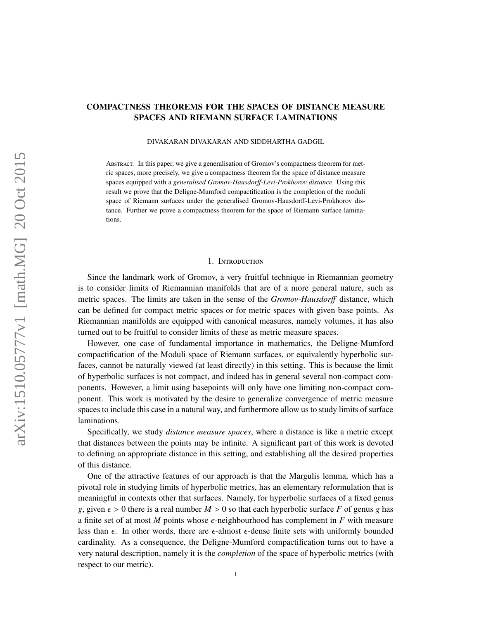# COMPACTNESS THEOREMS FOR THE SPACES OF DISTANCE MEASURE SPACES AND RIEMANN SURFACE LAMINATIONS

DIVAKARAN DIVAKARAN AND SIDDHARTHA GADGIL

Abstract. In this paper, we give a generalisation of Gromov's compactness theorem for metric spaces, more precisely, we give a compactness theorem for the space of distance measure spaces equipped with a *generalised Gromov-Hausdor*ff*-Levi-Prokhorov distance*. Using this result we prove that the Deligne-Mumford compactification is the completion of the moduli space of Riemann surfaces under the generalised Gromov-Hausdorff-Levi-Prokhorov distance. Further we prove a compactness theorem for the space of Riemann surface laminations.

#### 1. Introduction

Since the landmark work of Gromov, a very fruitful technique in Riemannian geometry is to consider limits of Riemannian manifolds that are of a more general nature, such as metric spaces. The limits are taken in the sense of the *Gromov-Hausdor*ff distance, which can be defined for compact metric spaces or for metric spaces with given base points. As Riemannian manifolds are equipped with canonical measures, namely volumes, it has also turned out to be fruitful to consider limits of these as metric measure spaces.

However, one case of fundamental importance in mathematics, the Deligne-Mumford compactification of the Moduli space of Riemann surfaces, or equivalently hyperbolic surfaces, cannot be naturally viewed (at least directly) in this setting. This is because the limit of hyperbolic surfaces is not compact, and indeed has in general several non-compact components. However, a limit using basepoints will only have one limiting non-compact component. This work is motivated by the desire to generalize convergence of metric measure spaces to include this case in a natural way, and furthermore allow us to study limits of surface laminations.

Specifically, we study *distance measure spaces*, where a distance is like a metric except that distances between the points may be infinite. A significant part of this work is devoted to defining an appropriate distance in this setting, and establishing all the desired properties of this distance.

One of the attractive features of our approach is that the Margulis lemma, which has a pivotal role in studying limits of hyperbolic metrics, has an elementary reformulation that is meaningful in contexts other that surfaces. Namely, for hyperbolic surfaces of a fixed genus *g*, given  $\epsilon > 0$  there is a real number  $M > 0$  so that each hyperbolic surface F of genus g has a finite set of at most *M* points whose  $\epsilon$ -neighbourhood has complement in *F* with measure less than  $\epsilon$ . In other words, there are  $\epsilon$ -almost  $\epsilon$ -dense finite sets with uniformly bounded cardinality. As a consequence, the Deligne-Mumford compactification turns out to have a very natural description, namely it is the *completion* of the space of hyperbolic metrics (with respect to our metric).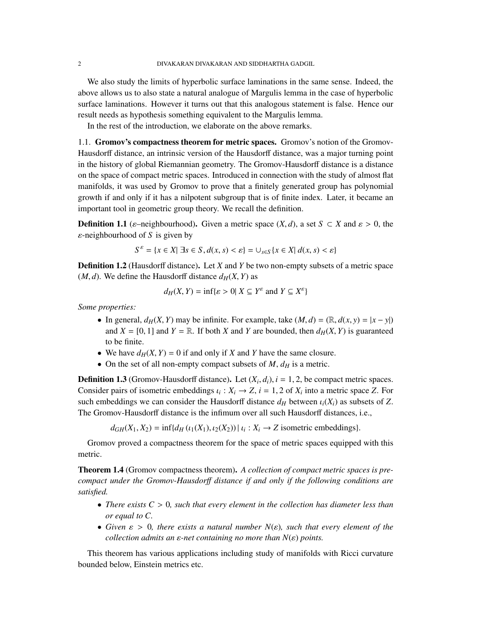We also study the limits of hyperbolic surface laminations in the same sense. Indeed, the above allows us to also state a natural analogue of Margulis lemma in the case of hyperbolic surface laminations. However it turns out that this analogous statement is false. Hence our result needs as hypothesis something equivalent to the Margulis lemma.

In the rest of the introduction, we elaborate on the above remarks.

1.1. Gromov's compactness theorem for metric spaces. Gromov's notion of the Gromov-Hausdorff distance, an intrinsic version of the Hausdorff distance, was a major turning point in the history of global Riemannian geometry. The Gromov-Hausdorff distance is a distance on the space of compact metric spaces. Introduced in connection with the study of almost flat manifolds, it was used by Gromov to prove that a finitely generated group has polynomial growth if and only if it has a nilpotent subgroup that is of finite index. Later, it became an important tool in geometric group theory. We recall the definition.

**Definition 1.1** ( $\varepsilon$ –neighbourhood). Given a metric space  $(X, d)$ , a set  $S \subset X$  and  $\varepsilon > 0$ , the ε-neighbourhood of *<sup>S</sup>* is given by

$$
S^{\varepsilon} = \{x \in X | \exists s \in S, d(x, s) < \varepsilon\} = \cup_{s \in S} \{x \in X | d(x, s) < \varepsilon\}
$$

Definition 1.2 (Hausdorff distance). Let *X* and *Y* be two non-empty subsets of a metric space  $(M, d)$ . We define the Hausdorff distance  $d_H(X, Y)$  as

$$
d_H(X, Y) = \inf \{ \varepsilon > 0 | X \subseteq Y^{\varepsilon} \text{ and } Y \subseteq X^{\varepsilon} \}
$$

*Some properties:*

- In general,  $d_H(X, Y)$  may be infinite. For example, take  $(M, d) = (\mathbb{R}, d(x, y) = |x y|)$ and  $X = [0, 1]$  and  $Y = \mathbb{R}$ . If both *X* and *Y* are bounded, then  $d_H(X, Y)$  is guaranteed to be finite.
- We have  $d_H(X, Y) = 0$  if and only if *X* and *Y* have the same closure.
- On the set of all non-empty compact subsets of  $M$ ,  $d_H$  is a metric.

**Definition 1.3** (Gromov-Hausdorff distance). Let  $(X_i, d_i)$ ,  $i = 1, 2$ , be compact metric spaces.<br>Consider pairs of isometric ambaddings  $u: X_i \to Z_i = 1, 2$  of  $X_i$  into a metric space  $Z$ . For Consider pairs of isometric embeddings  $\iota_i : X_i \to Z$ ,  $i = 1, 2$  of  $X_i$  into a metric space *Z*. For each embeddings we can consider the Hausdorff distance  $d_{\text{in}}$  between  $\iota(X)$  as subsets of *Z*. such embeddings we can consider the Hausdorff distance  $d_H$  between  $\iota_i(X_i)$  as subsets of *Z*. The Gromov-Hausdorff distance is the infimum over all such Hausdorff distances, i.e.,

 $d_{GH}(X_1, X_2) = \inf\{d_H(\iota_1(X_1), \iota_2(X_2)) | \iota_i: X_i \to Z \text{ isometric embeddings}\}.$ 

Gromov proved a compactness theorem for the space of metric spaces equipped with this metric.

Theorem 1.4 (Gromov compactness theorem). *A collection of compact metric spaces is precompact under the Gromov-Hausdor*ff *distance if and only if the following conditions are satisfied.*

- *There exists C* > <sup>0</sup>*, such that every element in the collection has diameter less than or equal to C.*
- Given  $\varepsilon > 0$ , there exists a natural number  $N(\varepsilon)$ , such that every element of the *collection admits an* ε*-net containing no more than N*(ε) *points.*

This theorem has various applications including study of manifolds with Ricci curvature bounded below, Einstein metrics etc.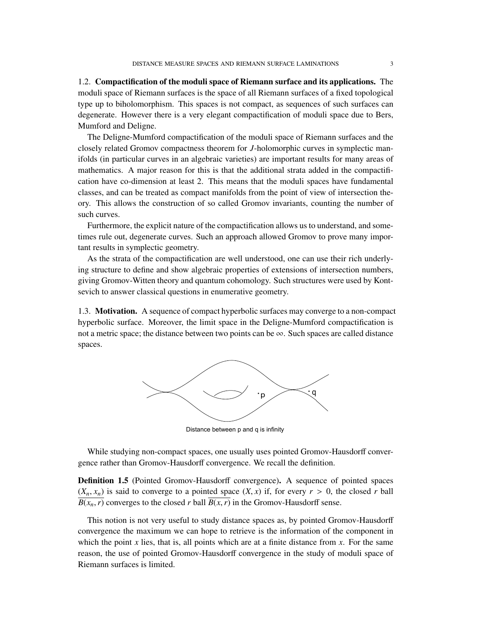1.2. Compactification of the moduli space of Riemann surface and its applications. The moduli space of Riemann surfaces is the space of all Riemann surfaces of a fixed topological type up to biholomorphism. This spaces is not compact, as sequences of such surfaces can degenerate. However there is a very elegant compactification of moduli space due to Bers, Mumford and Deligne.

The Deligne-Mumford compactification of the moduli space of Riemann surfaces and the closely related Gromov compactness theorem for *J*-holomorphic curves in symplectic manifolds (in particular curves in an algebraic varieties) are important results for many areas of mathematics. A major reason for this is that the additional strata added in the compactification have co-dimension at least 2. This means that the moduli spaces have fundamental classes, and can be treated as compact manifolds from the point of view of intersection theory. This allows the construction of so called Gromov invariants, counting the number of such curves.

Furthermore, the explicit nature of the compactification allows us to understand, and sometimes rule out, degenerate curves. Such an approach allowed Gromov to prove many important results in symplectic geometry.

As the strata of the compactification are well understood, one can use their rich underlying structure to define and show algebraic properties of extensions of intersection numbers, giving Gromov-Witten theory and quantum cohomology. Such structures were used by Kontsevich to answer classical questions in enumerative geometry.

1.3. Motivation. A sequence of compact hyperbolic surfaces may converge to a non-compact hyperbolic surface. Moreover, the limit space in the Deligne-Mumford compactification is not a metric space; the distance between two points can be  $\infty$ . Such spaces are called distance spaces.



Distance between p and q is infinity

While studying non-compact spaces, one usually uses pointed Gromov-Hausdorff convergence rather than Gromov-Hausdorff convergence. We recall the definition.

Definition 1.5 (Pointed Gromov-Hausdorff convergence). A sequence of pointed spaces  $(X_n, x_n)$  is said to converge to a pointed space  $(X, x)$  if, for every  $r > 0$ , the closed *r* ball  $B(x_n, r)$  converges to the closed *r* ball  $B(x, r)$  in the Gromov-Hausdorff sense.

This notion is not very useful to study distance spaces as, by pointed Gromov-Hausdorff convergence the maximum we can hope to retrieve is the information of the component in which the point  $x$  lies, that is, all points which are at a finite distance from  $x$ . For the same reason, the use of pointed Gromov-Hausdorff convergence in the study of moduli space of Riemann surfaces is limited.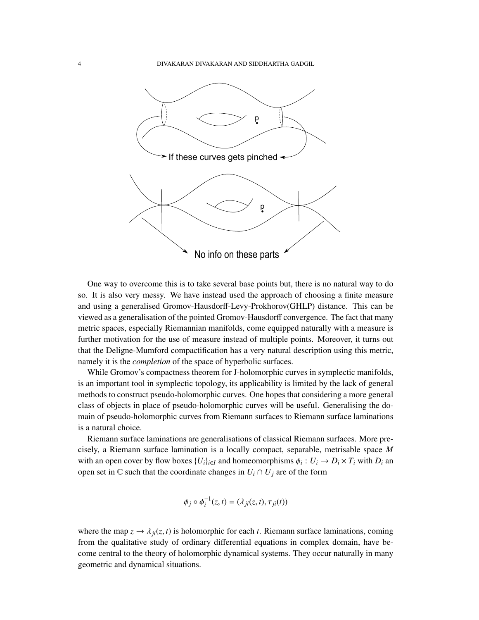

One way to overcome this is to take several base points but, there is no natural way to do so. It is also very messy. We have instead used the approach of choosing a finite measure and using a generalised Gromov-Hausdorff-Levy-Prokhorov(GHLP) distance. This can be viewed as a generalisation of the pointed Gromov-Hausdorff convergence. The fact that many metric spaces, especially Riemannian manifolds, come equipped naturally with a measure is further motivation for the use of measure instead of multiple points. Moreover, it turns out that the Deligne-Mumford compactification has a very natural description using this metric, namely it is the *completion* of the space of hyperbolic surfaces.

While Gromov's compactness theorem for J-holomorphic curves in symplectic manifolds, is an important tool in symplectic topology, its applicability is limited by the lack of general methods to construct pseudo-holomorphic curves. One hopes that considering a more general class of objects in place of pseudo-holomorphic curves will be useful. Generalising the domain of pseudo-holomorphic curves from Riemann surfaces to Riemann surface laminations is a natural choice.

Riemann surface laminations are generalisations of classical Riemann surfaces. More precisely, a Riemann surface lamination is a locally compact, separable, metrisable space *M* with an open cover by flow boxes  $\{U_i\}_{i \in I}$  and homeomorphisms  $\phi_i : U_i \to D_i \times T_i$  with  $D_i$  and  $D_i$  and  $C_i$  such that the coordinate changes in  $U_i \cap U_j$  are of the form open set in  $\mathbb C$  such that the coordinate changes in  $U_i \cap U_j$  are of the form

$$
\phi_j \circ \phi_i^{-1}(z,t) = (\lambda_{ji}(z,t), \tau_{ji}(t))
$$

where the map  $z \to \lambda_{ii}(z, t)$  is holomorphic for each *t*. Riemann surface laminations, coming from the qualitative study of ordinary differential equations in complex domain, have become central to the theory of holomorphic dynamical systems. They occur naturally in many geometric and dynamical situations.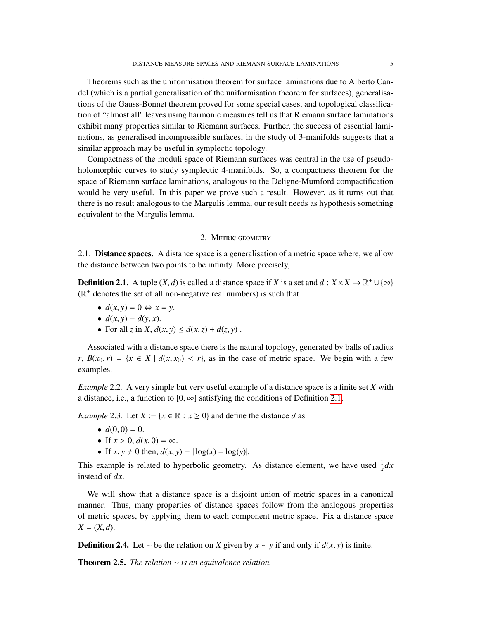Theorems such as the uniformisation theorem for surface laminations due to Alberto Candel (which is a partial generalisation of the uniformisation theorem for surfaces), generalisations of the Gauss-Bonnet theorem proved for some special cases, and topological classification of "almost all" leaves using harmonic measures tell us that Riemann surface laminations exhibit many properties similar to Riemann surfaces. Further, the success of essential laminations, as generalised incompressible surfaces, in the study of 3-manifolds suggests that a similar approach may be useful in symplectic topology.

Compactness of the moduli space of Riemann surfaces was central in the use of pseudoholomorphic curves to study symplectic 4-manifolds. So, a compactness theorem for the space of Riemann surface laminations, analogous to the Deligne-Mumford compactification would be very useful. In this paper we prove such a result. However, as it turns out that there is no result analogous to the Margulis lemma, our result needs as hypothesis something equivalent to the Margulis lemma.

## 2. Metric geometry

2.1. Distance spaces. A distance space is a generalisation of a metric space where, we allow the distance between two points to be infinity. More precisely,

<span id="page-4-0"></span>**Definition 2.1.** A tuple  $(X, d)$  is called a distance space if *X* is a set and  $d : X \times X \to \mathbb{R}^+ \cup \{\infty\}$ <br> $(\mathbb{R}^+$  denotes the set of all non-negative real numbers) is such that  $(\mathbb{R}^+$  denotes the set of all non-negative real numbers) is such that

- $d(x, y) = 0 \Leftrightarrow x = y$ .
- $d(x, y) = d(y, x)$ .
- For all *z* in *X*,  $d(x, y) \leq d(x, z) + d(z, y)$ .

Associated with a distance space there is the natural topology, generated by balls of radius *r*,  $B(x_0, r) = \{x \in X \mid d(x, x_0) < r\}$ , as in the case of metric space. We begin with a few examples.

*Example* 2.2*.* A very simple but very useful example of a distance space is a finite set *X* with a distance, i.e., a function to [0,  $\infty$ ] satisfying the conditions of Definition [2.1.](#page-4-0)

*Example* 2.3. Let  $X := \{x \in \mathbb{R} : x \ge 0\}$  and define the distance *d* as

- $d(0,0) = 0$ .
- If  $x > 0$ ,  $d(x, 0) = \infty$ .
- If  $x, y \neq 0$  then,  $d(x, y) = |\log(x) \log(y)|$ .

This example is related to hyperbolic geometry. As distance element, we have used  $\frac{1}{x}dx$ instead of *dx*.

We will show that a distance space is a disjoint union of metric spaces in a canonical manner. Thus, many properties of distance spaces follow from the analogous properties of metric spaces, by applying them to each component metric space. Fix a distance space  $X = (X, d)$ .

**Definition 2.4.** Let ∼ be the relation on *X* given by  $x \sim y$  if and only if  $d(x, y)$  is finite.

Theorem 2.5. *The relation* ∼ *is an equivalence relation.*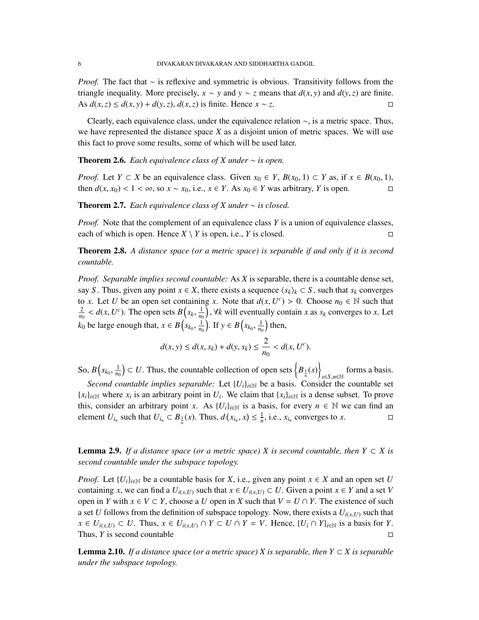*Proof.* The fact that ∼ is reflexive and symmetric is obvious. Transitivity follows from the triangle inequality. More precisely, *x* ∼ *y* and *y* ∼ *z* means that *d*(*x*, *y*) and *d*(*y*, *z*) are finite.<br>As *d*(*x*, *z*) ≤ *d*(*x*, *v*) + *d*(*y*, *z*) *d*(*x*, *z*) is finite. Hence *x* ∼ *z*. As  $d(x, z) \leq d(x, y) + d(y, z)$ ,  $d(x, z)$  is finite. Hence  $x \sim z$ .

Clearly, each equivalence class, under the equivalence relation ∼, is a metric space. Thus, we have represented the distance space *X* as a disjoint union of metric spaces. We will use this fact to prove some results, some of which will be used later.

**Theorem 2.6.** *Each equivalence class of X under*  $\sim$  *is open.* 

*Proof.* Let *Y* ⊂ *X* be an equivalence class. Given  $x_0 \in Y$ ,  $B(x_0, 1) \subset Y$  as, if  $x \in B(x_0, 1)$ , then  $d(x, x_0) < 1 < \infty$  so  $x \sim x_0$  i.e.  $x \in Y$  As  $x_0 \in Y$  was arbitrary *Y* is open then  $d(x, x_0) < 1 < \infty$ , so  $x \sim x_0$ , i.e.,  $x \in Y$ . As  $x_0 \in Y$  was arbitrary, *Y* is open.

<span id="page-5-3"></span>Theorem 2.7. *Each equivalence class of X under* ∼ *is closed.*

*Proof.* Note that the complement of an equivalence class *Y* is a union of equivalence classes, each of which is open. Hence  $X \setminus Y$  is open, i.e., *Y* is closed.

<span id="page-5-0"></span>Theorem 2.8. *A distance space (or a metric space) is separable if and only if it is second countable.*

*Proof. Separable implies second countable:* As *X* is separable, there is a countable dense set, say *S* . Thus, given any point  $x \in X$ , there exists a sequence  $\langle s_k \rangle_k \subset S$ , such that  $s_k$  converges to *x*. Let *U* be an open set containing *x*. Note that  $d(x, U^c) > 0$ . Choose  $n_0 \in \mathbb{N}$  such that  $\frac{2}{f} \leq d(x, U^c)$ . The open sets  $P(x, 1)$  *Hk* will eventually contain *x* as so converges to *x*. Let  $\frac{2}{n_0} < d(x, U^c)$ . The open sets  $B(s_k, \frac{1}{n_0})$ ,  $\forall k$  will eventually contain *x* as  $s_k$  converges to *x*. Let *k*<sup>0</sup> be large enough that,  $x \in B(s_{k_0},$  $\frac{1}{n_0}$ ). If *y* ∈ *B*(*s*<sub>*k*0</sub></sub>,  $\frac{1}{n_0}$  then,

$$
d(x, y) \le d(x, s_k) + d(y, s_k) \le \frac{2}{n_0} < d(x, U^c).
$$

So,  $B(s_{k_0},$  $\left( \frac{1}{n_0} \right)$   $\subset U$ . Thus, the countable collection of open sets  $\left\{ B_{\frac{1}{n}}(s) \right\}$ *<sup>s</sup>*∈*S*,*n*∈<sup>N</sup> forms a basis.

*Second countable implies separable:* Let  ${U_i}_{i \in \mathbb{N}}$  be a basis. Consider the countable set  ${x_i}_{i \in \mathbb{N}}$  where  $x_i$  is an arbitrary point in  $U_i$ . We claim that  ${x_i}_{i \in \mathbb{N}}$  is a dense subset. To prove this, consider an arbitrary point *x*. As  $\{U_i\}_{i\in\mathbb{N}}$  is a basis, for every  $n \in \mathbb{N}$  we can find an element *U*<sub>*i*n</sub></sub> such that  $U_{i_n} \subset B_{\frac{1}{n}}(x)$ . Thus,  $d(x_{i_n}, x) \leq \frac{1}{n}$ , i.e.,  $x_{i_n}$  converges to  $x$ .

<span id="page-5-1"></span>**Lemma 2.9.** *If a distance space (or a metric space) X is second countable, then*  $Y \subset X$  *is second countable under the subspace topology.*

*Proof.* Let  $\{U_i\}_{i\in\mathbb{N}}$  be a countable basis for *X*, i.e., given any point  $x \in X$  and an open set *U* containing *x*, we can find a  $U_{i(x,U)}$  such that  $x \in U_{i(x,U)} \subset U$ . Given a point  $x \in Y$  and a set *V* open in *Y* with  $x \in V \subset Y$ , choose a *U* open in *X* such that  $V = U \cap Y$ . The existence of such a set *U* follows from the definition of subspace topology. Now, there exists a  $U_{i(x,U)}$  such that  $x \in U_{i(x,U)} \subset U$ . Thus,  $x \in U_{i(x,U)} \cap Y \subset U \cap Y = V$ . Hence,  $\{U_i \cap Y\}_{i \in \mathbb{N}}$  is a basis for Y.<br>Thus, Y is second countable Thus, *Y* is second countable

<span id="page-5-2"></span>**Lemma 2.10.** *If a distance space (or a metric space) X is separable, then*  $Y \subset X$  *is separable under the subspace topology.*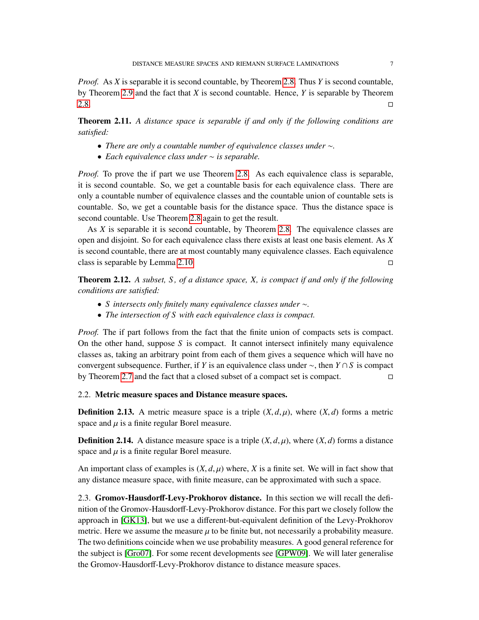*Proof.* As *X* is separable it is second countable, by Theorem [2.8.](#page-5-0) Thus *Y* is second countable, by Theorem [2.9](#page-5-1) and the fact that *X* is second countable. Hence, *Y* is separable by Theorem  $2.8.$ 

Theorem 2.11. *A distance space is separable if and only if the following conditions are satisfied:*

- *There are only a countable number of equivalence classes under* ∼*.*
- *Each equivalence class under* ∼ *is separable.*

*Proof.* To prove the if part we use Theorem [2.8.](#page-5-0) As each equivalence class is separable, it is second countable. So, we get a countable basis for each equivalence class. There are only a countable number of equivalence classes and the countable union of countable sets is countable. So, we get a countable basis for the distance space. Thus the distance space is second countable. Use Theorem [2.8](#page-5-0) again to get the result.

As *X* is separable it is second countable, by Theorem [2.8.](#page-5-0) The equivalence classes are open and disjoint. So for each equivalence class there exists at least one basis element. As *X* is second countable, there are at most countably many equivalence classes. Each equivalence class is separable by Lemma [2.10.](#page-5-2)  $\square$ 

Theorem 2.12. *A subset, S , of a distance space, X, is compact if and only if the following conditions are satisfied:*

- *S intersects only finitely many equivalence classes under* ∼*.*
- *The intersection of S with each equivalence class is compact.*

*Proof.* The if part follows from the fact that the finite union of compacts sets is compact. On the other hand, suppose *S* is compact. It cannot intersect infinitely many equivalence classes as, taking an arbitrary point from each of them gives a sequence which will have no convergent subsequence. Further, if *Y* is an equivalence class under ∼, then *Y* ∩ *S* is compact by Theorem [2.7](#page-5-3) and the fact that a closed subset of a compact set is compact.  $\square$ 

#### 2.2. Metric measure spaces and Distance measure spaces.

**Definition 2.13.** A metric measure space is a triple  $(X, d, \mu)$ , where  $(X, d)$  forms a metric space and  $\mu$  is a finite regular Borel measure.

**Definition 2.14.** A distance measure space is a triple  $(X, d, \mu)$ , where  $(X, d)$  forms a distance space and  $\mu$  is a finite regular Borel measure.

An important class of examples is  $(X, d, \mu)$  where, *X* is a finite set. We will in fact show that any distance measure space, with finite measure, can be approximated with such a space.

2.3. Gromov-Hausdorff-Levy-Prokhorov distance. In this section we will recall the definition of the Gromov-Hausdorff-Levy-Prokhorov distance. For this part we closely follow the approach in [\[GK13\]](#page-52-0), but we use a different-but-equivalent definition of the Levy-Prokhorov metric. Here we assume the measure  $\mu$  to be finite but, not necessarily a probability measure. The two definitions coincide when we use probability measures. A good general reference for the subject is [\[Gro07\]](#page-52-1). For some recent developments see [\[GPW09\]](#page-52-2). We will later generalise the Gromov-Hausdorff-Levy-Prokhorov distance to distance measure spaces.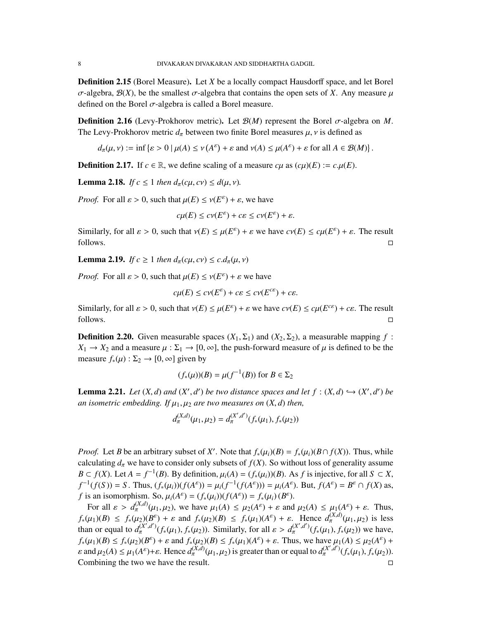Definition 2.15 (Borel Measure). Let *X* be a locally compact Hausdorff space, and let Borel  $\sigma$ -algebra,  $\mathcal{B}(X)$ , be the smallest  $\sigma$ -algebra that contains the open sets of *X*. Any measure  $\mu$ defined on the Borel  $\sigma$ -algebra is called a Borel measure.

**Definition 2.16** (Levy-Prokhorov metric). Let  $\mathcal{B}(M)$  represent the Borel  $\sigma$ -algebra on M. The Levy-Prokhorov metric  $d_{\pi}$  between two finite Borel measures  $\mu$ ,  $\nu$  is defined as

 $d_{\pi}(\mu, \nu) := \inf \{ \varepsilon > 0 \mid \mu(A) \le \nu(A^{\varepsilon}) + \varepsilon \text{ and } \nu(A) \le \mu(A^{\varepsilon}) + \varepsilon \text{ for all } A \in \mathcal{B}(M) \}$ 

**Definition 2.17.** If  $c \in \mathbb{R}$ , we define scaling of a measure  $c\mu$  as  $(c\mu)(E) := c \mu(E)$ .

<span id="page-7-0"></span>**Lemma 2.18.** *If*  $c \leq 1$  *then*  $d_{\pi}(c\mu, c\nu) \leq d(\mu, \nu)$ *.* 

*Proof.* For all  $\varepsilon > 0$ , such that  $\mu(E) \le \nu(E^{\varepsilon}) + \varepsilon$ , we have

$$
c\mu(E) \le c\nu(E^{\varepsilon}) + c\varepsilon \le c\nu(E^{\varepsilon}) + \varepsilon.
$$

Similarly, for all  $\varepsilon > 0$ , such that  $v(E) \le \mu(E^{\varepsilon}) + \varepsilon$  we have  $c\nu(E) \le c\mu(E^{\varepsilon}) + \varepsilon$ . The result  $\Box$  follows.

**Lemma 2.19.** *If*  $c \geq 1$  *then*  $d_\pi(c\mu, c\nu) \leq c \cdot d_\pi(\mu, \nu)$ 

*Proof.* For all  $\varepsilon > 0$ , such that  $\mu(E) \le \nu(E^{\varepsilon}) + \varepsilon$  we have

$$
c\mu(E) \le c\nu(E^{\varepsilon}) + c\varepsilon \le c\nu(E^{c\varepsilon}) + c\varepsilon.
$$

Similarly, for all  $\varepsilon > 0$ , such that  $v(E) \le \mu(E^{\varepsilon}) + \varepsilon$  we have  $cv(E) \le c\mu(E^{\varepsilon \varepsilon}) + c\varepsilon$ . The result  $\Box$  follows.

**Definition 2.20.** Given measurable spaces  $(X_1, \Sigma_1)$  and  $(X_2, \Sigma_2)$ , a measurable mapping f:  $X_1 \rightarrow X_2$  and a measure  $\mu : \Sigma_1 \rightarrow [0, \infty]$ , the push-forward measure of  $\mu$  is defined to be the measure  $f_*(\mu) : \Sigma_2 \to [0, \infty]$  given by

$$
(f_*(\mu))(B) = \mu(f^{-1}(B)) \text{ for } B \in \Sigma_2
$$

<span id="page-7-1"></span>**Lemma 2.21.** *Let*  $(X, d)$  *and*  $(X', d')$  *be two distance spaces and let*  $f : (X, d) \hookrightarrow (X', d')$  *be an* isometric embedding. If  $u \in \mathcal{U}$  are two magnetics on  $(X, d)$  than *an isometric embedding. If*  $\mu_1, \mu_2$  *are two measures on*  $(X, d)$  *then,* 

$$
d_{\pi}^{(X,d)}(\mu_1,\mu_2) = d_{\pi}^{(X',d')}(f_*(\mu_1),f_*(\mu_2))
$$

*Proof.* Let *B* be an arbitrary subset of *X*'. Note that  $f_*(\mu_i)(B) = f_*(\mu_i)(B \cap f(X))$ . Thus, while colourating *d*, we have to consider only subsets of *f* (*X*). So without loss of gaparelity assume calculating  $d_{\pi}$  we have to consider only subsets of  $f(X)$ . So without loss of generality assume *B* ⊂ *f*(*X*). Let *A* = *f*<sup>-1</sup>(*B*). By definition,  $\mu_i(A) = (f_*(\mu_i))(B)$ . As *f* is injective, for all *S* ⊂ *X*,  $f^{-1}(f(S)) = S$ . Thus  $(f(\mu_i))(f(A^{\varepsilon})) = \mu_i(f^{-1}(f(A^{\varepsilon}))) = \mu_i(A^{\varepsilon})$ . But  $f(A^{\varepsilon}) = B^{\varepsilon} \cap f(Y)$  as  $f^{-1}(f(S)) = S$ . Thus,  $(f_*(\mu_i))(f(A^{\varepsilon})) = \mu_i(f^{-1}(f(A^{\varepsilon}))) = \mu_i(A^{\varepsilon})$ . But,  $f(A^{\varepsilon}) = B^{\varepsilon} \cap f(X)$  as,<br>  $f$  is an isomorphism. So,  $\mu(A^{\varepsilon}) = (f(\mu)) (f(A^{\varepsilon})) = f(\mu) (B^{\varepsilon})$ . *f* is an isomorphism. So,  $\mu_i(A^{\varepsilon}) = (f_*(\mu_i))(f(A^{\varepsilon})) = f_*(\mu_i)(B^{\varepsilon}).$ <br>For all  $s > d^{(X,d)}(\mu, \mu_i)$  we have  $\mu_i(A) \leq \mu_i(A^{\varepsilon}) + s$  and

For all  $\varepsilon > d_{\pi}^{(X,d)}(\mu_1, \mu_2)$ , we have  $\mu_1(A) \leq \mu_2(A^{\varepsilon}) + \varepsilon$  and  $\mu_2(A) \leq \mu_1(A^{\varepsilon}) + \varepsilon$ . Thus,  $f_*(\mu_1)(B) \le f_*(\mu_2)(B^{\varepsilon}) + \varepsilon$  and  $f_*(\mu_2)(B) \le f_*(\mu_1)(A^{\varepsilon}) + \varepsilon$ . Hence  $d_{\pi}^{(X,d)}(\mu_1, \mu_2)$  is less than or equal to  $d_{\pi}^{(X',d')}(f_*(\mu_1), f_*(\mu_2))$ . Similarly, for all  $\varepsilon > d_{\pi}^{(X',d')}(f_*(\mu_1), f_*(\mu_2))$  we have,  $f_*(\mu_1)(B) \le f_*(\mu_2)(B^\varepsilon) + \varepsilon$  and  $f_*(\mu_2)(B) \le f_*(\mu_1)(A^\varepsilon) + \varepsilon$ . Thus, we have  $\mu_1(A) \le \mu_2(A^\varepsilon) +$ <br>c and  $\mu_2(A) \le \mu_1(A^\varepsilon) + \varepsilon$ . Honce  $d_{(X,d)}(\mu_1, \mu_2)$  is greater than or equal to  $d_{(X',d')}(\varepsilon(\mu_1), \varepsilon(\mu_2))$  $\varepsilon$  and  $\mu_2(A) \leq \mu_1(A^{\varepsilon}) + \varepsilon$ . Hence  $d_{\pi}^{(X,\overline{d})}(\mu_1,\mu_2)$  is greater than or equal to  $d_{\pi}^{(X',\overline{d}')}(f_*(\mu_1), f_*(\mu_2))$ . Combining the two we have the result.  $\Box$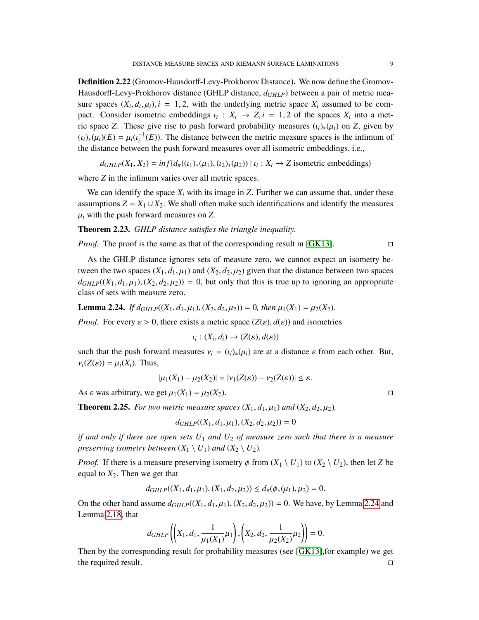Definition 2.22 (Gromov-Hausdorff-Levy-Prokhorov Distance). We now define the Gromov-Hausdorff-Levy-Prokhorov distance (GHLP distance, *dGHLP*) between a pair of metric measure spaces  $(X_i, d_i, \mu_i)$ ,  $i = 1, 2$ , with the underlying metric space  $X_i$  assumed to be compact. Consider isometric embeddings  $\iota_i : X_i \to Z, i = 1, 2$  of the spaces  $X_i$  into a met-<br>ric space  $Z$ . These give rise to push forward probability measures (a) (a) on  $Z$  given by ric space *Z*. These give rise to push forward probability measures  $(\iota_i)_*(\mu_i)$  on *Z*, given by  $(\iota_i)_*(\mu_i)(E) = \mu_i(\iota_i^{-1}(E))$ . The distance between the metric measure spaces is the infimum of the distance between the nuch forward measures over all isometric embeddings i.e. the distance between the push forward measures over all isometric embeddings, i.e.,

 $d_{GHLP}(X_1, X_2) = \inf \{ d_{\pi}((\iota_1)_*(\mu_1), (\iota_2)_*(\mu_2)) \mid \iota_i : X_i \to Z \text{ isometric embeddings} \}$ 

where *Z* in the infimum varies over all metric spaces.

We can identify the space  $X_i$  with its image in  $Z$ . Further we can assume that, under these assumptions  $Z = X_1 \cup X_2$ . We shall often make such identifications and identify the measures  $\mu_i$  with the push forward measures on  $Z$ .

### Theorem 2.23. *GHLP distance satisfies the triangle inequality.*

*Proof.* The proof is the same as that of the corresponding result in [\[GK13\]](#page-52-0). □

As the GHLP distance ignores sets of measure zero, we cannot expect an isometry between the two spaces  $(X_1, d_1, \mu_1)$  and  $(X_2, d_2, \mu_2)$  given that the distance between two spaces  $d_{GHLP}((X_1, d_1, \mu_1), (X_2, d_2, \mu_2)) = 0$ , but only that this is true up to ignoring an appropriate class of sets with measure zero.

<span id="page-8-0"></span>**Lemma 2.24.** *If*  $d_{GHLP}((X_1, d_1, \mu_1), (X_2, d_2, \mu_2)) = 0$ , then  $\mu_1(X_1) = \mu_2(X_2)$ .

*Proof.* For every  $\varepsilon > 0$ , there exists a metric space  $(Z(\varepsilon), d(\varepsilon))$  and isometries

$$
\iota_i: (X_i, d_i) \to (Z(\varepsilon), d(\varepsilon))
$$

such that the push forward measures  $v_i = (i_i)_*(\mu_i)$  are at a distance  $\varepsilon$  from each other. But,  $v_i(Z(\varepsilon)) = \mu_i(X_i)$ . Thus,

$$
|\mu_1(X_1) - \mu_2(X_2)| = |\nu_1(Z(\varepsilon)) - \nu_2(Z(\varepsilon))| \le \varepsilon.
$$

As  $\varepsilon$  was arbitrary, we get  $\mu_1(X_1) = \mu_2(X_2)$ .

**Theorem 2.25.** For two metric measure spaces  $(X_1, d_1, \mu_1)$  and  $(X_2, d_2, \mu_2)$ ,

$$
d_{GHLP}((X_1, d_1, \mu_1), (X_2, d_2, \mu_2)) = 0
$$

*if and only if there are open sets U*<sup>1</sup> *and U*<sup>2</sup> *of measure zero such that there is a measure preserving isometry between*  $(X_1 \setminus U_1)$  *and*  $(X_2 \setminus U_2)$ *.* 

*Proof.* If there is a measure preserving isometry  $\phi$  from  $(X_1 \setminus U_1)$  to  $(X_2 \setminus U_2)$ , then let *Z* be equal to  $X_2$ . Then we get that

$$
d_{GHLP}((X_1, d_1, \mu_1), (X_1, d_2, \mu_2)) \leq d_{\pi}(\phi_*(\mu_1), \mu_2) = 0.
$$

On the other hand assume  $d_{GHLP}((X_1, d_1, \mu_1), (X_2, d_2, \mu_2)) = 0$ . We have, by Lemma [2.24](#page-8-0) and Lemma [2.18,](#page-7-0) that

$$
d_{GHLP}\left(\left(X_1, d_1, \frac{1}{\mu_1(X_1)}\mu_1\right), \left(X_2, d_2, \frac{1}{\mu_2(X_2)}\mu_2\right)\right) = 0.
$$
  
Then by the corresponding result for probability measures (see [GK13], for example) we get

the required result.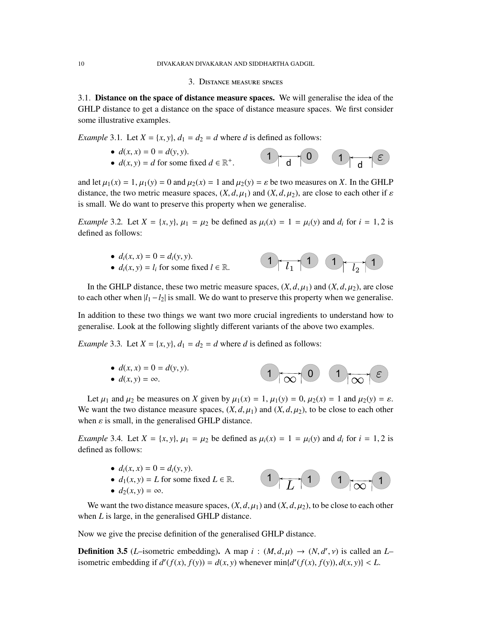#### 3. Distance measure spaces

3.1. Distance on the space of distance measure spaces. We will generalise the idea of the GHLP distance to get a distance on the space of distance measure spaces. We first consider some illustrative examples.

*Example* 3.1*.* Let  $X = \{x, y\}$ ,  $d_1 = d_2 = d$  where *d* is defined as follows:<br>
•  $d(x, x) = 0 = d(y, y)$ .

•  $d(x, x) = 0 = d(y, y)$ .  $1 \rightarrow 0$   $1$  $(\varepsilon)$ •  $d(x, y) = d$  for some fixed  $d \in \mathbb{R}^+$  $\sim$  d  $\sim$  d

and let  $\mu_1(x) = 1$ ,  $\mu_1(y) = 0$  and  $\mu_2(x) = 1$  and  $\mu_2(y) = \varepsilon$  be two measures on *X*. In the GHLP distance, the two metric measure spaces,  $(X, d, \mu_1)$  and  $(X, d, \mu_2)$ , are close to each other if  $\varepsilon$ is small. We do want to preserve this property when we generalise.

*Example* 3.2*.* Let  $X = \{x, y\}$ ,  $\mu_1 = \mu_2$  be defined as  $\mu_i(x) = 1 = \mu_i(y)$  and  $d_i$  for  $i = 1, 2$  is defined as follows:

> •  $d_i(x, x) = 0 = d_i(y, y)$ . •  $d_i(x, y) = l_i$  for some fixed  $l \in \mathbb{R}$ .  $1 \rightarrow 1$   $1 \rightarrow 1$

In the GHLP distance, these two metric measure spaces,  $(X, d, \mu_1)$  and  $(X, d, \mu_2)$ , are close to each other when  $|l_1-l_2|$  is small. We do want to preserve this property when we generalise.

In addition to these two things we want two more crucial ingredients to understand how to generalise. Look at the following slightly different variants of the above two examples.

*Example* 3.3*.* Let  $X = \{x, y\}$ ,  $d_1 = d_2 = d$  where *d* is defined as follows:

•  $d(x, x) = 0 = d(y, y)$ . •  $d(x, y) = \infty$ .  $\left(1\right)$   $\left(0\right)$   $\left(1\right)$   $\left(1\right)$ 

Let  $\mu_1$  and  $\mu_2$  be measures on *X* given by  $\mu_1(x) = 1$ ,  $\mu_1(y) = 0$ ,  $\mu_2(x) = 1$  and  $\mu_2(y) = \varepsilon$ . We want the two distance measure spaces,  $(X, d, \mu_1)$  and  $(X, d, \mu_2)$ , to be close to each other when  $\varepsilon$  is small, in the generalised GHLP distance.

*Example* 3.4*.* Let  $X = \{x, y\}$ ,  $\mu_1 = \mu_2$  be defined as  $\mu_i(x) = 1 = \mu_i(y)$  and  $d_i$  for  $i = 1, 2$  is defined as follows:

- $d_i(x, x) = 0 = d_i(y, y)$ .
- $d_1(x, y) = L$  for some fixed  $L \in \mathbb{R}$ .





We want the two distance measure spaces,  $(X, d, \mu_1)$  and  $(X, d, \mu_2)$ , to be close to each other when *L* is large, in the generalised GHLP distance.

Now we give the precise definition of the generalised GHLP distance.

**Definition 3.5** (*L*–isometric embedding). A map  $i : (M, d, \mu) \rightarrow (N, d', \nu)$  is called an *L*–<br>isometric embedding if  $d'(f(x), f(y)) = d(x, y)$  who payer  $min(d'(f(x), f(y)) d(x, y)) \le L$ isometric embedding if  $d'(f(x), f(y)) = d(x, y)$  whenever  $\min\{d'(f(x), f(y)), d(x, y)\} < L$ .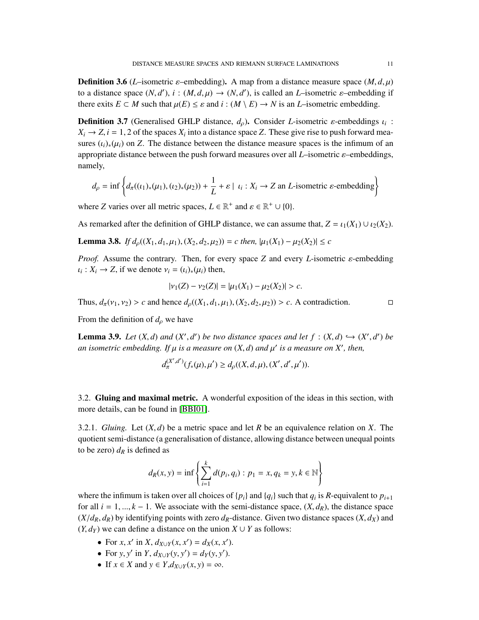**Definition 3.6** (*L*-isometric *ε*-embedding). A map from a distance measure space  $(M, d, \mu)$ to a distance space  $(N, d')$ ,  $i : (M, d, \mu) \to (N, d')$ , is called an *L*-isometric  $\varepsilon$ -embedding if<br>there exite  $F \subset M$  such that  $u(F) \leq \varepsilon$  and  $i : (M \setminus F) \to N$  is an *L* isometric embedding there exits  $E \subset M$  such that  $\mu(E) \leq \varepsilon$  and  $i : (M \setminus E) \to N$  is an *L*–isometric embedding.

**Definition 3.7** (Generalised GHLP distance,  $d_{\rho}$ ). Consider *L*-isometric  $\varepsilon$ -embeddings  $\iota_i$ :<br> $X \rightarrow Z \dot{i} = 1, 2$  of the spaces *X* into a distance space *Z*. These give rise to push forward moo  $X_i \rightarrow Z$ ,  $i = 1, 2$  of the spaces  $X_i$  into a distance space *Z*. These give rise to push forward mea-<br>surge (a) (a) on **Z**. The distance between the distance measure spaces is the infimum of an sures  $(i_i)_*(\mu_i)$  on *Z*. The distance between the distance measure spaces is the infimum of an appropriate distance between the push forward measures over all *<sup>L</sup>*–isometric ε–embeddings, namely,

$$
d_{\rho} = \inf \left\{ d_{\pi}((\iota_1)_*(\mu_1), (\iota_2)_*(\mu_2)) + \frac{1}{L} + \varepsilon \mid \iota_i : X_i \to Z \text{ an } L \text{-isometric } \varepsilon \text{-embedding} \right\}
$$

where *Z* varies over all metric spaces,  $L \in \mathbb{R}^+$  and  $\varepsilon \in \mathbb{R}^+ \cup \{0\}.$ 

As remarked after the definition of GHLP distance, we can assume that,  $Z = \iota_1(X_1) \cup \iota_2(X_2)$ .

<span id="page-10-0"></span>**Lemma 3.8.** *If*  $d_p((X_1, d_1, \mu_1), (X_2, d_2, \mu_2)) = c$  then,  $|\mu_1(X_1) - \mu_2(X_2)| \leq c$ 

*Proof.* Assume the contrary. Then, for every space *<sup>Z</sup>* and every *<sup>L</sup>*-isometric ε-embedding  $u_i: X_i \to Z$ , if we denote  $v_i = (u_i)_*(\mu_i)$  then,

$$
|\nu_1(Z) - \nu_2(Z)| = |\mu_1(X_1) - \mu_2(X_2)| > c.
$$

Thus,  $d_{\pi}(v_1, v_2) > c$  and hence  $d_{\rho}((X_1, d_1, \mu_1), (X_2, d_2, \mu_2)) > c$ . A contradiction.

From the definition of  $d<sub>o</sub>$  we have

**Lemma 3.9.** *Let*  $(X, d)$  *and*  $(X', d')$  *be two distance spaces and let*  $f : (X, d) \hookrightarrow (X', d')$  *be* an isometric embedding. If  $u$  is a measure on  $(X, d)$  and  $u'$  is a measure on  $Y'$  then *an isometric embedding. If*  $\mu$  *is a measure on*  $(X, d)$  *and*  $\mu'$  *is a measure on*  $X'$ *, then,* 

$$
d_{\pi}^{(X',d')}(f_*(\mu),\mu') \geq d_{\rho}((X,d,\mu),(X',d',\mu')).
$$

3.2. Gluing and maximal metric. A wonderful exposition of the ideas in this section, with more details, can be found in [\[BBI01\]](#page-51-0).

3.2.1. *Gluing.* Let (*X*, *<sup>d</sup>*) be a metric space and let *<sup>R</sup>* be an equivalence relation on *<sup>X</sup>*. The quotient semi-distance (a generalisation of distance, allowing distance between unequal points to be zero)  $d<sub>R</sub>$  is defined as

$$
d_R(x, y) = \inf \left\{ \sum_{i=1}^k d(p_i, q_i) : p_1 = x, q_k = y, k \in \mathbb{N} \right\}
$$

where the infimum is taken over all choices of  $\{p_i\}$  and  $\{q_i\}$  such that  $q_i$  is  $R$ -equivalent to  $p_{i+1}$ for all  $i = 1, ..., k - 1$ . We associate with the semi-distance space,  $(X, d_R)$ , the distance space  $(X/d_R, d_R)$  by identifying points with zero  $d_R$ -distance. Given two distance spaces  $(X, d_X)$  and  $(Y, d_Y)$  we can define a distance on the union  $X \cup Y$  as follows:

- For *x*, *x'* in *X*,  $d_{X\cup Y}(x, x') = d_X(x, x')$ .<br>• For *y y'* in *Y d* (*y y'*) = *d* (*y y'*).
- For *y*, *y'* in *Y*,  $d_{X\cup Y}(y, y') = d_Y(y, y')$ .<br>• If  $x \in Y$  and  $y \in Y$   $d_{Y\cup Y}(x, y) = \infty$ .
- If  $x \in X$  and  $y \in Y, d_{X \cup Y}(x, y) = \infty$ .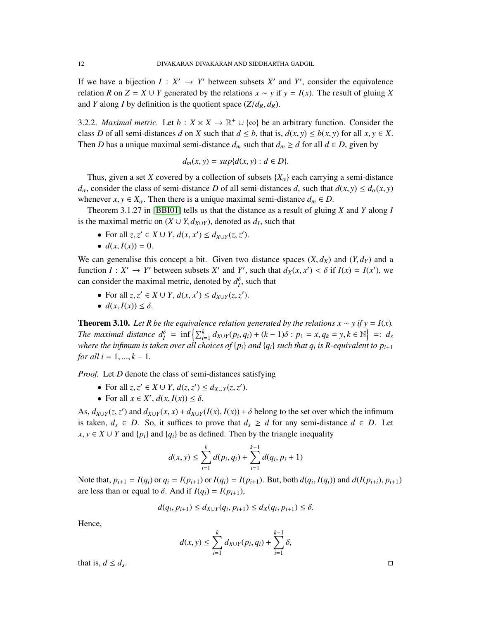If we have a bijection  $I: X' \to Y'$  between subsets  $X'$  and  $Y'$ , consider the equivalence relation *R* on  $Z = X \cup Y$  generated by the relations  $x \sim y$  if  $y = I(x)$ . The result of gluing *X* and *Y* along *I* by definition is the quotient space  $(Z/d_R, d_R)$ .

<span id="page-11-0"></span>3.2.2. *Maximal metric.* Let  $b: X \times X \to \mathbb{R}^+ \cup \{\infty\}$  be an arbitrary function. Consider the class *D* of all semi-distances *d* on *X* such that  $d \leq b$ , that is,  $d(x, y) \leq b(x, y)$  for all  $x, y \in X$ . Then *D* has a unique maximal semi-distance  $d_m$  such that  $d_m \geq d$  for all  $d \in D$ , given by

$$
d_m(x, y) = sup\{d(x, y) : d \in D\}.
$$

Thus, given a set *X* covered by a collection of subsets  ${X_\alpha}$  each carrying a semi-distance *d*<sub>α</sub>, consider the class of semi-distance *D* of all semi-distances *d*, such that  $d(x, y) \leq d_\alpha(x, y)$ whenever  $x, y \in X_\alpha$ . Then there is a unique maximal semi-distance  $d_m \in D$ .

Theorem 3.1.27 in [\[BBI01\]](#page-51-0) tells us that the distance as a result of gluing *X* and *Y* along *I* is the maximal metric on  $(X \cup Y, d_{X \cup Y})$ , denoted as  $d_I$ , such that

- For all  $z, z' \in X \cup Y$ ,  $d(x, x') \le d_{X \cup Y}(z, z')$ .<br>
  $d(x, I(x)) = 0$ .
- $d(x, I(x)) = 0$ .

We can generalise this concept a bit. Given two distance spaces  $(X, d_X)$  and  $(Y, d_Y)$  and a function  $I: X' \to Y'$  between subsets  $X'$  and  $Y'$ , such that  $d_X(x, x') < \delta$  if  $I(x) = I(x')$ , we can consider the maximal metric, denoted by  $d_l^{\delta}$ , such that

- For all  $z, z' \in X \cup Y$ ,  $d(x, x') \le d_{X \cup Y}(z, z')$ .
- $d(x, I(x)) \leq \delta$ .

**Theorem 3.10.** *Let R be the equivalence relation generated by the relations*  $x \sim y$  *if*  $y = I(x)$ *.* The maximal distance  $d_1^{\delta} = \inf \left\{ \sum_{i=1}^{k} d_{X\cup Y}(p_i, q_i) + (k-1)\delta : p_1 = x, q_k = y, k \in \mathbb{N} \right\} =: d_s$ *where the infimum is taken over all choices of* {*pi*} *and* {*qi*} *such that q<sup>i</sup> is R-equivalent to pi*+<sup>1</sup> *for all*  $i = 1, ..., k - 1$ .

*Proof.* Let *D* denote the class of semi-distances satisfying

- For all  $z, z' \in X \cup Y$ ,  $d(z, z') \leq d_{X \cup Y}(z, z')$ .<br>• For all  $x \in Y'$ ,  $d(x, I(x)) \leq s$ .
- For all  $x \in X'$ ,  $d(x, I(x)) \leq \delta$ .

As,  $d_{X\cup Y}(z, z')$  and  $d_{X\cup Y}(x, x) + d_{X\cup Y}(I(x), I(x)) + \delta$  belong to the set over which the infimum<br>is taken  $d_a \subseteq D_a$ . So, it suffices to prove that  $d_a > d$  for any somi distance  $d_a \subseteq D_a$ . Let is taken,  $d_s \in D$ . So, it suffices to prove that  $d_s \geq d$  for any semi-distance  $d \in D$ . Let *x*, *y* ∈ *X* ∪ *Y* and { $p_i$ } and { $q_i$ } be as defined. Then by the triangle inequality

$$
d(x, y) \le \sum_{i=1}^{k} d(p_i, q_i) + \sum_{i=1}^{k-1} d(q_i, p_i + 1)
$$

Note that,  $p_{i+1} = I(q_i)$  or  $q_i = I(p_{i+1})$  or  $I(q_i) = I(p_{i+1})$ . But, both  $d(q_i, I(q_i))$  and  $d(I(p_{i+i}), p_{i+1})$ <br>are loss than or equal to  $\delta$ , And if  $I(q_i) = I(p_{i+1})$ . are less than or equal to  $\delta$ . And if  $I(q_i) = I(p_{i+1}),$ 

$$
d(q_i, p_{i+1}) \le d_{X \cup Y}(q_i, p_{i+1}) \le d_X(q_i, p_{i+1}) \le \delta.
$$

Hence,

$$
d(x, y) \le \sum_{i=1}^{k} d_{X \cup Y}(p_i, q_i) + \sum_{i=1}^{k-1} \delta,
$$

that is,  $d \leq d_s$ .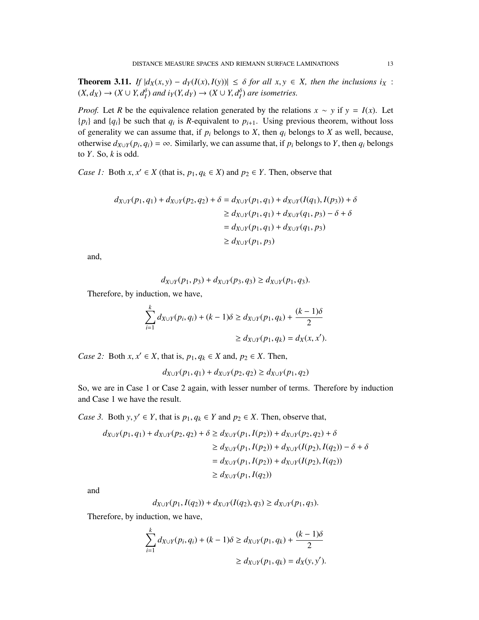<span id="page-12-0"></span>**Theorem 3.11.** *If*  $|d_X(x, y) - d_Y(I(x), I(y))| \le \delta$  *for all x, y* ∈ *X, then the inclusions i<sub>X</sub></sub> :*  $(X, d_X) \to (X \cup Y, d_I^{\delta})$  and  $i_Y(Y, d_Y) \to (X \cup Y, d_I^{\delta})$  are isometries.

*Proof.* Let *R* be the equivalence relation generated by the relations  $x \sim y$  if  $y = I(x)$ . Let  ${p_i}$  and  ${q_i}$  be such that  $q_i$  is *R*-equivalent to  $p_{i+1}$ . Using previous theorem, without loss of generality we can assume that, if  $p_i$  belongs to  $X$ , then  $q_i$  belongs to  $X$  as well, because, otherwise  $d_{X\cup Y}(p_i, q_i) = \infty$ . Similarly, we can assume that, if  $p_i$  belongs to *Y*, then  $q_i$  belongs to *Y*. So, *k* is odd. to *Y*. So, *k* is odd.

*Case 1:* Both *x*,  $x' \in X$  (that is,  $p_1, q_k \in X$ ) and  $p_2 \in Y$ . Then, observe that

$$
d_{X\cup Y}(p_1, q_1) + d_{X\cup Y}(p_2, q_2) + \delta = d_{X\cup Y}(p_1, q_1) + d_{X\cup Y}(I(q_1), I(p_3)) + \delta
$$
  
\n
$$
\geq d_{X\cup Y}(p_1, q_1) + d_{X\cup Y}(q_1, p_3) - \delta + \delta
$$
  
\n
$$
= d_{X\cup Y}(p_1, q_1) + d_{X\cup Y}(q_1, p_3)
$$
  
\n
$$
\geq d_{X\cup Y}(p_1, p_3)
$$

and,

$$
d_{X\cup Y}(p_1, p_3) + d_{X\cup Y}(p_3, q_3) \ge d_{X\cup Y}(p_1, q_3).
$$

Therefore, by induction, we have,

$$
\sum_{i=1}^{k} d_{X \cup Y}(p_i, q_i) + (k - 1)\delta \ge d_{X \cup Y}(p_1, q_k) + \frac{(k - 1)\delta}{2}
$$
  
 
$$
\ge d_{X \cup Y}(p_1, q_k) = d_X(x, x').
$$

*Case 2:* Both *x*,  $x' \in X$ , that is,  $p_1, q_k \in X$  and,  $p_2 \in X$ . Then,

$$
d_{X\cup Y}(p_1, q_1) + d_{X\cup Y}(p_2, q_2) \ge d_{X\cup Y}(p_1, q_2)
$$

So, we are in Case 1 or Case 2 again, with lesser number of terms. Therefore by induction and Case 1 we have the result.

*Case 3.* Both *y*,  $y' \in Y$ , that is  $p_1, q_k \in Y$  and  $p_2 \in X$ . Then, observe that,

$$
d_{X \cup Y}(p_1, q_1) + d_{X \cup Y}(p_2, q_2) + \delta \ge d_{X \cup Y}(p_1, I(p_2)) + d_{X \cup Y}(p_2, q_2) + \delta
$$
  
\n
$$
\ge d_{X \cup Y}(p_1, I(p_2)) + d_{X \cup Y}(I(p_2), I(q_2)) - \delta + \delta
$$
  
\n
$$
= d_{X \cup Y}(p_1, I(p_2)) + d_{X \cup Y}(I(p_2), I(q_2))
$$
  
\n
$$
\ge d_{X \cup Y}(p_1, I(q_2))
$$

and

$$
d_{X\cup Y}(p_1, I(q_2)) + d_{X\cup Y}(I(q_2), q_3) \ge d_{X\cup Y}(p_1, q_3).
$$

Therefore, by induction, we have,

$$
\sum_{i=1}^{k} d_{X \cup Y}(p_i, q_i) + (k - 1)\delta \ge d_{X \cup Y}(p_1, q_k) + \frac{(k - 1)\delta}{2}
$$
  
 
$$
\ge d_{X \cup Y}(p_1, q_k) = d_X(y, y').
$$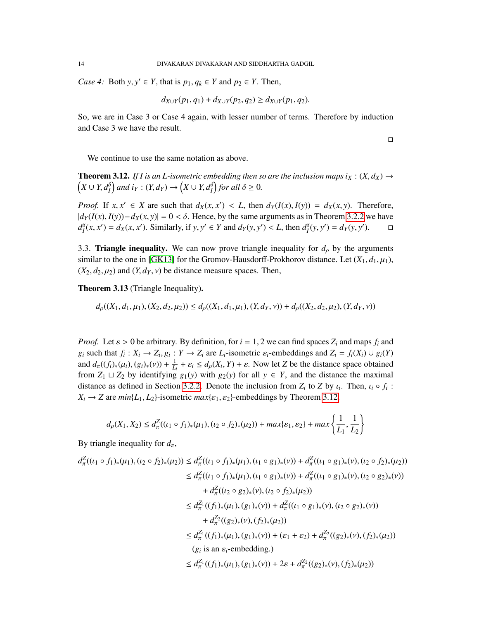*Case 4:* Both *y*,  $y' \in Y$ , that is  $p_1, q_k \in Y$  and  $p_2 \in Y$ . Then,

$$
d_{X\cup Y}(p_1,q_1) + d_{X\cup Y}(p_2,q_2) \ge d_{X\cup Y}(p_1,q_2).
$$

So, we are in Case 3 or Case 4 again, with lesser number of terms. Therefore by induction and Case 3 we have the result.

 $\Box$ 

We continue to use the same notation as above.

<span id="page-13-0"></span> $(X \cup Y, d_I^{\delta})$  and  $i_Y : (Y, d_Y) \rightarrow (X \cup Y, d_I^{\delta})$  for all  $\delta \geq 0$ . **Theorem 3.12.** *If I is an L-isometric embedding then so are the inclusion maps i<sub>X</sub> :*  $(X, d_X) \rightarrow$ 

*Proof.* If  $x, x' \in X$  are such that  $d_X(x, x') < L$ , then  $d_Y(I(x), I(y)) = d_X(x, y)$ . Therefore,  $|d_Y(I(x), I(y)) - d_X(x, y)| = 0 < \delta$ . Hence, by the same arguments as in Theorem [3.2.2](#page-11-0) we have  $d_Y^{\delta}(x, x') = d_X(x, x')$ . Similarly, if y, y' ∈ Y and  $d_Y(y, y') < L$ , then  $d_Y^{\delta}(y, y') = d_Y(y, y')$ .  $\Box$  $d_I^{\delta}(x, x') = d_X(x, x')$ . Similarly, if  $y, y' \in Y$  and  $d_Y(y, y') < L$ , then  $d_I^{\delta}(y, y') = d_Y(y, y')$ .  $\Box$ 

3.3. **Triangle inequality.** We can now prove triangle inequality for  $d<sub>\rho</sub>$  by the arguments similar to the one in [\[GK13\]](#page-52-0) for the Gromov-Hausdorff-Prokhorov distance. Let  $(X_1, d_1, \mu_1)$ ,  $(X_2, d_2, \mu_2)$  and  $(Y, d_Y, v)$  be distance measure spaces. Then,

Theorem 3.13 (Triangle Inequality).

$$
d_{\rho}((X_1, d_1, \mu_1), (X_2, d_2, \mu_2)) \le d_{\rho}((X_1, d_1, \mu_1), (Y, d_Y, \nu)) + d_{\rho}((X_2, d_2, \mu_2), (Y, d_Y, \nu))
$$

*Proof.* Let  $\varepsilon > 0$  be arbitrary. By definition, for  $i = 1, 2$  we can find spaces  $Z_i$  and maps  $f_i$  and  $g_i$  such that  $f_i: X_i \to Z_i$ ,  $g_i: Y \to Z_i$  are  $L_i$ -isometric  $\varepsilon_i$ -embeddings and  $Z_i = f_i(X_i) \cup g_i(Y)$ <br>and  $d_i((f_i), (u_i), (v_i), (v_i))$ ,  $\frac{1}{x_i} + g_i \leq d_i(Y_i, Y_i) + g_i$ . Now let Z be the distance space obtained and  $d_{\pi}((f_i)_*(\mu_i), (g_i)_*(\nu)) + \frac{1}{L_i} + \varepsilon_i \leq d_{\rho}(X_i, Y) + \varepsilon$ . Now let *Z* be the distance space obtained from *Z*<sub>*i*</sub> | | *Z*<sub>*i*</sub> by identifying  $g_i(\nu)$  with  $g_i(\nu)$  for all  $\nu \in Y$  and the distance the maximal from  $Z_1 \sqcup Z_2$  by identifying  $g_1(y)$  with  $g_2(y)$  for all  $y \in Y$ , and the distance the maximal distance as defined in Section [3.2.2.](#page-11-0) Denote the inclusion from  $Z_i$  to  $Z$  by  $\iota_i$ . Then,  $\iota_i \circ f_i$ :<br> $Y_i \rightarrow Z$  are min<sup>(</sup>*L*, *L*<sub>c</sub>) isometric max(c, c,) embeddings by Theorem 3.12  $X_i \rightarrow Z$  are  $min\{L_1, L_2\}$ -isometric  $max\{\varepsilon_1, \varepsilon_2\}$ -embeddings by Theorem [3.12.](#page-13-0)

$$
d_{\rho}(X_1, X_2) \leq d_{\pi}^Z((\iota_1 \circ f_1)_*(\mu_1), (\iota_2 \circ f_2)_*(\mu_2)) + \max\{\varepsilon_1, \varepsilon_2\} + \max\left\{\frac{1}{L_1}, \frac{1}{L_2}\right\}
$$

By triangle inequality for  $d_{\pi}$ ,

$$
d_{\pi}^{Z}((\iota_{1} \circ f_{1})_{*}(\mu_{1}), (\iota_{2} \circ f_{2})_{*}(\mu_{2})) \leq d_{\pi}^{Z}((\iota_{1} \circ f_{1})_{*}(\mu_{1}), (\iota_{1} \circ g_{1})_{*}(\nu)) + d_{\pi}^{Z}((\iota_{1} \circ g_{1})_{*}(\nu), (\iota_{2} \circ f_{2})_{*}(\mu_{2}))
$$
  
\n
$$
\leq d_{\pi}^{Z}((\iota_{1} \circ f_{1})_{*}(\mu_{1}), (\iota_{1} \circ g_{1})_{*}(\nu)) + d_{\pi}^{Z}((\iota_{1} \circ g_{1})_{*}(\nu), (\iota_{2} \circ g_{2})_{*}(\nu))
$$
  
\n
$$
+ d_{\pi}^{Z}((\iota_{2} \circ g_{2})_{*}(\nu), (\iota_{2} \circ f_{2})_{*}(\mu_{2}))
$$
  
\n
$$
\leq d_{\pi}^{Z_{1}}((f_{1})_{*}(\mu_{1}), (g_{1})_{*}(\nu)) + d_{\pi}^{Z}((\iota_{1} \circ g_{1})_{*}(\nu), (\iota_{2} \circ g_{2})_{*}(\nu))
$$
  
\n
$$
+ d_{\pi}^{Z_{2}}((g_{2})_{*}(\nu), (f_{2})_{*}(\mu_{2}))
$$
  
\n
$$
\leq d_{\pi}^{Z_{1}}((f_{1})_{*}(\mu_{1}), (g_{1})_{*}(\nu)) + (\varepsilon_{1} + \varepsilon_{2}) + d_{\pi}^{Z_{2}}((g_{2})_{*}(\nu), (f_{2})_{*}(\mu_{2}))
$$
  
\n
$$
(g_{i} \text{ is an } \varepsilon_{i} \text{-embedding}.)
$$
  
\n
$$
\leq d_{\pi}^{Z_{1}}((f_{1})_{*}(\mu_{1}), (g_{1})_{*}(\nu)) + 2\varepsilon + d_{\pi}^{Z_{2}}((g_{2})_{*}(\nu), (f_{2})_{*}(\mu_{2}))
$$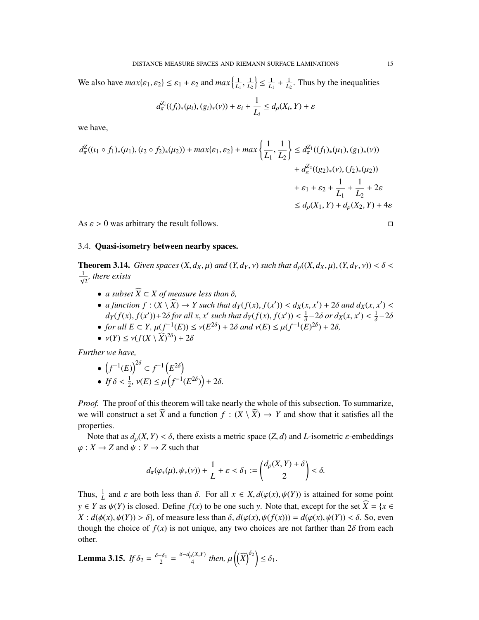We also have  $max{\{\varepsilon_1, \varepsilon_2\}} \le \varepsilon_1 + \varepsilon_2$  and  $max{\{\frac{1}{L_1}, \frac{1}{L_2}\}}$  $\left(\frac{1}{L_2}\right) \leq \frac{1}{L_1} + \frac{1}{L_2}$ . Thus by the inequalities

$$
d_{\pi}^{Z_i}((f_i)_*(\mu_i), (g_i)_*(\nu)) + \varepsilon_i + \frac{1}{L_i} \leq d_{\rho}(X_i, Y) + \varepsilon
$$

we have,

$$
d_{\pi}^{Z}((\iota_{1} \circ f_{1})_{*}(\mu_{1}), (\iota_{2} \circ f_{2})_{*}(\mu_{2})) + \max\{\varepsilon_{1}, \varepsilon_{2}\} + \max\left\{\frac{1}{L_{1}}, \frac{1}{L_{2}}\right\} \leq d_{\pi}^{Z_{1}}((f_{1})_{*}(\mu_{1}), (g_{1})_{*}(\nu)) + d_{\pi}^{Z_{2}}((g_{2})_{*}(\nu), (f_{2})_{*}(\mu_{2})) + \varepsilon_{1} + \varepsilon_{2} + \frac{1}{L_{1}} + \frac{1}{L_{2}} + 2\varepsilon
$$
  
  $\leq d_{\rho}(X_{1}, Y) + d_{\rho}(X_{2}, Y) + 4\varepsilon$ 

As  $\varepsilon > 0$  was arbitrary the result follows.

#### 3.4. Quasi-isometry between nearby spaces.

<span id="page-14-1"></span>**Theorem 3.14.** *Given spaces*  $(X, d_X, \mu)$  *and*  $(Y, d_Y, \nu)$  *such that*  $d_{\rho}((X, d_X, \mu), (Y, d_Y, \nu)) < \delta$  $\frac{1}{\sqrt{2}}$ *, there exists* 

- *a subset*  $\widehat{X} \subset X$  *of measure less than*  $\delta$ *,*
- *a function*  $f : (X \setminus \widehat{X}) \to Y$  such that  $d_Y(f(x), f(x')) < d_X(x, x') + 2\delta$  and  $d_X(x, x') <$ <br>  $d_Y(f(x), f(x')) \geq 2\delta$  for all  $x, x'$  such that  $d_Y(f(x), f(x')) \geq 1$ , 2 $\delta$  or  $d_Y(x, x') \geq 1$ , 2 $\delta$  $d_Y(f(x), f(x')) + 2\delta$  *for all x, x*' *such that*  $d_Y(f(x), f(x')) < \frac{1}{\delta}$ <br>for all  $F \subset Y$ ,  $u(f^{-1}(F)) < u(F^{2\delta}) + 2\delta$  and  $y(F) < u(f^{-1}(F))$  $\frac{1}{\delta}$  – 2*δ or*  $d_X(x, x') < \frac{1}{\delta}$ <br>  $F(\lambda^{2\delta}) + 2\delta$  $\frac{1}{\delta}$  – 2 $\delta$
- *for all E* ⊂ *Y*,  $\mu(f^{-1}(E)) \le \nu(E^{2\delta}) + 2\delta$  *and*  $\nu(E) \le \mu(f^{-1}(E)^{2\delta}) + 2\delta$ ,<br>•  $\nu(V) \le \nu(f(V) \sqrt{V^{2\delta}}) + 2\delta$
- $v(Y) \le v(f(X \setminus \widehat{X})^{2\delta}) + 2\delta$

*Further we have,*

$$
\bullet \ \left(f^{-1}(E)\right)^{2\delta} \subset f^{-1}\left(E^{2\delta}\right)
$$

• *If*  $\delta < \frac{1}{2}$ ,  $\nu(E) \le \mu\left(f^{-1}(E^{2\delta})\right) + 2\delta$ .

*Proof.* The proof of this theorem will take nearly the whole of this subsection. To summarize, we will construct a set  $\widehat{X}$  and a function  $f : (X \setminus \widehat{X}) \to Y$  and show that it satisfies all the properties.

Note that as  $d_0(X, Y) < \delta$ , there exists a metric space  $(Z, d)$  and *L*-isometric  $\varepsilon$ -embeddings  $\varphi: X \to Z$  and  $\psi: Y \to Z$  such that

$$
d_{\pi}(\varphi_*(\mu), \psi_*(\nu)) + \frac{1}{L} + \varepsilon < \delta_1 := \left(\frac{d_{\rho}(X, Y) + \delta}{2}\right) < \delta.
$$

Thus,  $\frac{1}{L}$  and  $\varepsilon$  are both less than  $\delta$ . For all  $x \in X$ ,  $d(\varphi(x), \psi(Y))$  is attained for some point  $y \in Y$  as  $\psi(Y)$  is closed. Define  $f(x)$  to be one such *y*. Note that, except for the set  $X = \{x \in Y : |f(x)| \leq x\}$  $X : d(\phi(x), \psi(Y)) > \delta$ , of measure less than  $\delta$ ,  $d(\phi(x), \psi(f(x))) = d(\phi(x), \psi(Y)) < \delta$ . So, even though the choice of  $f(x)$  is not unique, any two choices are not farther than  $2\delta$  from each other.

<span id="page-14-0"></span>**Lemma 3.15.** *If*  $\delta_2 = \frac{\delta - \delta_1}{2} = \frac{\delta - d_\rho(X,Y)}{4}$  *then,*  $\mu\left(\left(\widehat{X}\right)^{\delta_2}\right) \leq \delta_1$ *.*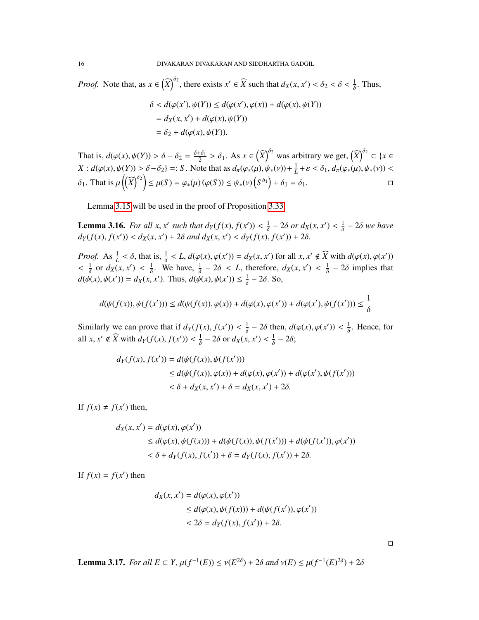*Proof.* Note that, as  $x \in (\widehat{X})^{\delta_2}$ , there exists  $x' \in \widehat{X}$  such that  $d_X(x, x') < \delta_2 < \delta < \frac{1}{\delta}$ . Thus,

$$
\delta < d(\varphi(x'), \psi(Y)) \leq d(\varphi(x'), \varphi(x)) + d(\varphi(x), \psi(Y))
$$
\n
$$
= d_X(x, x') + d(\varphi(x), \psi(Y))
$$
\n
$$
= \delta_2 + d(\varphi(x), \psi(Y)).
$$

That is,  $d(\varphi(x), \psi(Y)) > \delta - \delta_2 = \frac{\delta + \delta_1}{2} > \delta_1$ . As  $x \in (\widehat{X})^{02}$  was arbitrary we get,  $(\widehat{X})^{02} \subset \{x \in X, \xi(x) \}$  $X: d(\varphi(x), \psi(Y)) > \delta - \delta_2$  =: *S*. Note that as  $d_\pi(\varphi_*(\mu), \psi_*(\nu)) + \frac{1}{L} + \varepsilon < \delta_1, d_\pi(\varphi_*(\mu), \psi_*(\nu)) <$  $\delta_1$ . That is  $\mu\left(\left(\widehat{X}\right)^{\delta_2}\right) \leq \mu(S) = \varphi_*(\mu) \left(\varphi(S)\right) \leq \psi_*(\nu) \left(S^{\delta_1}\right) + \delta_1 = \delta_1.$ 

Lemma [3.15](#page-14-0) will be used in the proof of Proposition [3.33.](#page-22-0)

**Lemma 3.16.** For all  $x, x'$  such that  $d_Y(f(x), f(x')) < \frac{1}{\delta}$ <br> $d_Y(f(x), f(x')) < d_Y(x, x') + 2\delta$  and  $d_Y(x, x') < d_Y(f(x))$  $\frac{1}{\delta}$  – 2*δ or*  $d_X(x, x') < \frac{1}{\delta}$  $\frac{1}{\delta}$  – 2*δ* we have  $d_Y(f(x), f(x')) < d_X(x, x') + 2\delta$  and  $d_X(x, x') < d_Y(f(x), f(x')) + 2\delta$ .

*Proof.* As  $\frac{1}{L} < \delta$ , that is,  $\frac{1}{\delta} < L$ ,  $d(\varphi(x), \varphi(x')) = d_X(x, x')$  for all  $x, x' \notin \widehat{X}$  with  $d(\varphi(x), \varphi(x'))$ δ  $\frac{1}{2}$ 1  $\frac{1}{\delta}$  or  $d_X(x, x') < \frac{1}{\delta}$ . We have,  $\frac{1}{\delta}$  $\frac{1}{\delta}$  – 2 $\delta$  < *L*, therefore,  $d_X(x, x') < \frac{1}{\delta}$  $\frac{1}{\delta}$  – 2 $\delta$  implies that  $d(\phi(x), \phi(x')) = d_X(x, x')$ . Thus,  $d(\phi(x), \phi(x')) \le \frac{1}{\delta} - 2\delta$ . So,

$$
d(\psi(f(x)), \psi(f(x'))) \le d(\psi(f(x)), \varphi(x)) + d(\varphi(x), \varphi(x')) + d(\varphi(x'), \psi(f(x'))) \le \frac{1}{\delta}
$$

Similarly we can prove that if  $d_Y(f(x), f(x')) < \frac{1}{\delta}$  $\frac{1}{\delta}$  – 2 $\delta$  then,  $d(\varphi(x), \varphi(x')) < \frac{1}{\delta}$ . Hence, for all  $x, x' \notin \widehat{X}$  with  $d_Y(f(x), f(x')) < \frac{1}{\delta} - 2\delta$  or  $d_X(x, x') < \frac{1}{\delta} - 2\delta$ ;

$$
d_Y(f(x), f(x')) = d(\psi(f(x)), \psi(f(x')))
$$
  
\n
$$
\leq d(\psi(f(x)), \varphi(x)) + d(\varphi(x), \varphi(x')) + d(\varphi(x'), \psi(f(x')))
$$
  
\n
$$
< \delta + d_X(x, x') + \delta = d_X(x, x') + 2\delta.
$$

If  $f(x) \neq f(x')$  then,

$$
d_X(x, x') = d(\varphi(x), \varphi(x'))
$$
  
\n
$$
\leq d(\varphi(x), \psi(f(x))) + d(\psi(f(x)), \psi(f(x'))) + d(\psi(f(x')), \varphi(x'))
$$
  
\n
$$
< \delta + d_Y(f(x), f(x')) + \delta = d_Y(f(x), f(x')) + 2\delta.
$$

If  $f(x) = f(x')$  then

$$
d_X(x, x') = d(\varphi(x), \varphi(x'))
$$
  
\n
$$
\leq d(\varphi(x), \psi(f(x))) + d(\psi(f(x')), \varphi(x'))
$$
  
\n
$$
< 2\delta = d_Y(f(x), f(x')) + 2\delta.
$$

 $\Box$ 

Lemma 3.17. *For all*  $E \subset Y$ ,  $\mu(f^{-1}(E)) \le \nu(E^{2\delta}) + 2\delta$  *and*  $\nu(E) \le \mu(f^{-1}(E)^{2\delta}) + 2\delta$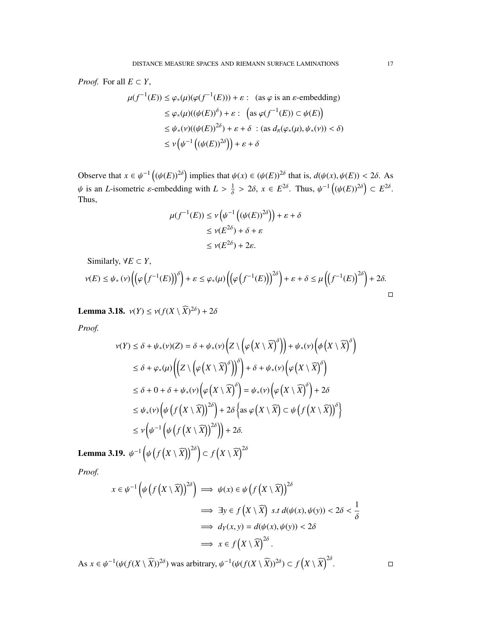*Proof.* For all  $E \subset Y$ ,

$$
\mu(f^{-1}(E)) \le \varphi_*(\mu)(\varphi(f^{-1}(E))) + \varepsilon : \text{ (as } \varphi \text{ is an } \varepsilon\text{-embedding)}
$$
  
\n
$$
\le \varphi_*(\mu)((\psi(E))^{\delta}) + \varepsilon : \left(\text{as } \varphi(f^{-1}(E)) \subset \psi(E)\right)
$$
  
\n
$$
\le \psi_*(\nu)((\psi(E))^{\delta}) + \varepsilon + \delta : \text{ (as } d_\pi(\varphi_*(\mu), \psi_*(\nu)) < \delta)
$$
  
\n
$$
\le \nu\left(\psi^{-1}\left((\psi(E))^{\delta}\right)\right) + \varepsilon + \delta
$$

Observe that  $x \in \psi^{-1} \left( (\psi(E))^{2\delta} \right)$  implies that  $\psi(x) \in (\psi(E))^{2\delta}$  that is,  $d(\psi(x), \psi(E)) < 2\delta$ . As  $\psi$  is an *L*-isometric *ε*-embedding with  $L > \frac{1}{\delta}$  $\frac{1}{\delta}$  > 2 $\delta$ ,  $x \in E^{2\delta}$ . Thus,  $\psi^{-1}((\psi(E))^{2\delta}) \subset E^{2\delta}$ . Thus,

$$
\mu(f^{-1}(E)) \le \nu \left(\psi^{-1} \left( (\psi(E))^{2\delta} \right) \right) + \varepsilon + \delta
$$
  

$$
\le \nu(E^{2\delta}) + \delta + \varepsilon
$$
  

$$
\le \nu(E^{2\delta}) + 2\varepsilon.
$$

Similarly,  $\forall E \subset Y$ ,

$$
\nu(E) \leq \psi_*\left(\nu\right) \left(\left(\varphi\left(f^{-1}(E)\right)\right)^{\delta}\right) + \varepsilon \leq \varphi_*\left(\mu\right) \left(\left(\varphi\left(f^{-1}(E)\right)\right)^{2\delta}\right) + \varepsilon + \delta \leq \mu\left(\left(f^{-1}(E)\right)^{2\delta}\right) + 2\delta.
$$

Lemma 3.18.  $v(Y) \le v(f(X \setminus \widehat{X})^{2\delta}) + 2\delta$ 

*Proof.*

$$
\nu(Y) \le \delta + \psi_*(\nu)(Z) = \delta + \psi_*(\nu) \left(Z \setminus \left(\varphi\left(X \setminus \widehat{X}\right)^{\delta}\right)\right) + \psi_*(\nu) \left(\phi\left(X \setminus \widehat{X}\right)^{\delta}\right)
$$
  
\n
$$
\le \delta + \varphi_*(\mu) \left(\left(Z \setminus \left(\varphi\left(X \setminus \widehat{X}\right)^{\delta}\right)\right)^{\delta}\right) + \delta + \psi_*(\nu) \left(\varphi\left(X \setminus \widehat{X}\right)^{\delta}\right)
$$
  
\n
$$
\le \delta + 0 + \delta + \psi_*(\nu) \left(\varphi\left(X \setminus \widehat{X}\right)^{\delta}\right) = \psi_*(\nu) \left(\varphi\left(X \setminus \widehat{X}\right)^{\delta}\right) + 2\delta
$$
  
\n
$$
\le \psi_*(\nu) \left(\psi\left(f\left(X \setminus \widehat{X}\right)\right)^{2\delta}\right) + 2\delta \left\{\text{as } \varphi\left(X \setminus \widehat{X}\right) \subset \psi\left(f\left(X \setminus \widehat{X}\right)\right)^{\delta}\right\}
$$
  
\n
$$
\le \nu \left(\psi^{-1} \left(\psi\left(f\left(X \setminus \widehat{X}\right)\right)^{2\delta}\right)\right) + 2\delta.
$$

Lemma 3.19.  $\psi^{-1}$   $\Big($ ψ  $(f(X \setminus \widehat{X}))^{2\delta}$   $\subset f(X \setminus \widehat{X})^{2\delta}$ 

*Proof.*

$$
x \in \psi^{-1}\left(\psi\left(f\left(X \setminus \widehat{X}\right)\right)^{2\delta}\right) \implies \psi(x) \in \psi\left(f\left(X \setminus \widehat{X}\right)\right)^{2\delta}
$$
  
\n
$$
\implies \exists y \in f\left(X \setminus \widehat{X}\right) \text{ s.t } d(\psi(x), \psi(y)) < 2\delta < \frac{1}{\delta}
$$
  
\n
$$
\implies d_Y(x, y) = d(\psi(x), \psi(y)) < 2\delta
$$
  
\n
$$
\implies x \in f\left(X \setminus \widehat{X}\right)^{2\delta}.
$$

As  $x \in \psi^{-1}(\psi(f(X \setminus \widehat{X}))^{2\delta})$  was arbitrary,  $\psi^{-1}(\psi(f(X \setminus \widehat{X}))^{2\delta}) \subset f(X \setminus \widehat{X})^{2\delta}$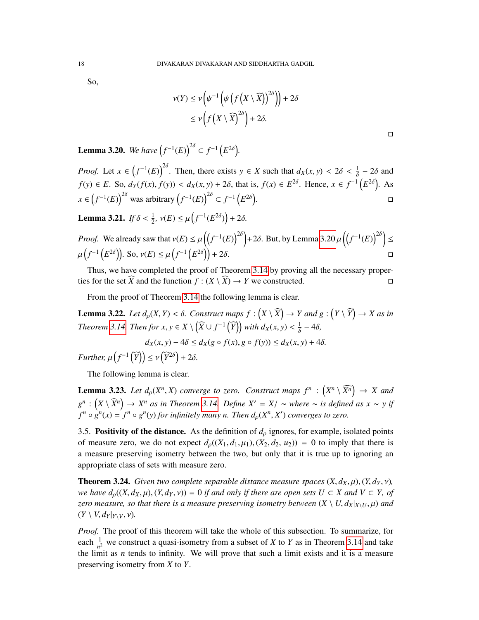So,

$$
\nu(Y) \le \nu \left( \psi^{-1} \left( \psi \left( f \left( X \setminus \widehat{X} \right) \right)^{2\delta} \right) \right) + 2\delta
$$
  
 
$$
\le \nu \left( f \left( X \setminus \widehat{X} \right)^{2\delta} \right) + 2\delta.
$$

 $\Box$ 

<span id="page-17-0"></span>**Lemma 3.20.** We have  $(f^{-1}(E))^{2\delta} \subset f^{-1}(E^{2\delta})$ .

*Proof.* Let  $x \in (f^{-1}(E))^{2\delta}$ . Then, there exists  $y \in X$  such that  $d_X(x, y) < 2\delta < \frac{1}{\delta} - 2\delta$  and  $f(y) \in E$ . So,  $d_Y(f(x), f(y)) < d_X(x, y) + 2\delta$ , that is,  $f(x) \in E^{2\delta}$ . Hence,  $x \in f^{-1}(E^{2\delta})$ . As *x* ∈  $(f^{-1}(E))$ <sup>2δ</sup> was arbitrary  $(f^{-1}(E))$ <sup>2δ</sup> ⊂  $f^{-1}(E^{2\delta})$ .

<span id="page-17-1"></span>**Lemma 3.21.** *If*  $\delta < \frac{1}{2}$ ,  $v(E) \le \mu(f^{-1}(E^{2\delta})) + 2\delta$ .

*Proof.* We already saw that 
$$
v(E) \le \mu \left( \left( f^{-1}(E) \right)^{2\delta} \right) + 2\delta
$$
. But, by Lemma 3.20  $\mu \left( \left( f^{-1}(E) \right)^{2\delta} \right) \le \mu \left( f^{-1} \left( E^{2\delta} \right) \right)$ . So,  $v(E) \le \mu \left( f^{-1} \left( E^{2\delta} \right) \right) + 2\delta$ .

Thus, we have completed the proof of Theorem [3.14](#page-14-1) by proving all the necessary properties for the set  $\widehat{X}$  and the function  $f : (X \setminus \widehat{X}) \to Y$  we constructed.

From the proof of Theorem [3.14](#page-14-1) the following lemma is clear.

**Lemma 3.22.** *Let*  $d_p(X, Y) < \delta$ . *Construct maps*  $f : (X \setminus \widehat{X}) \to Y$  *and*  $g : (Y \setminus \widehat{Y}) \to X$  *as in Theorem* [3.14.](#page-14-1) *Then for*  $x, y \in X \setminus (\widehat{X} \cup f^{-1}(\widehat{Y}))$  *with*  $d_X(x, y) < \frac{1}{\delta} - 4\delta$ *,* 

$$
d_X(x, y) - 4\delta \le d_X(g \circ f(x), g \circ f(y)) \le d_X(x, y) + 4\delta.
$$

*Further,*  $\mu\left(f^{-1}\left(\widehat{Y}\right)\right) \leq \nu\left(\widehat{Y}^{2\delta}\right) + 2\delta.$ 

The following lemma is clear.

**Lemma 3.23.** *Let*  $d_p(X^n, X)$  *converge to zero. Construct maps*  $f^n : \left(X^n \setminus \widehat{X^n}\right) \to X$  *and*  $g^n$  :  $(X \setminus \widehat{X}^n) \to X^n$  *as in Theorem [3.14.](#page-14-1) Define X'* = *X*/ ∼ *where* ∼ *is defined as x* ∼ *y if*  $f^n \circ g^n(x) = f^n \circ g^n(y)$  for infinitely many n. Than d.  $(X^n, X')$  converges to zero.  $f^n \circ g^n(x) = f^n \circ g^n(y)$  *for infinitely many n. Then*  $d_p(X^n, X')$  *converges to zero.* 

3.5. Positivity of the distance. As the definition of  $d<sub>\rho</sub>$  ignores, for example, isolated points of measure zero, we do not expect  $d_p((X_1, d_1, \mu_1), (X_2, d_2, u_2)) = 0$  to imply that there is a measure preserving isometry between the two, but only that it is true up to ignoring an appropriate class of sets with measure zero.

<span id="page-17-2"></span>**Theorem 3.24.** *Given two complete separable distance measure spaces*  $(X, d_X, \mu)$ ,  $(Y, d_Y, \nu)$ , *we have*  $d_p((X, d_X, \mu), (Y, d_Y, \nu)) = 0$  *if and only if there are open sets*  $U \subset X$  *and*  $V \subset Y$ *, of zero measure, so that there is a measure preserving isometry between*  $(X \setminus U, d_X|_{X \setminus U}, \mu)$  and  $(Y \setminus V, d_Y|_{Y\setminus V}, \nu)$ .

*Proof.* The proof of this theorem will take the whole of this subsection. To summarize, for each  $\frac{1}{n^2}$  we construct a quasi-isometry from a subset of *X* to *Y* as in Theorem [3.14](#page-14-1) and take the limit as *n* tends to infinity. We will prove that such a limit exists and it is a measure preserving isometry from *X* to *Y*.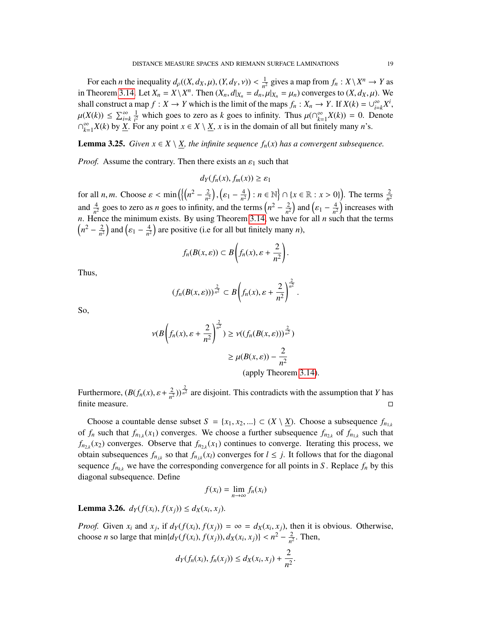For each *n* the inequality  $d_p((X, d_X, \mu), (Y, d_Y, \nu)) < \frac{1}{n^2}$ <br>Theorem 3.14, Let  $Y = Y \setminus Y^n$ . Then  $(Y, d|_{Y}) = d$  $\frac{1}{n^2}$  gives a map from  $f_n: X \setminus X^n \to Y$  as in Theorem [3.14.](#page-14-1) Let  $X_n = X \setminus X^n$ . Then  $(X_n, d|_{X_n} = d_n, \mu|_{X_n} = \mu_n$  converges to  $(X, d_X, \mu)$ . We shall construct a map  $f : X \to Y$  which is the limit of the maps  $f : Y \to Y$ . If  $Y(h) = \mu^\infty Y$ shall construct a map  $f : X \to Y$  which is the limit of the maps  $f_n : X_n \to Y$ . If  $X(k) = \bigcup_{i=1}^{\infty} X(i)$  $\sum_{i=k}^{\infty} X^i$ ,  $\mu(X(k)) \leq \sum_{i=k}^{\infty} \frac{1}{i^2}$ <br>  $\cap^{\infty}$   $Y(k)$  by  $Y$  E  $\frac{1}{l^2}$  which goes to zero as *k* goes to infinity. Thus  $\mu(\bigcap_{k=1}^{\infty}$  $\sum_{k=1}^{\infty} X(k) = 0$ . Denote  $\bigcap_{k=1}^{\infty}$  $\sum_{k=1}^{\infty} X(k)$  by <u>X</u>. For any point  $x \in X \setminus \underline{X}$ , *x* is in the domain of all but finitely many *n*'s.

**Lemma 3.25.** *Given*  $x \in X \setminus X$ *, the infinite sequence*  $f_n(x)$  *has a convergent subsequence.* 

*Proof.* Assume the contrary. Then there exists an  $\varepsilon_1$  such that

$$
d_Y(f_n(x), f_m(x)) \ge \varepsilon_1
$$

for all *n*, *m*. Choose  $\varepsilon < \min\left(\left\{\left(n^2 - \frac{2}{n^2}\right)\right\}$  $\left(\frac{2}{n^2}\right), \left(\varepsilon_1 - \frac{4}{n^2}\right)$ and  $\frac{4}{n^2}$  goes to zero as *n* goes to infinity, and the terms  $\left(n^2 - \frac{2}{n^2}\right)$  $\left(\frac{4}{n^2}\right)$  : *n* ∈ ℕ  $\left\{\cap \{x \in \mathbb{R} : x > 0\}\right\}$ . The terms  $\frac{2}{n^2}$  $\left(\frac{2}{n^2}\right)$  and  $\left(\varepsilon_1 - \frac{4}{n^2}\right)$  $\frac{4}{n^2}$ ) increases with *n*. Hence the minimum exists. By using Theorem [3.14,](#page-14-1) we have for all *n* such that the terms  $\left(n^2 - \frac{2}{n^2}\right)$  $\frac{2}{n^2}$  and  $\left(\varepsilon_1 - \frac{4}{n^2}\right)$  $\frac{4}{n^2}$  are positive (i.e for all but finitely many *n*),

$$
f_n(B(x, \varepsilon)) \subset B\left(f_n(x), \varepsilon + \frac{2}{n^2}\right).
$$

Thus,

$$
(f_n(B(x,\varepsilon)))^{\frac{2}{n^2}} \subset B\bigg(f_n(x),\varepsilon+\frac{2}{n^2}\bigg)^{\frac{2}{n^2}}.
$$

So,

$$
\nu(B\left(f_n(x), \varepsilon + \frac{2}{n^2}\right)^{\frac{2}{n^2}}) \ge \nu((f_n(B(x, \varepsilon)))^{\frac{2}{n^2}})
$$
  
 
$$
\ge \mu(B(x, \varepsilon)) - \frac{2}{n^2}
$$
  
(apply Theorem 3.14).

Furthermore,  $(B(f_n(x), \varepsilon + \frac{2}{n^2}))$  $\frac{2}{n^2}$ )) $\frac{2}{n^2}$  are disjoint. This contradicts with the assumption that *Y* has finite measure.  $\Box$ 

Choose a countable dense subset  $S = \{x_1, x_2, ...\} \subset (X \setminus \underline{X})$ . Choose a subsequence  $f_{n_{1,k}}$ of  $f_n$  such that  $f_{n_{1,k}}(x_1)$  converges. We choose a further subsequence  $f_{n_{2,k}}$  of  $f_{n_{1,k}}$  such that  $f_{n_{2,k}}(x_2)$  converges. Observe that  $f_{n_{2,k}}(x_1)$  continues to converge. Iterating this process, we obtain subsequences  $f_{n_{jk}}$  so that  $f_{n_{jk}}(x_l)$  converges for  $l \leq j$ . It follows that for the diagonal sequence  $f_{n_{kk}}$  we have the corresponding convergence for all points in *S*. Replace  $f_n$  by this diagonal subsequence. Define

$$
f(x_i) = \lim_{n \to \infty} f_n(x_i)
$$

<span id="page-18-0"></span>Lemma 3.26.  $d_Y(f(x_i), f(x_j)) \le d_X(x_i, x_j)$ .

*Proof.* Given  $x_i$  and  $x_j$ , if  $d_Y(f(x_i), f(x_j)) = \infty = d_X(x_i, x_j)$ , then it is obvious. Otherwise, choose *n* so large that  $\min\{d_Y(f(x_i), f(x_j)), d_X(x_i, x_j)\} < n^2 - \frac{2}{n^2}$  $\frac{2}{n^2}$ . Then,

$$
d_Y(f_n(x_i), f_n(x_j)) \leq d_X(x_i, x_j) + \frac{2}{n^2}
$$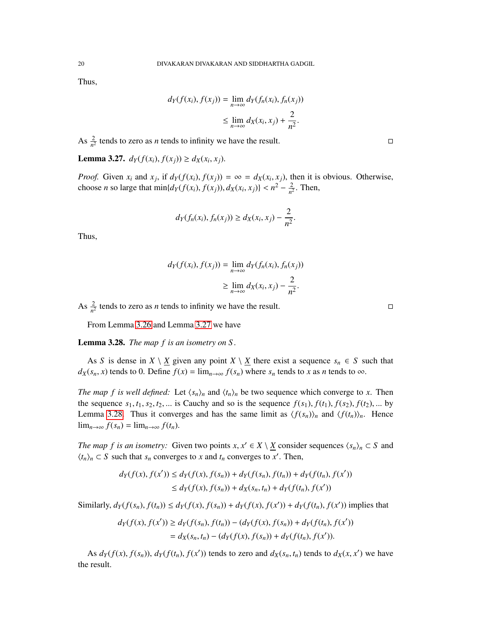Thus,

$$
d_Y(f(x_i), f(x_j)) = \lim_{n \to \infty} d_Y(f_n(x_i), f_n(x_j))
$$
  

$$
\leq \lim_{n \to \infty} d_X(x_i, x_j) + \frac{2}{n^2}.
$$

As  $\frac{2}{n^2}$  tends to zero as *n* tends to infinity we have the result.

<span id="page-19-0"></span>**Lemma 3.27.** *d*<sub>*Y*</sub>(*f*(*x*<sub>*i*</sub>), *f*(*x*<sub>*j*</sub>)) ≥ *d*<sub>*X*</sub>(*x*<sub>*i*</sub>, *x*<sub>*j*</sub>).

*Proof.* Given  $x_i$  and  $x_j$ , if  $d_Y(f(x_i), f(x_j)) = \infty = d_X(x_i, x_j)$ , then it is obvious. Otherwise, choose *n* so large that  $\min\{d_Y(f(x_i), f(x_j)), d_X(x_i, x_j)\} < n^2 - \frac{2}{n^2}$  $\frac{2}{n^2}$ . Then,

$$
d_Y(f_n(x_i), f_n(x_j)) \ge d_X(x_i, x_j) - \frac{2}{n^2}.
$$

Thus,

$$
d_Y(f(x_i), f(x_j)) = \lim_{n \to \infty} d_Y(f_n(x_i), f_n(x_j))
$$
  

$$
\geq \lim_{n \to \infty} d_X(x_i, x_j) - \frac{2}{n^2}.
$$

As  $\frac{2}{n^2}$  tends to zero as *n* tends to infinity we have the result.

From Lemma [3.26](#page-18-0) and Lemma [3.27](#page-19-0) we have

<span id="page-19-1"></span>Lemma 3.28. *The map f is an isometry on S .*

As *S* is dense in *X*  $\setminus$  *X* given any point *X*  $\setminus$  *X* there exist a sequence  $s_n \in S$  such that  $d_X(s_n, x)$  tends to 0. Define  $f(x) = \lim_{n \to \infty} f(s_n)$  where  $s_n$  tends to *x* as *n* tends to ∞.

*The map f is well defined:* Let  $\langle s_n \rangle_n$  and  $\langle t_n \rangle_n$  be two sequence which converge to *x*. Then the sequence  $s_1, t_1, s_2, t_2, \ldots$  is Cauchy and so is the sequence  $f(s_1)$ ,  $f(t_1)$ ,  $f(s_2)$ ,  $f(t_2)$ , ... by Lemma [3.28.](#page-19-1) Thus it converges and has the same limit as  $\langle f(s_n) \rangle_n$  and  $\langle f(t_n) \rangle_n$ . Hence lim<sub>*n*→∞</sub>  $f(s_n) = \lim_{n \to \infty} f(t_n)$ .

*The map f is an isometry:* Given two points  $x, x' \in X \setminus \underline{X}$  consider sequences  $\langle s_n \rangle_n \subset S$  and  $\langle t \rangle \subset S$  such that separations to  $x'$  and the sequence  $\langle s_n \rangle_n \subset S$  and  $\langle t_n \rangle_n \subset S$  such that  $s_n$  converges to *x* and  $t_n$  converges to *x*'. Then,

$$
d_Y(f(x), f(x')) \le d_Y(f(x), f(s_n)) + d_Y(f(s_n), f(t_n)) + d_Y(f(t_n), f(x'))
$$
  

$$
\le d_Y(f(x), f(s_n)) + d_X(s_n, t_n) + d_Y(f(t_n), f(x'))
$$

Similarly,  $d_Y(f(s_n), f(t_n)) \le d_Y(f(x), f(s_n)) + d_Y(f(x), f(x')) + d_Y(f(t_n), f(x'))$  implies that

$$
d_Y(f(x), f(x')) \ge d_Y(f(s_n), f(t_n)) - (d_Y(f(x), f(s_n)) + d_Y(f(t_n), f(x'))
$$
  
=  $d_X(s_n, t_n) - (d_Y(f(x), f(s_n)) + d_Y(f(t_n), f(x'))$ .

As  $d_Y(f(x), f(s_n))$ ,  $d_Y(f(t_n), f(x'))$  tends to zero and  $d_X(s_n, t_n)$  tends to  $d_X(x, x')$  we have the result.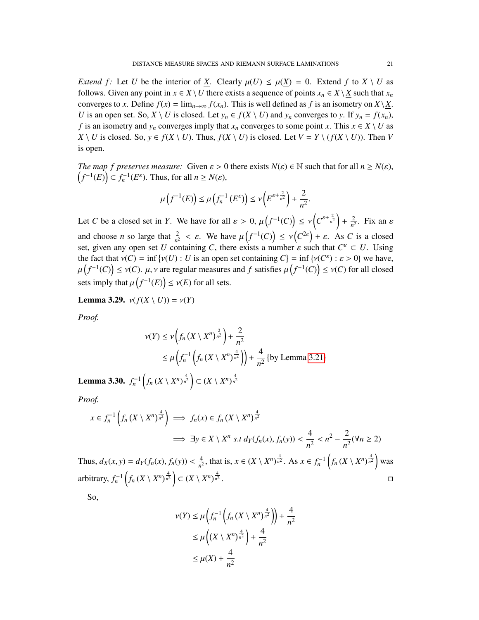*Extend f:* Let *U* be the interior of *X*. Clearly  $\mu(U) \le \mu(X) = 0$ . Extend *f* to  $X \setminus U$  as follows. Given any point in  $x \in X \setminus U$  there exists a sequence of points  $x_n \in X \setminus X$  such that  $x_n$ converges to *x*. Define  $f(x) = \lim_{n \to \infty} f(x_n)$ . This is well defined as *f* is an isometry on  $X \setminus X$ . *U* is an open set. So,  $X \setminus U$  is closed. Let  $y_n \in f(X \setminus U)$  and  $y_n$  converges to  $y$ . If  $y_n = f(x_n)$ , *f* is an isometry and  $y_n$  converges imply that  $x_n$  converges to some point *x*. This  $x \in X \setminus U$  as *X*  $\setminus$  *U* is closed. So, *y* ∈ *f*(*X*  $\setminus$  *U*). Thus, *f*(*X*  $\setminus$  *U*) is closed. Let *V* = *Y*  $\setminus$  (*f*(*X*  $\setminus$  *U*)). Then *V* is open.

*The map f preserves measure:* Given  $\varepsilon > 0$  there exists  $N(\varepsilon) \in \mathbb{N}$  such that for all  $n \ge N(\varepsilon)$ ,  $(f^{-1}(E)) \subset f_n^{-1}(E^{\varepsilon})$ . Thus, for all  $n \ge N(\varepsilon)$ ,

$$
\mu\left(f^{-1}(E)\right) \leq \mu\left(f_n^{-1}\left(E^{\varepsilon}\right)\right) \leq \nu\left(E^{\varepsilon+\frac{2}{n^2}}\right) + \frac{2}{n^2}.
$$

Let *C* be a closed set in *Y*. We have for all  $\varepsilon > 0$ ,  $\mu(f^{-1}(C)) \le \nu(C^{\varepsilon + \frac{2}{n^2}}) + \frac{2}{n^2}$  $\frac{2}{n^2}$ . Fix an *ε* and choose *n* so large that  $\frac{2}{n^2} < \varepsilon$ . We have  $\mu(f^{-1}(C)) \le \nu(C^{2\varepsilon}) + \varepsilon$ . As *C* is a closed set, given any open set *U* containing *C*, there exists a number  $\varepsilon$  such that  $C^{\varepsilon} \subset U$ . Using the feat that  $v(C) = \inf \{v(L) : U \text{ is an open set containing } C\} = \inf \{v(C^{\varepsilon}) : \varepsilon > 0\}$  we have the fact that  $v(C) = \inf \{v(U) : U \text{ is an open set containing } C\} = \inf \{v(C^{\varepsilon}) : \varepsilon > 0\}$  we have,<br>  $u(f^{-1}(C)) \leq v(C)$  is not require measures and f estisfies  $u(f^{-1}(C)) \leq v(C)$  for all algoed  $\mathbf{r}$  $(f^{-1}(C)) \le v(C)$ .  $\mu$ ,  $\nu$  are regular measures and *f* satisfies  $\mu\left(f^{-1}(C)\right) \le v(C)$  for all closed sets imply that  $\mu\left(f^{-1}(E)\right) \le \nu(E)$  for all sets.

Lemma 3.29.  $v(f(X \setminus U)) = v(Y)$ 

*Proof.*

$$
\nu(Y) \le \nu \left( f_n \left( X \setminus X^n \right)^{\frac{2}{n^2}} \right) + \frac{2}{n^2}
$$
  
 
$$
\le \mu \left( f_n^{-1} \left( f_n \left( X \setminus X^n \right)^{\frac{4}{n^2}} \right) \right) + \frac{4}{n^2} \left\{ \text{by Lemma 3.21} \right\}
$$

Lemma 3.30.  $f_n^{-1}\left(f_n\left(X\setminus X^n\right)^{\frac{4}{n^2}}\right)\subset (X\setminus X^n)^{\frac{4}{n^2}}$ 

*Proof.*

$$
x \in f_n^{-1}\left(f_n\left(X \setminus X^n\right)^{\frac{4}{n^2}}\right) \implies f_n(x) \in f_n\left(X \setminus X^n\right)^{\frac{4}{n^2}}
$$
  

$$
\implies \exists y \in X \setminus X^n \text{ s.t } d_Y(f_n(x), f_n(y)) < \frac{4}{n^2} < n^2 - \frac{2}{n^2}(\forall n \ge 2)
$$

Thus,  $d_X(x, y) = d_Y(f_n(x), f_n(y)) < \frac{4}{n^2}$  $\frac{4}{n^2}$ , that is,  $x \in (X \setminus X^n)^{\frac{4}{n^2}}$ . As  $x \in f_n^{-1}(\int f_n(X \setminus X^n)^{\frac{4}{n^2}})$  was arbitrary,  $f_n^{-1}\left(f_n\left(X\setminus X^n\right)^{\frac{4}{n^2}}\right) \subset \left(X\setminus X^n\right)^{\frac{4}{n^2}}$ .

So,

$$
\nu(Y) \le \mu\left(f_n^{-1}\left(f_n\left(X \setminus X^n\right)^{\frac{4}{n^2}}\right)\right) + \frac{4}{n^2}
$$
  
\n
$$
\le \mu\left((X \setminus X^n)^{\frac{4}{n^2}}\right) + \frac{4}{n^2}
$$
  
\n
$$
\le \mu(X) + \frac{4}{n^2}
$$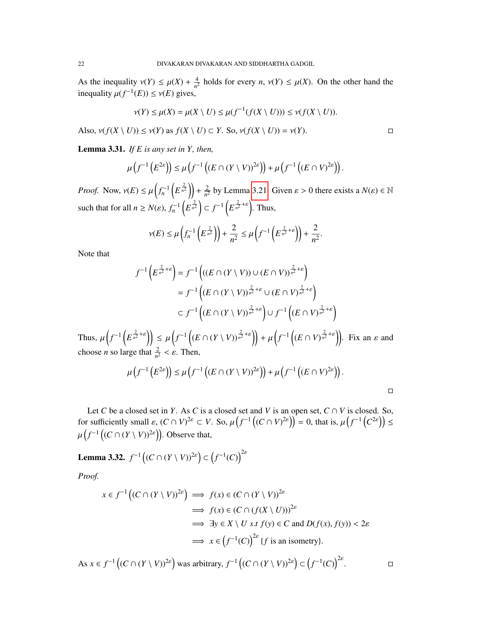As the inequality  $v(Y) \leq \mu(X) + \frac{4}{n^2}$  $\frac{4}{n^2}$  holds for every *n*,  $v(Y) \le \mu(X)$ . On the other hand the inequality  $\mu(f^{-1}(E)) \leq \nu(E)$  gives,

$$
\nu(Y) \le \mu(X) = \mu(X \setminus U) \le \mu(f^{-1}(f(X \setminus U))) \le \nu(f(X \setminus U)).
$$

Also,  $v(f(X \setminus U)) \le v(Y)$  as  $f(X \setminus U) \subset Y$ . So,  $v(f(X \setminus U)) = v(Y)$ .

Lemma 3.31. *If E is any set in Y, then,*

$$
\mu\left(f^{-1}\left(E^{2\varepsilon}\right)\right) \leq \mu\left(f^{-1}\left(\left(E \cap (Y \setminus V)\right)^{2\varepsilon}\right)\right) + \mu\left(f^{-1}\left(\left(E \cap V\right)^{2\varepsilon}\right)\right).
$$

*Proof.* Now,  $v(E) \leq \mu \left( f_n^{-1} \left( E^{\frac{2}{n^2}} \right) \right) + \frac{2}{n^2}$  $\frac{2}{n^2}$  by Lemma [3.21.](#page-17-1) Given  $\varepsilon > 0$  there exists a  $N(\varepsilon) \in \mathbb{N}$ such that for all  $n \ge N(\varepsilon)$ ,  $f_n^{-1}\left(E^{\frac{2}{n^2}}\right) \subset f^{-1}\left(E^{\frac{2}{n^2}+\varepsilon}\right)$ . Thus,

$$
\nu(E) \le \mu\left(f_n^{-1}\left(E^{\frac{2}{n^2}}\right)\right) + \frac{2}{n^2} \le \mu\left(f^{-1}\left(E^{\frac{2}{n^2} + \varepsilon}\right)\right) + \frac{2}{n^2}.
$$

Note that

$$
f^{-1}\left(E^{\frac{2}{n^2}+\varepsilon}\right) = f^{-1}\left(((E \cap (Y \setminus V)) \cup (E \cap V))^{\frac{2}{n^2}+\varepsilon}\right)
$$
  
= 
$$
f^{-1}\left((E \cap (Y \setminus V))^{\frac{2}{n^2}+\varepsilon} \cup (E \cap V)^{\frac{2}{n^2}+\varepsilon}\right)
$$
  

$$
\subset f^{-1}\left((E \cap (Y \setminus V))^{\frac{2}{n^2}+\varepsilon}\right) \cup f^{-1}\left((E \cap V)^{\frac{2}{n^2}+\varepsilon}\right)
$$

Thus,  $\mu\left(f^{-1}\left(E^{\frac{2}{n^2}+\varepsilon}\right)\right) \leq \mu\left(f^{-1}\left((E \cap (Y \setminus V))^{\frac{2}{n^2}+\varepsilon}\right)\right) + \mu\left(f^{-1}\left((E \cap V)^{\frac{2}{n^2}+\varepsilon}\right)\right)$ . Fix an  $\varepsilon$  and choose *n* so large that  $\frac{2}{n^2} < \varepsilon$ . Then,

$$
\mu\left(f^{-1}\left(E^{2\varepsilon}\right)\right) \leq \mu\left(f^{-1}\left((E \cap (Y \setminus V))^{2\varepsilon}\right)\right) + \mu\left(f^{-1}\left((E \cap V)^{2\varepsilon}\right)\right).
$$

Let *C* be a closed set in *Y*. As *C* is a closed set and *V* is an open set,  $C \cap V$  is closed. So, for sufficiently small  $\varepsilon$ ,  $(C \cap V)^{2\varepsilon} \subset V$ . So,  $\mu(f^{-1}((C \cap V)^{2\varepsilon})) = 0$ , that is,  $\mu(f^{-1}(C^{2\varepsilon})) \le$  $\mathbf{r}$  $(f^{-1}((C \cap (Y \setminus V))^{2\varepsilon})$ . Observe that,

**Lemma 3.32.**  $f^{-1}((C \cap (Y \setminus V))^{2\varepsilon}) \subset (f^{-1}(C))^{2\varepsilon}$ 

*Proof.*

$$
x \in f^{-1} \left( (C \cap (Y \setminus V))^{2\varepsilon} \right) \implies f(x) \in (C \cap (Y \setminus V))^{2\varepsilon}
$$
  
\n
$$
\implies f(x) \in (C \cap (f(X \setminus U)))^{2\varepsilon}
$$
  
\n
$$
\implies \exists y \in X \setminus U \text{ s.t } f(y) \in C \text{ and } D(f(x), f(y)) < 2\varepsilon
$$
  
\n
$$
\implies x \in (f^{-1}(C))^{2\varepsilon} \{f \text{ is an isometry}\}.
$$

As  $x \in f^{-1}((C \cap (Y \setminus V))^{2\varepsilon})$  was arbitrary,  $f^{-1}((C \cap (Y \setminus V))^{2\varepsilon}) \subset (f^{-1}(C))^{2\varepsilon}$ .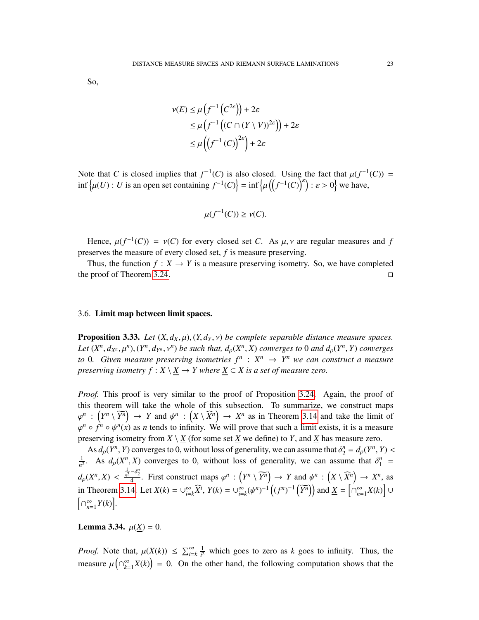So,

$$
\nu(E) \le \mu\left(f^{-1}\left(C^{2\varepsilon}\right)\right) + 2\varepsilon
$$
  
\n
$$
\le \mu\left(f^{-1}\left(\left(C \cap (Y \setminus V)\right)^{2\varepsilon}\right)\right) + 2\varepsilon
$$
  
\n
$$
\le \mu\left(\left(f^{-1}\left(C\right)\right)^{2\varepsilon}\right) + 2\varepsilon
$$

Note that *C* is closed implies that  $f^{-1}(C)$  is also closed. Using the fact that  $\mu(f^{-1}(C)) = \inf_{\alpha} \{ \mu(I) : U \text{ is an open set containing } f^{-1}(C) \} = \inf_{\alpha} \{ \mu(f^{-1}(C))^{\delta} \}$ ; a a close have  $\inf \{ \mu(U) : U \text{ is an open set containing } f^{-1}(C) \} = \inf \{ \text{ }$  $\mathbf{r}$  $((f^{-1}(C))^{\epsilon}) : \epsilon > 0$  we have,

$$
\mu(f^{-1}(C)) \ge \nu(C).
$$

Hence,  $\mu(f^{-1}(C)) = \nu(C)$  for every closed set *C*. As  $\mu, \nu$  are regular measures and *f* persons the measure of every closed set *f* is measure preserving. preserves the measure of every closed set, *f* is measure preserving.

Thus, the function  $f: X \to Y$  is a measure preserving isometry. So, we have completed the proof of Theorem [3.24.](#page-17-2)

## 3.6. Limit map between limit spaces.

<span id="page-22-0"></span>**Proposition 3.33.** *Let*  $(X, d_X, \mu)$ ,  $(Y, d_Y, \nu)$  *be complete separable distance measure spaces.* Let  $(X^n, d_{X^n}, \mu^n)$ ,  $(Y^n, d_{Y^n}, v^n)$  be such that,  $d_{\rho}(X^n, X)$  converges to 0 and  $d_{\rho}(Y^n, Y)$  converges<br>to 0. Given measure preserving isometries  $f^n \sim X^n$ .  $X^n$  we can construct a measure *to* 0. Given measure preserving isometries  $f^n$  :  $X^n \rightarrow Y^n$  we can construct a measure *preserving isometry*  $f : X \setminus X \to Y$  where  $X \subset X$  *is a set of measure zero.* 

*Proof.* This proof is very similar to the proof of Proposition [3.24.](#page-17-2) Again, the proof of this theorem will take the whole of this subsection. To summarize, we construct maps  $\varphi^n \circ f^n \circ \psi^n(x)$  as *n* tends to infinity. We will prove that such a limit exists, it is a measure  $\chi^n$  :  $(Y^n \setminus \widetilde{Y}^n) \to Y$  and  $\psi^n$  :  $(X \setminus \widehat{X}^n) \to X^n$  as in Theorem [3.14](#page-14-1) and take the limit of  $n \circ f^n$  or  $\chi^n(x)$  as *n* tonds to infinity. We will prove that such a limit oxists it is a magnum preserving isometry from  $X \setminus \underline{X}$  (for some set  $\underline{X}$  we define) to *Y*, and  $\underline{X}$  has measure zero.

As  $d_{\rho}(Y^n, Y)$  converges to 0, without loss of generality, we can assume that  $\delta_2^n = d_{\rho}(Y^n, Y) < \delta_2$  *d* (*Y<sup>n</sup>*, *Y*) converges to 0, without loss of generality, we can assume that  $S^n$ 1  $\frac{1}{n^2}$ . As  $d_p(X^n, X)$  converges to 0, without loss of generality, we can assume that  $\delta_1^n =$  $d_p(X^n, X) < \frac{\frac{1}{n^2} - \delta_2^n}{4}$ . First construct maps  $\varphi^n : (Y^n \setminus \widetilde{Y^n}) \to Y$  and  $\psi^n : (X \setminus \widehat{X^n}) \to X^n$ , as in Theorem [3.14.](#page-14-1) Let  $X(k) = \bigcup_{i=1}^{\infty}$  $\sum_{i=k}^{\infty} \widehat{X}^i$ ,  $Y(k) = \bigcup_{i=1}^{\infty}$  $\sum_{i=k}^{\infty} (\psi^n)^{-1} \left( (f^n)^{-1} \left( \widetilde{Y^n} \right) \right)$  and  $\underline{X} = \left[ \bigcap_{n=k}^{\infty} \right]$  $\sum_{n=1}^{\infty} X(k)$  ∪ h ∩ ∞  $\sum_{n=1}^{\infty} Y(k)$ .

**Lemma 3.34.**  $\mu(X) = 0$ .

*Proof.* Note that,  $\mu(X(k)) \leq \sum_{i=k}^{\infty} \frac{1}{i^2}$  $\frac{1}{i^2}$  which goes to zero as *k* goes to infinity. Thus, the measure  $\mu\left(\bigcap_{k=1}^{\infty}$  $\binom{\infty}{k-1}X(k)$  = 0. On the other hand, the following computation shows that the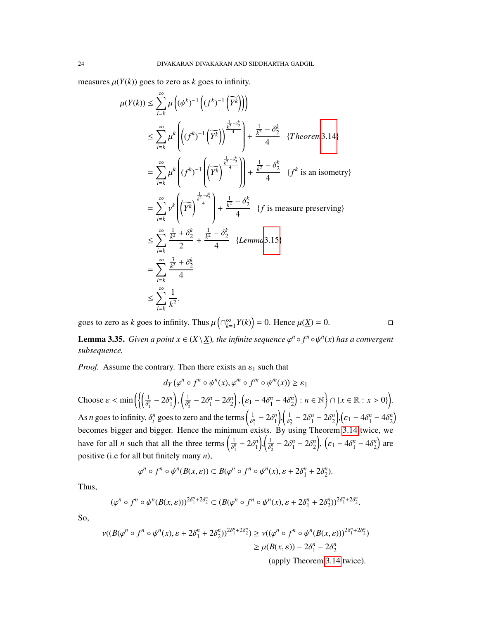measures  $\mu(Y(k))$  goes to zero as *k* goes to infinity.

$$
\mu(Y(k)) \leq \sum_{i=k}^{\infty} \mu \left( (\psi^k)^{-1} \left( (f^k)^{-1} \left( \widetilde{Y^k} \right) \right) \right)
$$
  
\n
$$
\leq \sum_{i=k}^{\infty} \mu^k \left( \left( (f^k)^{-1} \left( \widetilde{Y^k} \right) \right)^{\frac{\frac{1}{k^2} - \delta_2^k}{4}} \right) + \frac{\frac{1}{k^2} - \delta_2^k}{4} \quad \{Theorem 3.14\}
$$
  
\n
$$
= \sum_{i=k}^{\infty} \mu^k \left( (f^k)^{-1} \left( \widetilde{Y^k} \right)^{\frac{\frac{1}{k^2} - \delta_2^k}{4}} \right) \right) + \frac{\frac{1}{k^2} - \delta_2^k}{4} \quad \{f^k \text{ is an isometry} \}
$$
  
\n
$$
= \sum_{i=k}^{\infty} \nu^k \left( \widetilde{Y^k} \right)^{\frac{\frac{1}{k^2} - \delta_2^k}{4}} + \frac{\frac{1}{k^2} - \delta_2^k}{4} \quad \{f \text{ is measure preserving} \}
$$
  
\n
$$
\leq \sum_{i=k}^{\infty} \frac{\frac{1}{k^2} + \delta_2^k}{2} + \frac{\frac{1}{k^2} - \delta_2^k}{4} \quad \{Lemma 3.15\}
$$
  
\n
$$
= \sum_{i=k}^{\infty} \frac{\frac{3}{k^2} + \delta_2^k}{4}
$$
  
\n
$$
\leq \sum_{i=k}^{\infty} \frac{1}{k^2}.
$$

goes to zero as *k* goes to infinity. Thus  $\mu\left(\bigcap_{k=1}^{\infty} I_k\right)$  $\sum_{k=1}^{\infty} Y(k) = 0$ . Hence  $\mu(\underline{X}) = 0$ .

**Lemma 3.35.** *Given a point*  $x \in (X \setminus \underline{X})$ *, the infinite sequence*  $\varphi^n \circ f^n \circ \psi^n(x)$  *has a convergent* subsequence *subsequence.*

*Proof.* Assume the contrary. Then there exists an  $\varepsilon_1$  such that

$$
d_Y(\varphi^n \circ f^n \circ \psi^n(x), \varphi^m \circ f^m \circ \psi^m(x)) \ge \varepsilon_1
$$
  
Choose  $\varepsilon < \min \left( \left\{ \left( \frac{1}{\delta_1^n} - 2\delta_1^n \right), \left( \frac{1}{\delta_2^n} - 2\delta_1^n - 2\delta_2^n \right), \left( \varepsilon_1 - 4\delta_1^n - 4\delta_2^n \right) : n \in \mathbb{N} \right\} \cap \{x \in \mathbb{R} : x > 0 \} \right).$   
As *n* goes to infinity,  $\delta_i^n$  goes to zero and the terms  $\left( \frac{1}{\delta_1^n} - 2\delta_1^n \right), \left( \frac{1}{\delta_2^n} - 2\delta_1^n - 2\delta_2^n \right), \left( \varepsilon_1 - 4\delta_1^n - 4\delta_2^n \right)$   
becomes bigger and bigger. Hence the minimum exists. By using Theorem 3.14 twice, we have for all *n* such that all the three terms  $\left( \frac{1}{\delta_1^n} - 2\delta_1^n \right), \left( \frac{1}{\delta_2^n} - 2\delta_1^n - 2\delta_2^n \right), \left( \varepsilon_1 - 4\delta_1^n - 4\delta_2^n \right)$  are positive (i.e for all but finitely many *n*),

$$
\varphi^n \circ f^n \circ \psi^n(B(x,\varepsilon)) \subset B(\varphi^n \circ f^n \circ \psi^n(x), \varepsilon + 2\delta_1^n + 2\delta_2^n).
$$

Thus,

$$
(\varphi^n \circ f^n \circ \psi^n(B(x,\varepsilon)))^{2\delta_1^n + 2\delta_2^n} \subset (B(\varphi^n \circ f^n \circ \psi^n(x), \varepsilon + 2\delta_1^n + 2\delta_2^n))^{2\delta_1^n + 2\delta_2^n}.
$$

So,

$$
\nu((B(\varphi^n \circ f^n \circ \psi^n(x), \varepsilon + 2\delta_1^n + 2\delta_2^n))^{\frac{2\delta_1^n + 2\delta_2^n}{n}}) \ge \nu((\varphi^n \circ f^n \circ \psi^n(B(x, \varepsilon)))^{2\delta_1^n + 2\delta_2^n})
$$
  

$$
\ge \mu(B(x, \varepsilon)) - 2\delta_1^n - 2\delta_2^n
$$

(apply Theorem [3.14](#page-14-1) twice).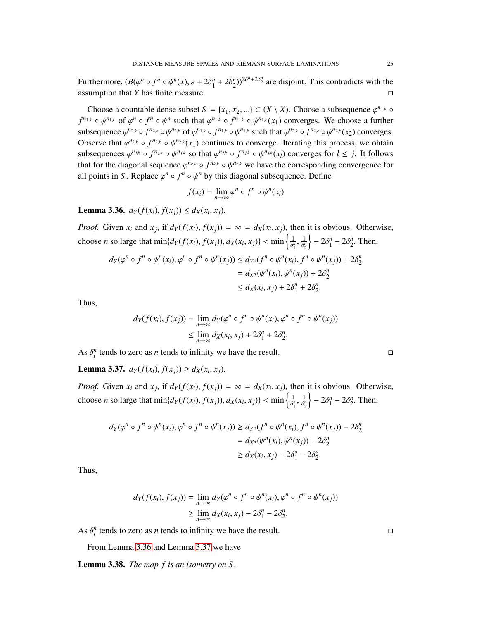Furthermore,  $(B(\varphi^n \circ f^n \circ \psi^n(x), \varepsilon + 2\delta_1^n + 2\delta_2^n))^{\frac{2\delta_1^n + 2\delta_2^n}{n}}$  are disjoint. This contradicts with the assumption that *Y* has finite measure.

Choose a countable dense subset  $S = \{x_1, x_2, ...\} \subset (X \setminus \underline{X})$ . Choose a subsequence  $\varphi^{n_{1,k}} \circ$  $f^{n_{1,k}} \circ \psi^{n_{1,k}}$  of  $\varphi^n \circ f^n \circ \psi^n$  such that  $\varphi^{n_{1,k}} \circ f^{n_{1,k}} \circ \psi^{n_{1,k}}(x_1)$  converges. We choose a further subsequence  $\varphi^{n_{2,k}} \circ f^{n_{2,k}} \circ \psi^{n_{2,k}}$  of  $\varphi^{n_{1,k}} \circ f^{n_{1,k}} \circ \psi^{n_{1,k}}$  such that  $\varphi^{n_{2,k}} \circ f^{n_{2,k}} \circ \psi^{n_{2,k}}(x_2)$  converges. Observe that  $\varphi^{n_{2,k}} \circ f^{n_{2,k}} \circ \psi^{n_{2,k}}(x_1)$  continues to converge. Iterating this process, we obtain subsequences  $\varphi^{n_{jk}} \circ f^{n_{jk}} \circ \psi^{n_{jk}}$  so that  $\varphi^{n_{jk}} \circ f^{n_{jk}} \circ \psi^{n_{jk}}(x_l)$  converges for  $l \leq j$ . It follows that for the diagonal sequence  $\varphi^{n_{k,k}} \circ f^{n_{k,k}} \circ \psi^{n_{k,k}}$  we have the corresponding convergence for all points in  $S$ . Bonlace  $\varphi^{n_k} \circ f^{n_k} \circ \psi^{n_k}$  by this diagonal subsequence. Define all points in *S*. Replace  $\varphi^n \circ f^n \circ \psi^n$  by this diagonal subsequence. Define

$$
f(x_i) = \lim_{n \to \infty} \varphi^n \circ f^n \circ \psi^n(x_i)
$$

<span id="page-24-0"></span>**Lemma 3.36.**  $d_Y(f(x_i), f(x_j)) \leq d_X(x_i, x_j)$ .

*Proof.* Given  $x_i$  and  $x_j$ , if  $d_Y(f(x_i), f(x_j)) = \infty = d_X(x_i, x_j)$ , then it is obvious. Otherwise, choose *n* so large that  $\min\{d_Y(f(x_i), f(x_j)), d_X(x_i, x_j)\} < \min\left\{\frac{1}{\delta_1^y}\right\}$  $\overline{\delta_1^n}$ , 1 δ *n* 2  $\left\}$  –  $2\delta_1^n$  –  $2\delta_2^n$ . Then,

$$
d_Y(\varphi^n \circ f^n \circ \psi^n(x_i), \varphi^n \circ f^n \circ \psi^n(x_j)) \le d_{Y^n}(f^n \circ \psi^n(x_i), f^n \circ \psi^n(x_j)) + 2\delta_2^n
$$
  
=  $d_{X^n}(\psi^n(x_i), \psi^n(x_j)) + 2\delta_2^n$   
 $\le d_X(x_i, x_j) + 2\delta_1^n + 2\delta_2^n$ .

Thus,

$$
d_Y(f(x_i), f(x_j)) = \lim_{n \to \infty} d_Y(\varphi^n \circ f^n \circ \psi^n(x_i), \varphi^n \circ f^n \circ \psi^n(x_j))
$$
  
 
$$
\leq \lim_{n \to \infty} d_X(x_i, x_j) + 2\delta_1^n + 2\delta_2^n.
$$

As  $\delta_i^n$  tends to zero as *n* tends to infinity we have the result.

<span id="page-24-1"></span>**Lemma 3.37.** *dY*(*f*(*x<sub>i</sub>*), *f*(*x<sub>j</sub>*)) ≥ *d<sub>X</sub>*(*x<sub>i</sub>*, *x<sub>j</sub>*).

*Proof.* Given  $x_i$  and  $x_j$ , if  $d_Y(f(x_i), f(x_j)) = \infty = d_X(x_i, x_j)$ , then it is obvious. Otherwise, choose *n* so large that  $\min\{d_Y(f(x_i), f(x_j)), d_X(x_i, x_j)\} < \min\left\{\frac{1}{\delta_1^y}\right\}$  $\overline{\delta_1^n}$ , 1  $\overline{\delta_2^n}$  $\Big\}$  – 2 $\delta_1^n$  – 2 $\delta_2^n$ . Then,

$$
d_Y(\varphi^n \circ f^n \circ \psi^n(x_i), \varphi^n \circ f^n \circ \psi^n(x_j)) \ge d_{Y^n}(f^n \circ \psi^n(x_i), f^n \circ \psi^n(x_j)) - 2\delta_2^n
$$
  
=  $d_{X^n}(\psi^n(x_i), \psi^n(x_j)) - 2\delta_2^n$   
 $\ge d_X(x_i, x_j) - 2\delta_1^n - 2\delta_2^n$ .

Thus,

$$
d_Y(f(x_i), f(x_j)) = \lim_{n \to \infty} d_Y(\varphi^n \circ f^n \circ \psi^n(x_i), \varphi^n \circ f^n \circ \psi^n(x_j))
$$
  
 
$$
\geq \lim_{n \to \infty} d_X(x_i, x_j) - 2\delta_1^n - 2\delta_2^n.
$$

As  $\delta_i^n$  tends to zero as *n* tends to infinity we have the result.

From Lemma [3.36](#page-24-0) and Lemma [3.37](#page-24-1) we have

<span id="page-24-2"></span>Lemma 3.38. *The map f is an isometry on S .*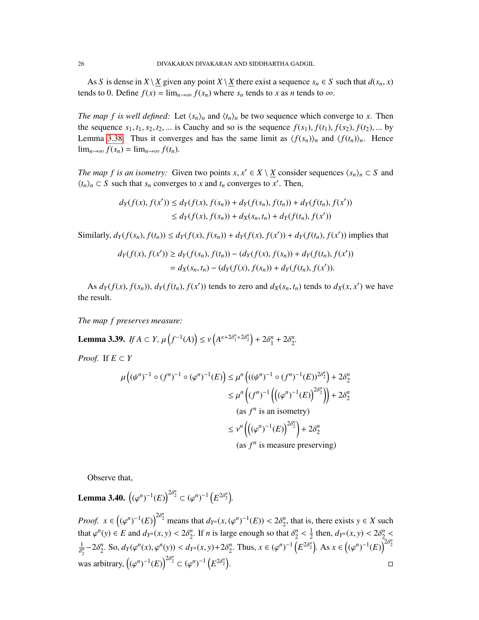As *S* is dense in *X* \ *X* given any point *X* \ *X* there exist a sequence  $s_n \in S$  such that  $d(s_n, x)$ tends to 0. Define  $f(x) = \lim_{n \to \infty} f(s_n)$  where  $s_n$  tends to *x* as *n* tends to  $\infty$ .

*The map f is well defined:* Let  $\langle s_n \rangle_n$  and  $\langle t_n \rangle_n$  be two sequence which converge to *x*. Then the sequence  $s_1, t_1, s_2, t_2, \ldots$  is Cauchy and so is the sequence  $f(s_1)$ ,  $f(t_1)$ ,  $f(s_2)$ ,  $f(t_2)$ , ... by Lemma [3.38.](#page-24-2) Thus it converges and has the same limit as  $\langle f(s_n) \rangle_n$  and  $\langle f(t_n) \rangle_n$ . Hence lim<sub>*n*→∞</sub>  $f(s_n) = \lim_{n \to \infty} f(t_n)$ .

*The map f is an isometry:* Given two points  $x, x' \in X \setminus \underline{X}$  consider sequences  $\langle s_n \rangle_n \subset S$  and  $\langle t \rangle \subset S$  such that separations and techniquences  $\langle s_n \rangle_n \subset S$  $\langle t_n \rangle_n \subset S$  such that  $s_n$  converges to *x* and  $t_n$  converges to *x*'. Then,

$$
d_Y(f(x), f(x')) \le d_Y(f(x), f(s_n)) + d_Y(f(s_n), f(t_n)) + d_Y(f(t_n), f(x'))
$$
  

$$
\le d_Y(f(x), f(s_n)) + d_X(s_n, t_n) + d_Y(f(t_n), f(x'))
$$

Similarly,  $d_Y(f(s_n), f(t_n)) \le d_Y(f(x), f(s_n)) + d_Y(f(x), f(x')) + d_Y(f(t_n), f(x'))$  implies that

$$
d_Y(f(x), f(x')) \ge d_Y(f(s_n), f(t_n)) - (d_Y(f(x), f(s_n)) + d_Y(f(t_n), f(x'))
$$
  
=  $d_X(s_n, t_n) - (d_Y(f(x), f(s_n)) + d_Y(f(t_n), f(x'))$ .

As  $d_Y(f(x), f(s_n))$ ,  $d_Y(f(t_n), f(x'))$  tends to zero and  $d_X(s_n, t_n)$  tends to  $d_X(x, x')$  we have the result.

*The map f preserves measure:*

Lemma 3.39. *If*  $A \subset Y$ ,  $\mu(f^{-1}(A)) \le \nu(A^{\varepsilon+2\delta_1^n + 2\delta_2^n}) + 2\delta_1^n + 2\delta_2^n$ .

*Proof.* If  $E \subset Y$ 

$$
\mu\left((\psi^n)^{-1} \circ (f^n)^{-1} \circ (\varphi^n)^{-1}(E)\right) \leq \mu^n \left(((\psi^n)^{-1} \circ (f^n)^{-1}(E))^{2\delta_2^n}\right) + 2\delta_2^n
$$
  
\n
$$
\leq \mu^n \left((f^n)^{-1} \left(\left((\varphi^n)^{-1}(E)\right)^{2\delta_2^n}\right)\right) + 2\delta_2^n
$$
  
\n(as  $f^n$  is an isometry)  
\n
$$
\leq \nu^n \left(\left((\varphi^n)^{-1}(E)\right)^{2\delta_2^n}\right) + 2\delta_2^n
$$
  
\n(as  $f^n$  is measure preserving)

Observe that,

**Lemma 3.40.**  $((\varphi^n)^{-1}(E))^{2\delta_2^n} \subset (\varphi^n)^{-1}(E^{2\delta_2^n})$ .

*Proof.*  $x \in ((\varphi^n)^{-1}(E))^{2\delta_2^n}$  means that  $d_{Y^n}(x, (\varphi^n)^{-1}(E)) < 2\delta_2^n$ , that is, there exists  $y \in X$  such that  $\mathbb{R}^n$ . that  $\varphi^n(y) \in E$  and  $d_{Y^n}(x, y) < 2\delta_2^n$ . If *n* is large enough so that  $\delta_2^n$  $\frac{1}{2} - 2\delta_2^n$ . So,  $d_Y(\varphi^n(x), \varphi^n(y)) < d_{Y^n}(x, y) + 2\delta_2^n$ . Thus,  $x \in (\varphi^n)^{-1} (E^{2\delta_2^n})$ . As  $x \in ((\varphi^n)^{-1}(E))^{2\delta_2^n}$ 1  $\frac{1}{2}$  then,  $d_{Y^n}(x, y) < 2\delta_2^n$ was arbitrary,  $((\varphi^n)^{-1}(E))^{2\delta_2^n} \subset (\varphi^n)^{-1}(E^{2\delta_2^n})$ .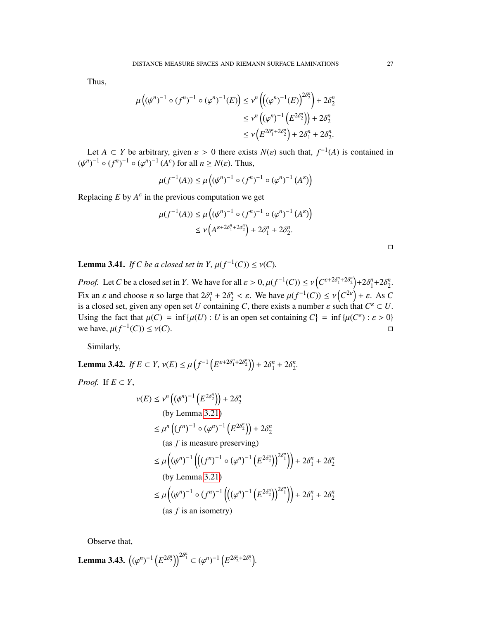Thus,

$$
\mu((\psi^n)^{-1} \circ (f^n)^{-1} \circ (\varphi^n)^{-1}(E)) \le \nu^n \left( \left( (\varphi^n)^{-1}(E) \right)^{2\delta_2^n} \right) + 2\delta_2^n
$$
  

$$
\le \nu^n \left( (\varphi^n)^{-1} \left( E^{2\delta_2^n} \right) \right) + 2\delta_2^n
$$
  

$$
\le \nu \left( E^{2\delta_1^n + 2\delta_2^n} \right) + 2\delta_1^n + 2\delta_2^n.
$$

Let *A* ⊂ *Y* be arbitrary, given  $\varepsilon > 0$  there exists *N*( $\varepsilon$ ) such that,  $f^{-1}(A)$  is contained in  $\frac{a_1-1}{2}$  o  $\frac{f^{n-1}-1}{2}$  ( $A^{\varepsilon}$ ) for all  $n > N(\varepsilon)$ . Thus  $(\psi^n)^{-1} \circ (f^n)^{-1} \circ (\varphi^n)^{-1} (A^\varepsilon)$  for all  $n \ge N(\varepsilon)$ . Thus,

$$
\mu(f^{-1}(A)) \le \mu\left((\psi^n)^{-1} \circ (f^n)^{-1} \circ (\varphi^n)^{-1} (A^{\varepsilon})\right)
$$

Replacing  $E$  by  $A^{\varepsilon}$  in the previous computation we get

$$
\mu(f^{-1}(A)) \le \mu((\psi^n)^{-1} \circ (f^n)^{-1} \circ (\varphi^n)^{-1} (A^{\varepsilon}) )
$$
  
 
$$
\le \nu(A^{\varepsilon+2\delta_1^n + 2\delta_2^n}) + 2\delta_1^n + 2\delta_2^n.
$$

**Lemma 3.41.** *If C be a closed set in Y*,  $\mu(f^{-1}(C)) \leq \nu(C)$ *.* 

*Proof.* Let *C* be a closed set in *Y*. We have for all  $\varepsilon > 0$ ,  $\mu(f^{-1}(C)) \le \nu\left(C^{\varepsilon+2\delta_1^n + 2\delta_2^n}\right) + 2\delta_1^n + 2\delta_2^n$ . Fix an  $\varepsilon$  and choose *n* so large that  $2\delta_1^n + 2\delta_2^n < \varepsilon$ . We have  $\mu(f^{-1}(C)) \le \nu(C^{2\varepsilon}) + \varepsilon$ . As *C* is a closed set given any open set *U* containing *C* there exists a number c such that  $C^{\varepsilon} \subset U$ is a closed set, given any open set *U* containing *C*, there exists a number  $\varepsilon$  such that  $C^{\varepsilon} \subset U$ .<br>Heing the feet that  $u(C) = \inf_{\varepsilon} \{u(U) : U \text{ is an open set containing } C\} = \inf_{\varepsilon} \{u(C^{\varepsilon}) : \varepsilon > 0\}$ Using the fact that  $\mu(C) = \inf \{ \mu(U) : U \text{ is an open set containing } C \} = \inf \{ \mu(C^{\varepsilon}) : \varepsilon > 0 \}$ we have,  $\mu(f^{-1})$  $(C)$ )  $\leq v(C)$ .

Similarly,

Lemma 3.42. *If*  $E \subset Y$ ,  $v(E) \le \mu \left( f^{-1} \left( E^{\varepsilon + 2\delta_1^n + 2\delta_2^n} \right) \right) + 2\delta_1^n + 2\delta_2^n$ . *Proof.* If  $E \subset Y$ ,

$$
\nu(E) \leq \nu^n \left( (\phi^n)^{-1} \left( E^{2\delta_2^n} \right) \right) + 2\delta_2^n
$$
\n(by Lemma 3.21)

\n
$$
\leq \mu^n \left( (f^n)^{-1} \circ (\varphi^n)^{-1} \left( E^{2\delta_2^n} \right) \right) + 2\delta_2^n
$$
\n(as  $f$  is measure preserving)

\n
$$
\leq \mu \left( (\psi^n)^{-1} \left( \left( (f^n)^{-1} \circ (\varphi^n)^{-1} \left( E^{2\delta_2^n} \right) \right)^{2\delta_1^n} \right) \right) + 2\delta_1^n + 2\delta_2^n
$$
\n(by Lemma 3.21)

\n
$$
\leq \mu \left( (\psi^n)^{-1} \circ (f^n)^{-1} \left( \left( (\varphi^n)^{-1} \left( E^{2\delta_2^n} \right) \right)^{2\delta_1^n} \right) \right) + 2\delta_1^n + 2\delta_2^n
$$
\n(as  $f$  is an isometry)

Observe that,

**Lemma 3.43.**  $((\varphi^n)^{-1} (E^{2\delta_2^n}))^{2\delta_1^n} \subset (\varphi^n)^{-1} (E^{2\delta_2^n + 2\delta_1^n}).$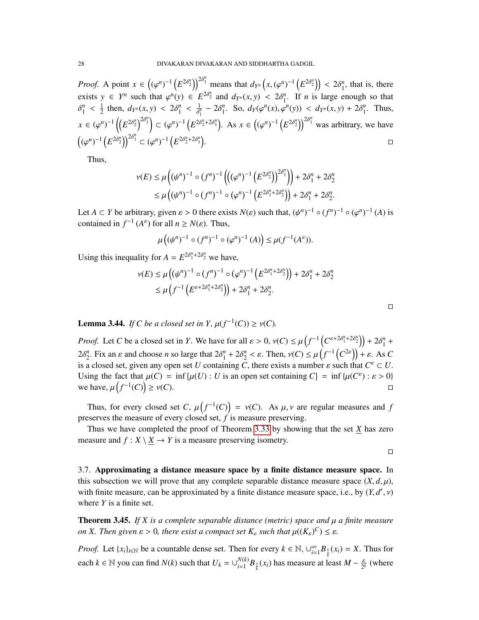*Proof.* A point  $x \in ((\varphi^n)^{-1} (E^{2\delta_2^n}))^{2\delta_1^n}$  means that  $d_{Y^n}(x, (\varphi^n)^{-1} (E^{2\delta_2^n})) < 2\delta_1^n$ , that is, there exists  $y \in Y^n$  such that  $\varphi^n(y) \in E^{2\delta_2^n}$  and  $d_{Y^n}(x, y) < 2\delta_1^n$ . If *n* is large enough so that  $\frac{1}{1}$   $\frac{1}{2}$   $\frac{1}{2}$   $\frac{1}{2}$   $\frac{1}{2}$   $\frac{1}{8}$   $\frac{1}{2}$   $\frac{1}{8}$   $\frac{1}{2}$   $\frac{1}{8}$ *n* 1 1  $\frac{1}{2}$  then,  $d_{Y^n}(x, y) < 2\delta_1^n$  $\frac{1}{\gamma_1^n}$  – 2 $\delta_1^n$ . So,  $d_Y(\varphi^n(x), \varphi^n(y)) < d_{Y^n}(x, y) + 2\delta_1^n$ . Thus,  $x \in (\varphi^n)^{-1} \left( \left( E^{2\delta_2^n} \right)^{2\delta_1^n} \right) \subset (\varphi^n)^{-1} \left( E^{2\delta_2^n + 2\delta_1^n} \right)$ . As  $x \in ((\varphi^n)^{-1} \left( E^{2\delta_2^n} \right)^{2\delta_1^n}$  was arbitrary, we have  $((\varphi^n)^{-1} (E^{2\delta_2^n}))^{2\delta_1^n} \subset (\varphi^n)^{-1} (E^{2\delta_2^n + 2\delta_1^n})$ .<br>1980 - Jacques Communication (1990), provide a provide a provide a provide a provide a provide a provide a pr<br>1990 - Jacques Communication (1990), provide a provide a provide a provide a provide a provide a provide a pr

Thus,

$$
\nu(E) \le \mu \left( (\psi^n)^{-1} \circ (f^n)^{-1} \left( ((\varphi^n)^{-1} (E^{2\delta_2^n}))^{2\delta_1^n} \right) \right) + 2\delta_1^n + 2\delta_2^n
$$
  
 
$$
\le \mu \left( (\psi^n)^{-1} \circ (f^n)^{-1} \circ (\varphi^n)^{-1} (E^{2\delta_1^n + 2\delta_2^n}) \right) + 2\delta_1^n + 2\delta_2^n.
$$

Let *A* ⊂ *Y* be arbitrary, given  $\varepsilon > 0$  there exists *N*( $\varepsilon$ ) such that,  $(\psi^n)^{-1} \circ (f^n)^{-1} \circ (\varphi^n)^{-1}$  (*A*) is contained in  $f^{-1}(A^{\varepsilon})$  for all  $n > N(\varepsilon)$ . Thus contained in  $f^{-1}(A^{\varepsilon})$  for all  $n \ge N(\varepsilon)$ . Thus,

$$
\mu\left((\psi^n)^{-1} \circ (f^n)^{-1} \circ (\varphi^n)^{-1}(A)\right) \leq \mu(f^{-1}(A^{\varepsilon})).
$$

Using this inequality for  $A = E^{2\delta_1^n + 2\delta_2^n}$  we have,

$$
\nu(E) \le \mu \left( (\psi^n)^{-1} \circ (f^n)^{-1} \circ (\varphi^n)^{-1} \left( E^{2\delta_1^n + 2\delta_2^n} \right) \right) + 2\delta_1^n + 2\delta_2^n
$$
  
\$\le \mu \left( f^{-1} \left( E^{\varepsilon + 2\delta\_1^n + 2\delta\_2^n} \right) \right) + 2\delta\_1^n + 2\delta\_2^n\$.

**Lemma 3.44.** *If C be a closed set in Y*,  $\mu(f^{-1}(C)) \ge \nu(C)$ *.* 

*Proof.* Let *C* be a closed set in *Y*. We have for all  $\varepsilon > 0$ ,  $v(C) \leq \mu \left( f^{-1} \left( C^{\varepsilon+2\delta_1^n + 2\delta_2^n} \right) \right) + 2\delta_1^n + 2\varepsilon_2^n$  $2\delta_2^n$ . Fix an  $\varepsilon$  and choose *n* so large that  $2\delta_1^n + 2\delta_2^n < \varepsilon$ . Then,  $v(C) \leq \mu(f^{-1}(C^{2\varepsilon})) + \varepsilon$ . As *C* is a closed set given any open set *U* containing *C* there exists a number c such that  $C^{\varepsilon} \subset U$ is a closed set, given any open set *U* containing *C*, there exists a number  $\varepsilon$  such that  $C^{\varepsilon} \subset U$ .<br>Heing the feet that  $u(C) = \inf_{\varepsilon} \{u(U) : U \text{ is an open set containing } C\} = \inf_{\varepsilon} \{u(C^{\varepsilon}) : \varepsilon > 0\}$ Using the fact that  $\mu(C) = \inf \{ \mu(U) : U \text{ is an open set containing } C \} = \inf \{ \mu(C^{\varepsilon}) : \varepsilon > 0 \}$ we have,  $\mu\left(f^{-1}(C)\right)$  $\geq \nu(C).$ 

Thus, for every closed set *C*,  $\mu(f^{-1}(C)) = \nu(C)$ . As  $\mu, \nu$  are regular measures and *f* pearwes the measure of every closed set *f* is measure preserving. preserves the measure of every closed set, *f* is measure preserving.

Thus we have completed the proof of Theorem [3.33](#page-22-0) by showing that the set *X* has zero measure and  $f: X \setminus \underline{X} \to Y$  is a measure preserving isometry.

 $\Box$ 

 $\Box$ 

3.7. Approximating a distance measure space by a finite distance measure space. In this subsection we will prove that any complete separable distance measure space  $(X, d, \mu)$ , with finite measure, can be approximated by a finite distance measure space, i.e., by  $(Y, d', v)$ <br>where *V* is a finite set where *Y* is a finite set.

<span id="page-27-0"></span>Theorem 3.45. *If X is a complete separable distance (metric) space and* µ *a finite measure on X. Then given*  $\varepsilon > 0$ *, there exist a compact set*  $K_{\varepsilon}$  *such that*  $\mu((K_{\varepsilon})^C) \leq \varepsilon$ *.* 

*Proof.* Let  $\{x_i\}_{i \in \mathbb{N}}$  be a countable dense set. Then for every  $k \in \mathbb{N}$ ,  $\cup_{i=1}^{\infty}$  $\sum_{i=1}^{\infty} B_{\frac{1}{k}}(x_i) = X$ . Thus for each  $k \in \mathbb{N}$  you can find  $N(k)$  such that  $U_k = \bigcup_{i=1}^{N(k)}$  $\frac{N(k)}{k}B_{\frac{1}{k}}(x_i)$  has measure at least  $M - \frac{\varepsilon}{2^k}$  (where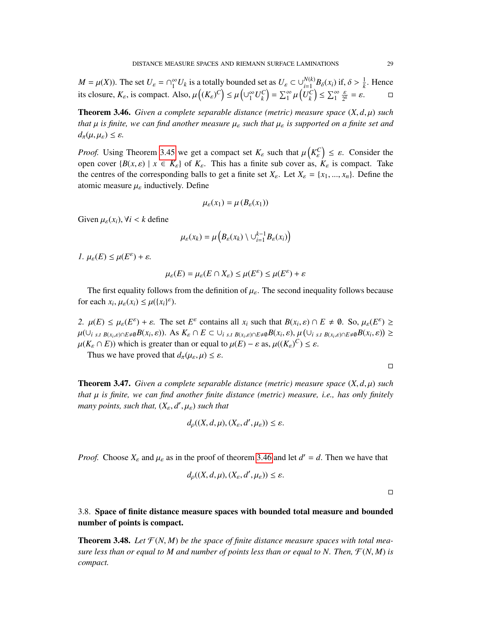$M = \mu(X)$ ). The set  $U_{\varepsilon} = \bigcap_{1}^{\infty} U_k$  is a totally bounded set as  $U_{\varepsilon} \subset \bigcup_{i=1}^{N(k)} B_{\delta}(x_i)$  if,  $\delta > \frac{1}{k}$ . Hence its closure,  $K_{\varepsilon}$ , is compact. Also,  $\mu\left((K_{\varepsilon})^C\right) \leq \mu\left(\cup_{1}^{\infty} U_k^C\right) = \sum_{1}^{\infty} \mu$  $\left(U_k^C\right) \le \sum_{1}^{\infty} \frac{\varepsilon}{2^k} = \varepsilon.$ 

<span id="page-28-0"></span>**Theorem 3.46.** *Given a complete separable distance (metric) measure space*  $(X, d, \mu)$  *such that* <sup>µ</sup> *is finite, we can find another measure* <sup>µ</sup>ε *such that* <sup>µ</sup>ε *is supported on a finite set and*  $d_{\pi}(\mu, \mu_{\varepsilon}) \leq \varepsilon$ .

*Proof.* Using Theorem [3.45](#page-27-0) we get a compact set  $K_{\varepsilon}$  such that  $\mu\left(K_{\varepsilon}^C\right) \leq \varepsilon$ . Consider the open cover  $\{R(x, \varepsilon) \mid x \in K\}$  of  $K$ . This has a finite sub cover as  $K$  is compact. Take open cover  $\{B(x, \varepsilon) \mid x \in K_{\varepsilon}\}\$  of  $K_{\varepsilon}$ . This has a finite sub cover as,  $K_{\varepsilon}$  is compact. Take the centres of the corresponding balls to get a finite set  $X_{\varepsilon}$ . Let  $X_{\varepsilon} = \{x_1, ..., x_n\}$ . Define the atomic measure  $\mu_{\varepsilon}$  inductively. Define

$$
\mu_{\varepsilon}(x_1) = \mu\left(B_{\varepsilon}(x_1)\right)
$$

Given  $\mu_{\varepsilon}(x_i)$ ,  $\forall i < k$  define

$$
\mu_{\varepsilon}(x_k) = \mu\left(B_{\varepsilon}(x_k) \setminus \cup_{i=1}^{k-1} B_{\varepsilon}(x_i)\right)
$$

*1.*  $\mu_{\varepsilon}(E) \leq \mu(E^{\varepsilon}) + \varepsilon$ *.* 

$$
\mu_{\varepsilon}(E) = \mu_{\varepsilon}(E \cap X_{\varepsilon}) \le \mu(E^{\varepsilon}) \le \mu(E^{\varepsilon}) + \varepsilon
$$

The first equality follows from the definition of  $\mu_{\varepsilon}$ . The second inequality follows because for each  $x_i$ ,  $\mu_{\varepsilon}(x_i) \leq \mu({x_i}^{\varepsilon})$ .

*2.*  $\mu(E) \leq \mu_{\varepsilon}(E^{\varepsilon}) + \varepsilon$ . The set  $E^{\varepsilon}$  contains all  $x_i$  such that  $B(x_i, \varepsilon) \cap E \neq \emptyset$ . So,  $\mu_{\varepsilon}(E^{\varepsilon}) \geq$ <br> $\mu(\varepsilon)$ ,  $\varepsilon \in B(x, \varepsilon)$ ,  $\Lambda \varepsilon K \cap E \subseteq \{ \varepsilon \}$ ,  $\varepsilon \in B(x, \varepsilon)$ ,  $\mu(\varepsilon)$ ,  $\varepsilon \in B(x, \vare$  $\mu(\bigcup_{i \text{ s.t } B(x_i,\varepsilon) \cap E \neq \emptyset} B(x_i,\varepsilon)).$  As  $K_{\varepsilon} \cap E \subset \bigcup_{i \text{ s.t } B(x_i,\varepsilon) \cap E \neq \emptyset} B(x_i,\varepsilon), \mu(\bigcup_{i \text{ s.t } B(x_i,\varepsilon) \cap E \neq \emptyset} B(x_i,\varepsilon)) \ge$  $\mu(K_{\varepsilon} \cap E)$ ) which is greater than or equal to  $\mu(E) - \varepsilon$  as,  $\mu((K_{\varepsilon})^C) \leq \varepsilon$ .<br>Thus we have proved that  $d(u, u) \leq \varepsilon$ .

Thus we have proved that  $d_{\pi}(\mu_{\varepsilon}, \mu) \leq \varepsilon$ .

<span id="page-28-1"></span>**Theorem 3.47.** *Given a complete separable distance (metric) measure space*  $(X, d, \mu)$  *such that* µ *is finite, we can find another finite distance (metric) measure, i.e., has only finitely many points, such that,*  $(X_{\varepsilon}, d', \mu_{\varepsilon})$  *such that* 

$$
d_{\rho}((X, d, \mu), (X_{\varepsilon}, d', \mu_{\varepsilon})) \leq \varepsilon.
$$

*Proof.* Choose  $X_{\varepsilon}$  and  $\mu_{\varepsilon}$  as in the proof of theorem [3.46](#page-28-0) and let  $d' = d$ . Then we have that

$$
d_{\rho}((X, d, \mu), (X_{\varepsilon}, d', \mu_{\varepsilon})) \leq \varepsilon.
$$

 $\Box$ 

3.8. Space of finite distance measure spaces with bounded total measure and bounded number of points is compact.

<span id="page-28-2"></span>**Theorem 3.48.** Let  $\mathcal{F}(N, M)$  be the space of finite distance measure spaces with total mea*sure less than or equal to M and number of points less than or equal to N. Then,*  $\mathcal{F}(N, M)$  *is compact.*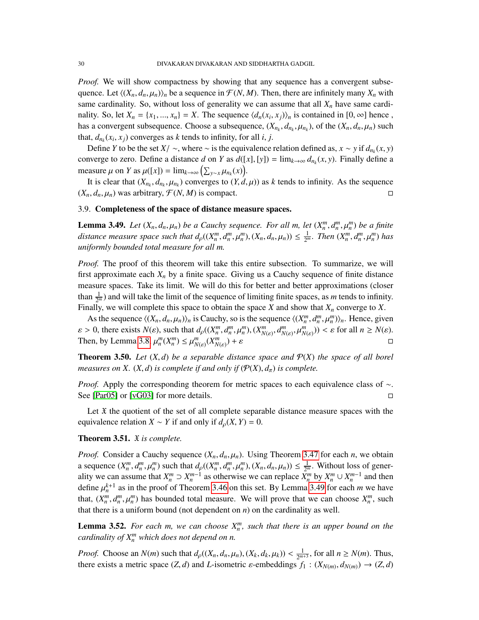*Proof.* We will show compactness by showing that any sequence has a convergent subsequence. Let  $\langle (X_n, d_n, \mu_n) \rangle_n$  be a sequence in  $\mathcal{F}(N, M)$ . Then, there are infinitely many  $X_n$  with same cardinality. So, without loss of generality we can assume that all  $X<sub>n</sub>$  have same cardinality. So, let  $X_n = \{x_1, ..., x_n\} = X$ . The sequence  $\langle d_n(x_i, x_j) \rangle_n$  is contained in  $[0, \infty]$  hence, the sequence of  $\langle d_n(x_i, x_j) \rangle_n$  is contained in  $[0, \infty]$  hence, has a convergent subsequence. Choose a subsequence,  $(X_{n_k}, d_{n_k}, \mu_{n_k})$ , of the  $(X_n, d_n, \mu_n)$  such that  $d_n(x, x)$  converges as k tonds to infinity for all  $i$ ,  $i$ that,  $d_{n_k}(x_i, x_j)$  converges as *k* tends to infinity, for all *i*, *j*.<br>Define *X* to be the set  $X_i$ , where  $x_i$  is the equivalence

Define *Y* to be the set *X*/ ∼, where ∼ is the equivalence relation defined as, *x* ∼ *y* if  $d_{n_k}(x, y)$ <br>pyerg to zero. Define a distance  $d_{n_k}(x, y) = \lim_{x \to a} d_{n_k}(x, y)$ . Finally define a converge to zero. Define a distance *d* on *Y* as  $d([x], [y]) = \lim_{k \to \infty} d_{n_k}(x, y)$ . Finally define a measure  $y$  as  $y(x) = \lim_{k \to \infty} (\sum_{k=1}^{\infty} f(x, y))$ . measure  $\mu$  on *Y* as  $\mu([x]) = \lim_{k \to \infty} (\sum_{y \sim x} \mu_{n_k}(x))$ .<br>It is clear that  $(Y, d, \mu_k)$  converges to  $(Y, d)$ .

*y* as  $\mu(x) = \lim_{k \to \infty} (\sum_{y \sim x} \mu_{n_k}(x))$ .<br>It is clear that  $(X_{n_k}, d_{n_k}, \mu_{n_k})$  converges to  $(Y, d, \mu)$  as *k* tends to infinity. As the sequence  $(X_n, d_n, \mu_n)$  was arbitrary,  $\mathcal{F}(N, M)$  is compact.

#### 3.9. Completeness of the space of distance measure spaces.

<span id="page-29-0"></span>**Lemma 3.49.** *Let*  $(X_n, d_n, \mu_n)$  *be a Cauchy sequence. For all m, let*  $(X_n^m, d_n^m, \mu_n^m)$  *be a finite* distance measure space such that  $d_f((X_m^m, d_m^m), (Y_d^m, d_m), \dots) \leq 1$  . Then  $(X_m^m, d_m^m, d_m^m)$  has *distance measure space such that*  $d_p((X_n^m, d_n^m, \mu_n^m), (X_n, d_n, \mu_n)) \leq \frac{1}{2^n}$  $\frac{1}{2^m}$ . Then  $(X_n^m, d_n^m, \mu_n^m)$  has *uniformly bounded total measure for all m.*

*Proof.* The proof of this theorem will take this entire subsection. To summarize, we will first approximate each  $X_n$  by a finite space. Giving us a Cauchy sequence of finite distance measure spaces. Take its limit. We will do this for better and better approximations (closer than  $\frac{1}{2^m}$ ) and will take the limit of the sequence of limiting finite spaces, as *m* tends to infinity. Finally, we will complete this space to obtain the space *X* and show that *X<sup>n</sup>* converge to *X*.

As the sequence  $\langle (X_n, d_n, \mu_n) \rangle_n$  is Cauchy, so is the sequence  $\langle (X_n^m, d_n^m, \mu_n^m) \rangle_n$ . Hence, given  $\langle (X_n^m, d_n^m, \mu_n^m) \rangle_n$ . Hence, given  $\varepsilon > 0$ , there exists  $N(\varepsilon)$ , such that  $d_p((X_n^m, d_n^m, \mu_n^m), (X_{N(\varepsilon)}^m, d_{N(\varepsilon)}^m, \mu_{N(\varepsilon)}^m)) < \varepsilon$  for all  $n \ge N(\varepsilon)$ .<br>Then by Lemma 3.8,  $\mu_m(x^m) < \mu_m(m(x^m)) + \varepsilon$ Then, by Lemma [3.8,](#page-10-0)  $\mu_n^m(X_n^m) \le \mu_{N(\varepsilon)}^m(X_{N(\varepsilon)}^m)$  $)+\varepsilon$ 

**Theorem 3.50.** Let  $(X, d)$  be a separable distance space and  $P(X)$  the space of all borel *measures on X.*  $(X, d)$  *is complete if and only if*  $(\mathcal{P}(X), d_{\pi})$  *is complete.* 

*Proof.* Apply the corresponding theorem for metric spaces to each equivalence class of ∼. See [\[Par05\]](#page-52-3) or [\[vG03\]](#page-52-4) for more details.

Let  $\ddot{x}$  the quotient of the set of all complete separable distance measure spaces with the equivalence relation *X* ∼ *Y* if and only if  $d<sub>o</sub>(X, Y) = 0$ .

# <span id="page-29-1"></span>Theorem 3.51. X *is complete.*

*Proof.* Consider a Cauchy sequence  $(X_n, d_n, \mu_n)$ . Using Theorem [3.47](#page-28-1) for each *n*, we obtain a sequence  $(X_n^m, d_n^m, \mu_n^m)$  such that  $d_p((X_n^m, d_n^m, \mu_n^m), (X_n, d_n, \mu_n)) \leq \frac{1}{2^n}$ <br>ality we can assume that  $X_n^m \supseteq X_{n-1}^{m-1}$  as otherwise we can replace  $X_n^m$  $\frac{1}{2^m}$ . Without loss of generality we can assume that  $X_n^m \supset X_n^{m-1}$  as otherwise we can replace  $\bar{X}_n^m$  by  $X_n^m \cup X_n^{m-1}$  and then define  $\mu_n^{k+1}$  as in the proof of Theorem [3.46](#page-28-0) on this set. By Lemma [3.49](#page-29-0) for each *m* we have<br>that  $(N^m, J^m, J^m)$  has bounded total measure. We will prove that we can abossa  $N^m$  such that,  $(X_n^m, d_n^m, \mu_n^m)$  has bounded total measure. We will prove that we can choose  $X_n^m$ , such that there is a uniform bound (not dependent on n) on the cardinality as well that there is a uniform bound (not dependent on  $n$ ) on the cardinality as well.

**Lemma 3.52.** For each m, we can choose  $X_n^m$ , such that there is an upper bound on the *cardinality of X<sup>m</sup> <sup>n</sup> which does not depend on n.*

*Proof.* Choose an  $N(m)$  such that  $d_p((X_n, d_n, \mu_n), (X_k, d_k, \mu_k)) < \frac{1}{2^m}$ <br>there exists a metric space (*Z d*) and *L* isometric a emboddings f  $\frac{1}{2^{m+3}}$ , for all  $n \ge N(m)$ . Thus, there exists a metric space  $(Z, d)$  and *L*-isometric *ε*-embeddings  $f_1 : (X_{N(m)}, d_{N(m)}) \to (Z, d)$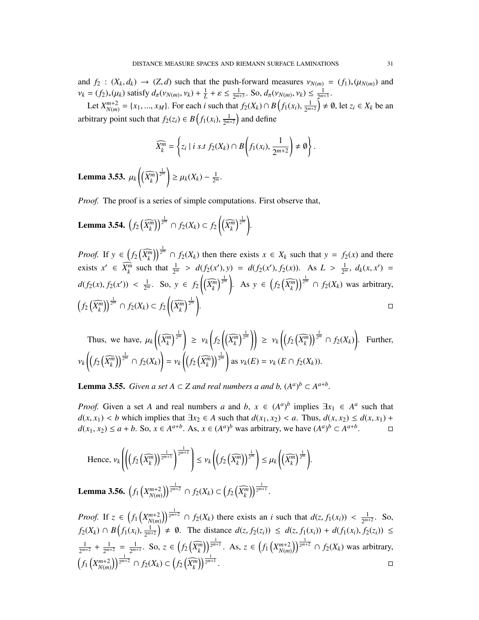and  $f_2$  :  $(X_k, d_k) \rightarrow (Z, d)$  such that the push-forward measures  $v_{N(m)} = (f_1)_*(\mu_{N(m)})$  and  $v_k = (f_2)_*(\mu_k)$  satisfy  $d_\pi(v_{N(m)}, v_k) + \frac{1}{L} + \varepsilon \le \frac{1}{2^{m}}$  $\frac{1}{2^{m+3}}$ . So,  $d_{\pi}(v_{N(m)}, v_k) \leq \frac{1}{2^{m+3}}$  $\frac{1}{2^{m+3}}$ .

Let  $X_{N(m)}^{m+2} = \{x_1, ..., x_M\}$ . For each *i* such that  $f_2(X_k) \cap B(f_1(x_i), \frac{1}{2^m})$  $\left(\frac{1}{2^{m+2}}\right) \neq \emptyset$ , let  $z_i \in X_k$  be an arbitrary point such that  $f_2(z_i) \in B(f_1(x_i), \frac{1}{2^{m}})$  $\frac{1}{2^{m+2}}$  and define

$$
\widehat{X_k^m} = \left\{ z_i \mid i \text{ s.t } f_2(X_k) \cap B\left(f_1(x_i), \frac{1}{2^{m+2}}\right) \neq \emptyset \right\}.
$$

Lemma 3.53. <sup>µ</sup>*<sup>k</sup>*  $\left(\left(\widehat{X_k^m}\right)^{\frac{1}{2^m}}\right) \geq \mu_k(X_k) - \frac{1}{2^n}$  $\frac{1}{2^m}$ .

*Proof.* The proof is a series of simple computations. First observe that,

**Lemma 3.54.** 
$$
\left(f_2\left(\widehat{X_k^m}\right)\right)^{\frac{1}{2^m}} \cap f_2(X_k) \subset f_2\left(\left(\widehat{X_k^m}\right)^{\frac{1}{2^m}}\right).
$$

*Proof.* If  $y \in (f_2(\widehat{X_k^m}))^{\frac{1}{2^m}} \cap f_2(X_k)$  then there exists  $x \in X_k$  such that  $y = f_2(x)$  and there exists  $x' \in \overline{X_k^m}$  such that  $\frac{1}{2^m} > d(f_2(x'), y) = d(f_2(x'), f_2(x))$ . As  $L > \frac{1}{2^m}$  $\frac{1}{2^m}$ ,  $d_k(x, x') =$  $d(f_2(x), f_2(x')) < \frac{1}{2^n}$  $\frac{1}{2^m}$ . So,  $y \in f_2\left(\left(\widehat{X_k^m}\right)^{\frac{1}{2^m}}\right)$ . As  $y \in \left(f_2\left(\widehat{X_k^m}\right)\right)^{\frac{1}{2^m}} \cap f_2(X_k)$  was arbitrary,  $(f_2(\widehat{X_k^m}))^{\frac{1}{2^m}} \cap f_2(X_k) \subset f_2\left((\widehat{X_k^m})^{\frac{1}{2^m}}\right)$ .<br>1980 - Jacques Communication (1990), provide a provide a provide a provide a provide a provide a provide a pr<br>1990 - Jacques Communication (1990), provide a provide a provide a provide a provide a provide a provide a pr

Thus, we have, 
$$
\mu_k \left( \left( \widehat{X_k^m} \right)^{\frac{1}{2^m}} \right) \geq v_k \left( f_2 \left( \widehat{X_k^m} \right)^{\frac{1}{2^m}} \right) \geq v_k \left( \left( f_2 \left( \widehat{X_k^m} \right)^{\frac{1}{2^m}} \cap f_2(X_k) \right) \right)
$$
. Further,  

$$
v_k \left( \left( f_2 \left( \widehat{X_k^m} \right)^{\frac{1}{2^m}} \cap f_2(X_k) \right) = v_k \left( \left( f_2 \left( \widehat{X_k^m} \right)^{\frac{1}{2^m}} \right) \text{ as } v_k(E) = v_k(E \cap f_2(X_k)).
$$

**Lemma 3.55.** *Given a set*  $A \subset Z$  *and real numbers a and b,*  $(A^a)^b \subset A^{a+b}$ *.* 

*Proof.* Given a set *A* and real numbers *a* and *b*,  $x \in (A^a)^b$  implies  $\exists x_1 \in A^a$  such that *d*(*x*, *x*<sub>1</sub>) < *b* which implies that  $\exists x_2 \in A$  such that *d*(*x*<sub>1</sub>, *x*<sub>2</sub>) < *a*. Thus, *d*(*x*, *x*<sub>2</sub>) ≤ *d*(*x*, *x*<sub>1</sub>) + *d*(*x*<sub>1</sub>, *x*<sub>2</sub>) < *a* + *b*. So, *x* ∈ *A*<sup>*a*+*b*</sup>. As, *x* ∈ (*A*<sup>*a*</sup>)<sup>*b*</sup> was  $d(x_1, x_2) \le a + b$ . So,  $x \in A^{a+b}$ . As,  $x \in (A^a)^b$  was arbitrary, we have  $(A^a)^b \subset A^{a+b}$ . □

Hence, 
$$
\nu_k \left( \left( \left( f_2 \left( \widehat{X_k^m} \right) \right)^{\frac{1}{2^{m+1}}} \right)^{\frac{1}{2^{m+1}}} \right) \leq \nu_k \left( \left( f_2 \left( \widehat{X_k^m} \right) \right)^{\frac{1}{2^m}} \right) \leq \mu_k \left( \left( \widehat{X_k^m} \right)^{\frac{1}{2^m}} \right).
$$

**Lemma 3.56.**  $(f_1(X_{N(m)}^{m+2}))^{\frac{1}{2^{m+2}}} \cap f_2(X_k) \subset (f_2(\widehat{X_k^m}))^{\frac{1}{2^{m+1}}}.$ 

*Proof.* If  $z \in (f_1(X_{N(m)}^{m+2}))^{\frac{1}{2^{m+2}}} \cap f_2(X_k)$  there exists an *i* such that  $d(z, f_1(x_i)) < \frac{1}{2^{m+2}}$  $\frac{1}{2^{m+2}}$ . So, *f*<sub>2</sub>(*Xk*) ∩ *B*(*f*<sub>1</sub>(*x<sub><i>i*</sub>),  $\frac{1}{2^m}$  $\frac{1}{2^{m+2}}$   $\neq \emptyset$ . The distance  $d(z, f_2(z_i)) \leq d(z, f_1(x_i)) + d(f_1(x_i), f_2(z_i)) \leq$ 1  $\frac{1}{2^{m+2}} + \frac{1}{2^m}$  $\frac{1}{2^{m+2}} = \frac{1}{2^m}$  $\frac{1}{2^{m+1}}$ . So, *z* ∈  $(f_2(\widehat{X_k^m}))^{\frac{1}{2^{m+1}}}$ . As, *z* ∈  $(f_1(X_{N(m)}^{m+2}))^{\frac{1}{2^{m+2}}}$  ∩  $f_2(X_k)$  was arbitrary,  $(f_1(X_{N(m)}^{m+2}))^{\frac{1}{2^{m+2}}} \cap f_2(X_k) \subset (f_2(\widehat{X_k^m}))^{\frac{1}{2^{m+1}}}.$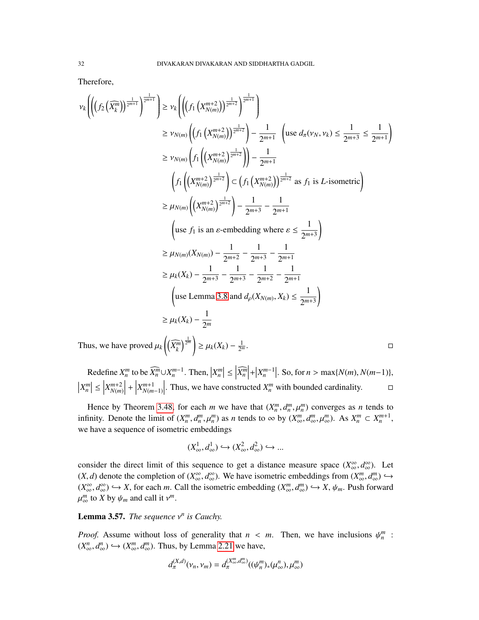Therefore,

$$
\nu_{k}\left(\left(\left(f_{2}\left(\widehat{X_{k}^{m}}\right)\right)^{\frac{1}{2^{m+1}}}\right)^{\frac{1}{2^{m+1}}}\right) \geq \nu_{k}\left(\left(\left(f_{1}\left(X_{N(m)}^{m+2}\right)\right)^{\frac{1}{2^{m+2}}}\right)^{\frac{1}{2^{m+2}}}\right)
$$
\n
$$
\geq \nu_{N(m)}\left(\left(f_{1}\left(X_{N(m)}^{m+2}\right)^{\frac{1}{2^{m+2}}}\right)-\frac{1}{2^{m+1}}\left(\text{use }d_{\pi}(\nu_{N},\nu_{k})\leq\frac{1}{2^{m+3}}\leq\frac{1}{2^{m+1}}\right)\right)
$$
\n
$$
\geq \nu_{N(m)}\left(f_{1}\left(\left(X_{N(m)}^{m+2}\right)^{\frac{1}{2^{m+2}}}\right)-\left(f_{1}\left(X_{N(m)}^{m+2}\right)\right)^{\frac{1}{2^{m+2}}}\text{ as }f_{1}\text{ is }L\text{-isometric}\right)
$$
\n
$$
\geq \mu_{N(m)}\left(\left(X_{N(m)}^{m+2}\right)^{\frac{1}{2^{m+2}}}\right)-\frac{1}{2^{m+3}}-\frac{1}{2^{m+1}}
$$
\n
$$
\left(\text{use }f_{1}\text{ is an }\varepsilon\text{-embedding where }\varepsilon\leq\frac{1}{2^{m+3}}\right)
$$
\n
$$
\geq \mu_{N(m)}(X_{N(m)})-\frac{1}{2^{m+2}}-\frac{1}{2^{m+3}}-\frac{1}{2^{m+1}}
$$
\n
$$
\geq \mu_{k}(X_{k})-\frac{1}{2^{m+3}}-\frac{1}{2^{m+3}}-\frac{1}{2^{m+2}}-\frac{1}{2^{m+1}}
$$
\n
$$
\left(\text{use Lemma 3.8 and }d_{\rho}(X_{N(m)},X_{k})\leq\frac{1}{2^{m+3}}\right)
$$
\n
$$
\geq \mu_{k}(X_{k})-\frac{1}{2^{m}}
$$
\nThus, we have proved  $\mu_{k}\left(\left(\widehat{X_{k}^{m}}\right)^{\frac{1}{2^{m}}}\right)\geq \mu_{k}(X_{k})-\frac{1}{2^{m}}.$ 

Thus, we have proved  $\mu_k$  $\widehat{X_k^m}$ <sup>≥</sup> µ*k*(*Xk*) <sup>−</sup> 2

Redefine  $X_n^m$  to be  $\widehat{X_n^m} \cup X_n^{m-1}$ . Then,  $|X_n^m| \leq |\widehat{X_n^m}|$  $+\left|X_n^{m-1}\right|$ . So, for *n* > max{*N*(*m*), *N*(*m*−1)},  $\left|X_n^m\right| \leq \left|$ *X m*+2 *N*(*m*)  $\begin{array}{c} \n\end{array}$ +     *X m*+1 *N*(*m*−1) . Thus, we have constructed  $X_n^m$  with bounded cardinality.  $\Box$ 

Hence by Theorem [3.48,](#page-28-2) for each *m* we have that  $(X_n^m, d_n^m, \mu_n^m)$  converges as *n* tends to inity. Denote the limit of  $(X_n^m, d_n^m)$  as *n* tends to  $\infty$  by  $(X_n^m, d_n^m, \mu_n^m)$ . As  $X_m^m \in X_{n+1}^{m+1}$ infinity. Denote the limit of  $(X_n^m, d_n^m, \mu_n^m)$  as *n* tends to  $\infty$  by  $(X_\infty^m, d_\infty^m, \mu_\infty^m)$ . As  $X_n^m \subset X_n^{m+1}$ , we have a sequence of isometric embeddings

$$
(X^1_{\infty}, d^1_{\infty}) \hookrightarrow (X^2_{\infty}, d^2_{\infty}) \hookrightarrow \dots
$$

consider the direct limit of this sequence to get a distance measure space  $(X_{\infty}^{\infty}, d_{\infty}^{\infty})$ . Let  $(X \leq A)$  denote the completion of  $(Y_{\infty}^{\infty}, d_{\infty}^{\infty})$ . We have isometric emboddings from  $(Y_{\infty}^m, d_m^m)$ .  $(X, d)$  denote the completion of  $(X_{\infty}^{\infty}, d_{\infty}^{\infty})$ . We have isometric embeddings from  $(X_{\infty}^{m}, d_{\infty}^{m}) \hookrightarrow (X_{\infty}^{\infty}, d_{\infty}^{\infty}) \hookrightarrow (X_{\infty}^{\infty}, d_{\infty}^{\infty}) \hookrightarrow (X_{\infty}^{\infty}, d_{\infty}^{\infty})$  $(X_{\infty}^{\infty}, d_{\infty}^{\infty}) \hookrightarrow X$ , for each *m*. Call the isometric embedding  $(X_{\infty}^{m}, d_{\infty}^{m}) \hookrightarrow X$ ,  $\psi_{m}$ . Push forward  $\mathbf{r}$  $\int_{\infty}^{m}$  to *X* by  $\psi_m$  and call it  $v^m$ .

Lemma 3.57. *The sequence* ν *n is Cauchy.*

*Proof.* Assume without loss of generality that  $n < m$ . Then, we have inclusions  $\psi_n^m$ :<br> $(\mathbf{X}^n, d^n) \in \mathcal{N}^m$   $d^m$ . Thus by Lamma 2.21 we have  $(X^n_{\infty}, d^n_{\infty}) \hookrightarrow (X^m_{\infty}, d^m_{\infty})$ . Thus, by Lemma [2.21](#page-7-1) we have,

$$
d_{\pi}^{(X,d)}(\nu_n,\nu_m)=d_{\pi}^{(X_{\infty}^m,d_{\infty}^m)}((\psi_n^m)_*(\mu_\infty^n),\mu_\infty^m)
$$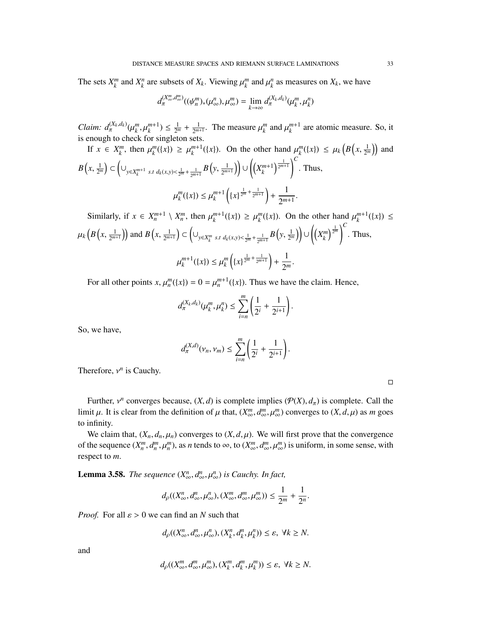The sets  $X_k^m$  and  $X_k^n$  are subsets of  $X_k$ . Viewing  $\mu_k^m$  and  $\mu_k^n$  as measures on  $X_k$ , we have

$$
d_{\pi}^{(X_{\infty}^m,d_{\infty}^m)}((\psi_n^m)_*(\mu_{\infty}^n),\mu_{\infty}^m)=\lim_{k\to\infty}d_{\pi}^{(X_k,d_k)}(\mu_k^m,\mu_k^n)
$$

 $Claim: d_{\pi}^{(X_k, d_k)}(\mu_k^m, \mu_k^{m+1}) \leq \frac{1}{2^n}$ is enough to check for singleton sets.  $rac{1}{2^m} + \frac{1}{2^m}$  $\frac{1}{2^{m+1}}$ . The measure  $\mu_k^m$  and  $\mu_k^{m+1}$  are atomic measure. So, it

If 
$$
x \in X_k^m
$$
, then  $\mu_k^m(\{x\}) \ge \mu_k^{m+1}(\{x\})$ . On the other hand  $\mu_k^m(\{x\}) \le \mu_k\left(B\left(x, \frac{1}{2^m}\right)\right)$  and  
\n $B\left(x, \frac{1}{2^m}\right) \subset \left(\bigcup_{y \in X_k^{m+1}} s.t \ d_k(x,y) < \frac{1}{2^m} + \frac{1}{2^{m+1}} B\left(y, \frac{1}{2^{m+1}}\right)\right) \cup \left(\left(X_k^{m+1}\right)^{\frac{1}{2^{m+1}}}\right)^C$ . Thus,  
\n
$$
\mu_k^m(\{x\}) \le \mu_k^{m+1}\left(\{x\}^{\frac{1}{2^m} + \frac{1}{2^{m+1}}}\right) + \frac{1}{2^{m+1}}.
$$

Similarly, if  $x \in X_n^{m+1} \setminus X_n^m$ , then  $\mu_k^{m+1}(\{x\}) \ge \mu_k^m(\{x\})$ . On the other hand  $\mu_k^{m+1}(\{x\}) \le$  $\mu_k\Big(B\Big(x,\frac{1}{2^m}\Big)$  $\frac{1}{2^{m+1}}$ ) and  $B(x, \frac{1}{2^m})$  $\frac{1}{2^{m+1}}$ )  $\subset \left(\bigcup_{y \in X_k^m} s.t \ d_k(x,y) < \frac{1}{2^m} + \frac{1}{2^{m+1}} B\left(y, \frac{1}{2^n}\right)\right)$  $\left(\frac{1}{2^m}\right)\right)\cup\left(\left(X_k^m\right)^{\frac{1}{2^m}}\right)^C$ . Thus,  $\mathbf{r}$  $\mu_k^{m+1}(\{x\}) \leq \mu_k^m$  $\left\{ \{x\}^{\frac{1}{2^m} + \frac{1}{2^{m+1}}} \right\} + \frac{1}{2^n}$ 2 *m* .

For all other points  $x$ ,  $\mu_n^m({x}) = 0 = \mu_n^{m+1}({x})$ . Thus we have the claim. Hence,

$$
d_{\pi}^{(X_k,d_k)}(\mu_k^m,\mu_k^n) \leq \sum_{i=n}^m \left(\frac{1}{2^i} + \frac{1}{2^{i+1}}\right).
$$

So, we have,

$$
d_{\pi}^{(X,d)}(\nu_n, \nu_m) \leq \sum_{i=n}^m \left(\frac{1}{2^i} + \frac{1}{2^{i+1}}\right).
$$

Therefore,  $v^n$  is Cauchy.

Further,  $v^n$  converges because,  $(X, d)$  is complete implies  $(\mathcal{P}(X), d_\pi)$  is complete. Call the principal to  $(Y, d, u)$  as  $m$  google in the definition of  $u$  that  $(Y^m, d^m, u^m)$  converges to  $(Y, d, u)$  as  $m$  google limit  $\mu$ . It is clear from the definition of  $\mu$  that,  $(X_{\infty}^m, d_{\infty}^m, \mu_{\infty}^m)$  converges to  $(X, d, \mu)$  as *m* goes to infinity.

We claim that,  $(X_n, d_n, \mu_n)$  converges to  $(X, d, \mu)$ . We will first prove that the convergence of the sequence  $(X_n^m, d_n^m, \mu_n^m)$ , as *n* tends to  $\infty$ , to  $(X_\infty^m, d_\infty^m, \mu_\infty^m)$  is uniform, in some sense, with respect to *m* respect to *m*.

**Lemma 3.58.** *The sequence*  $(X^n_{\infty}, d^n_{\infty}, \mu^n_{\infty})$  *is Cauchy. In fact,* 

$$
d_{\rho}((X^n_{\infty}, d^n_{\infty}, \mu^n_{\infty}), (X^m_{\infty}, d^m_{\infty}, \mu^m_{\infty})) \leq \frac{1}{2^m} + \frac{1}{2^n}.
$$

*Proof.* For all  $\varepsilon > 0$  we can find an *N* such that

$$
d_{\rho}((X^n_{\infty}, d^n_{\infty}, \mu^n_{\infty}), (X^n_k, d^n_k, \mu^n_k)) \leq \varepsilon, \ \forall k \geq N.
$$

and

$$
d_{\rho}((X_{\infty}^m, d_{\infty}^m, \mu_{\infty}^m), (X_k^m, d_k^m, \mu_k^m)) \leq \varepsilon, \ \forall k \geq N.
$$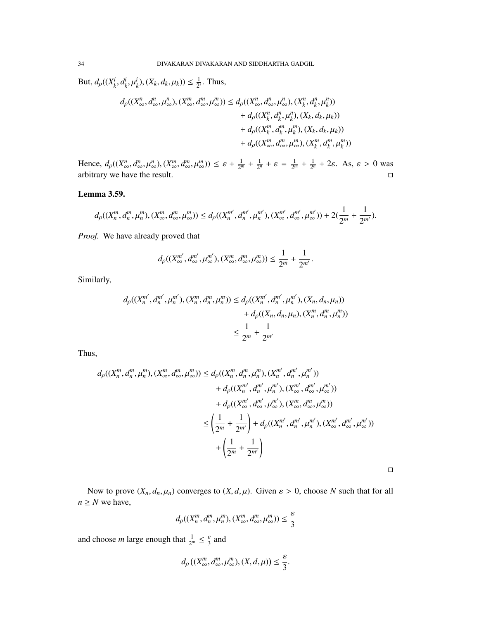But,  $d_p((X_k^i, d_k^i, \mu_k^i), (X_k, d_k, \mu_k)) \leq \frac{1}{2^n}$  $\frac{1}{2^i}$ . Thus,

$$
d_{\rho}((X^{n}_{\infty}, d^{n}_{\infty}, \mu^{n}_{\infty}), (X^{m}_{\infty}, d^{m}_{\infty}, \mu^{m}_{\infty})) \leq d_{\rho}((X^{n}_{\infty}, d^{n}_{\infty}, \mu^{n}_{\infty}), (X^{n}_{k}, d^{n}_{k}, \mu^{n}_{k})) + d_{\rho}((X^{n}_{k}, d^{n}_{k}, \mu^{n}_{k}), (X_{k}, d_{k}, \mu_{k})) + d_{\rho}((X^{m}_{k}, d^{m}_{k}, \mu^{m}_{k}), (X_{k}, d_{k}, \mu_{k})) + d_{\rho}((X^{m}_{\infty}, d^{m}_{\infty}, \mu^{m}_{\infty}), (X^{m}_{k}, d^{m}_{k}, \mu^{m}_{k}))
$$

Hence,  $d_{\rho}((X^n_{\infty}, d^n_{\infty}, \mu^n_{\infty}), (X^m_{\infty}, d^m_{\infty}, \mu^n_{\infty})) \leq \varepsilon + \frac{1}{2^n}$  $\frac{1}{2^m} + \frac{1}{2^n}$  $\frac{1}{2^n} + \varepsilon = \frac{1}{2^n}$  $\frac{1}{2^m} + \frac{1}{2^n}$  $\frac{1}{2^n}$  + 2*ε*. As,  $\varepsilon > 0$  was arbitrary we have the result.  $\Box$ 

# Lemma 3.59.

$$
d_{\rho}((X_n^m, d_n^m, \mu_n^m), (X_\infty^m, d_\infty^m, \mu_\infty^m)) \leq d_{\rho}((X_n^{m'}, d_n^{m'}, \mu_n^{m'}), (X_\infty^{m'}, d_\infty^{m'}, \mu_\infty^{m'})) + 2(\frac{1}{2^m} + \frac{1}{2^{m'}}).
$$

*Proof.* We have already proved that

$$
d_{\rho}((X_{\infty}^{m'}, d_{\infty}^{m'}, \mu_{\infty}^{m'}), (X_{\infty}^{m}, d_{\infty}^{m}, \mu_{\infty}^{m})) \leq \frac{1}{2^{m}} + \frac{1}{2^{m'}},
$$

Similarly,

$$
d_{\rho}((X_n^{m'}, d_n^{m'}, \mu_n^{m'}), (X_n^m, d_n^m, \mu_n^m)) \le d_{\rho}((X_n^{m'}, d_n^{m'}, \mu_n^{m'}), (X_n, d_n, \mu_n)) + d_{\rho}((X_n, d_n, \mu_n), (X_n^m, d_n^m, \mu_n^m)) \n\le \frac{1}{2^m} + \frac{1}{2^{m'}}
$$

Thus,

$$
d_{\rho}((X_{n}^{m}, d_{n}^{m}, \mu_{n}^{m}), (X_{\infty}^{m}, d_{\infty}^{m}, \mu_{\infty}^{m})) \leq d_{\rho}((X_{n}^{m}, d_{n}^{m}, \mu_{n}^{m}), (X_{n}^{m'}, d_{n}^{m'}, \mu_{n}^{m'})) + d_{\rho}((X_{n}^{m'}, d_{n}^{m'}, \mu_{n}^{m'}), (X_{\infty}^{m'}, d_{\infty}^{m'}, \mu_{\infty}^{m'})) + d_{\rho}((X_{\infty}^{m'}, d_{\infty}^{m'}, \mu_{\infty}^{m'}), (X_{\infty}^{m}, d_{\infty}^{m}, \mu_{\infty}^{m})) \leq \left(\frac{1}{2^{m}} + \frac{1}{2^{m'}}\right) + d_{\rho}((X_{n}^{m'}, d_{n}^{m'}, \mu_{n}^{m'}), (X_{\infty}^{m'}, d_{\infty}^{m'}, \mu_{\infty}^{m'})) + \left(\frac{1}{2^{m}} + \frac{1}{2^{m'}}\right)
$$

Now to prove  $(X_n, d_n, \mu_n)$  converges to  $(X, d, \mu)$ . Given  $\varepsilon > 0$ , choose *N* such that for all  $n \geq N$  we have,

 $\Box$ 

$$
d_p((X_n^m, d_n^m, \mu_n^m), (X_\infty^m, d_\infty^m, \mu_\infty^m)) \le \frac{\varepsilon}{3}
$$

and choose *m* large enough that  $\frac{1}{2^m} \leq \frac{\varepsilon}{3}$  and

$$
d_{\rho}\left((X_{\infty}^m,d_{\infty}^m,\mu_{\infty}^m),(X,d,\mu)\right)\leq\frac{\varepsilon}{3}.
$$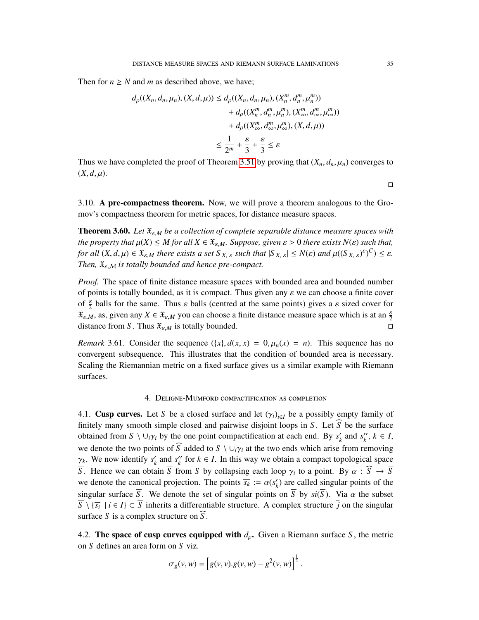Then for  $n \geq N$  and *m* as described above, we have;

$$
d_{\rho}((X_n, d_n, \mu_n), (X, d, \mu)) \le d_{\rho}((X_n, d_n, \mu_n), (X_n^m, d_n^m, \mu_n^m)) + d_{\rho}((X_n^m, d_n^m, \mu_n^m), (X_\infty^m, d_\infty^m, \mu_\infty^m)) + d_{\rho}((X_\infty^m, d_\infty^m, \mu_\infty^m), (X, d, \mu)) \le \frac{1}{2^m} + \frac{\varepsilon}{3} + \frac{\varepsilon}{3} \le \varepsilon
$$

Thus we have completed the proof of Theorem [3.51](#page-29-1) by proving that  $(X_n, d_n, \mu_n)$  converges to  $(X, d, \mu)$ .

3.10. A pre-compactness theorem. Now, we will prove a theorem analogous to the Gromov's compactness theorem for metric spaces, for distance measure spaces.

Theorem 3.60. *Let* <sup>X</sup>ε,*<sup>M</sup> be a collection of complete separable distance measure spaces with the property that*  $\mu(X) \leq M$  *for all*  $X \in \mathfrak{X}_{\varepsilon,M}$ *. Suppose, given*  $\varepsilon > 0$  *there exists*  $N(\varepsilon)$  *such that, for all*  $(X, d, \mu) \in \mathfrak{X}_{\varepsilon, M}$  *there exists a set*  $S_{X, \varepsilon}$  *such that*  $|S_{X, \varepsilon}| \le N(\varepsilon)$  *and*  $\mu((S_{X, \varepsilon})^{\varepsilon})^C) \le \varepsilon$ *.* Then  $\mathfrak{X}_{\varepsilon}$  *is totally hounded and hance pre-compact Then,*  $\mathfrak{X}_{\varepsilon,M}$  *is totally bounded and hence pre-compact.* 

*Proof.* The space of finite distance measure spaces with bounded area and bounded number of points is totally bounded, as it is compact. Thus given any  $\varepsilon$  we can choose a finite cover of  $\frac{\varepsilon}{2}$  balls for the same. Thus  $\varepsilon$  balls (centred at the same points) gives a  $\varepsilon$  sized cover for  $\mathfrak{X}_{\varepsilon,M}$ , as, given any  $X \in \mathfrak{X}_{\varepsilon,M}$  you can choose a finite distance measure space which is at an  $\frac{\varepsilon}{2}$ distance from *S*. Thus  $\mathfrak{X}_{\varepsilon,M}$  is totally bounded.

*Remark* 3.61. Consider the sequence  $(\{x\}, d(x, x) = 0, \mu_n(x) = n)$ . This sequence has no convergent subsequence. This illustrates that the condition of bounded area is necessary. Scaling the Riemannian metric on a fixed surface gives us a similar example with Riemann surfaces.

# 4. Deligne-Mumford compactification as completion

4.1. **Cusp curves.** Let *S* be a closed surface and let  $(\gamma_i)_{i \in I}$  be a possibly empty family of finitely many smooth simple alocad and pointing disjoint leaps in *S*. Let  $\widehat{S}$  be the surface finitely many smooth simple closed and pairwise disjoint loops in *S*. Let  $\widehat{S}$  be the surface obtained from  $S \setminus \cup_i \gamma_i$  by the one point compactification at each end. By  $s'_k$  $\binom{k}{k}$  and  $s_k''$  $'_{k}$ <sup>*k*</sup>,  $k \in I$ , we denote the two points of  $\widehat{S}$  added to  $S \setminus \cup_i \gamma_i$  at the two ends which arise from removing  $\frac{\gamma_k}{S}$ . We now identify  $s'_k$  $\frac{1}{k}$  and  $s_k''$  $k'$  for  $k \in I$ . In this way we obtain a compact topological space *S*. Hence we can obtain  $\overline{S}$  from *S* by collapsing each loop  $\gamma_i$  to a point. By  $\alpha : \overline{S} \to \overline{S}$ <br>we denote the cononical projection. The points  $\overline{S} := \alpha(s')$  are called singular points of the we denote the canonical projection. The points  $\overline{s_k} := \alpha(s'_k)$ <br>singular surface  $\overline{S}$ . We denote the set of singular points *k* ) are called singular points of the singular surface  $\overline{S}$ . We denote the set of singular points on  $\overline{S}$  by  $si(\overline{S})$ . Via  $\alpha$  the subset  $\overline{S} \setminus \{\overline{s_i} \mid i \in I\} \subset \overline{S}$  inherits a differentiable structure. A complex structure *j* on the singular surface  $\overline{S}$  is a complex structure on  $\widehat{S}$ .

4.2. The space of cusp curves equipped with  $d_{\rho}$ . Given a Riemann surface *S*, the metric on *S* defines an area form on *S* viz.

$$
\sigma_g(v, w) = [g(v, v).g(v, w) - g^2(v, w)]^{\frac{1}{2}}.
$$

 $\Box$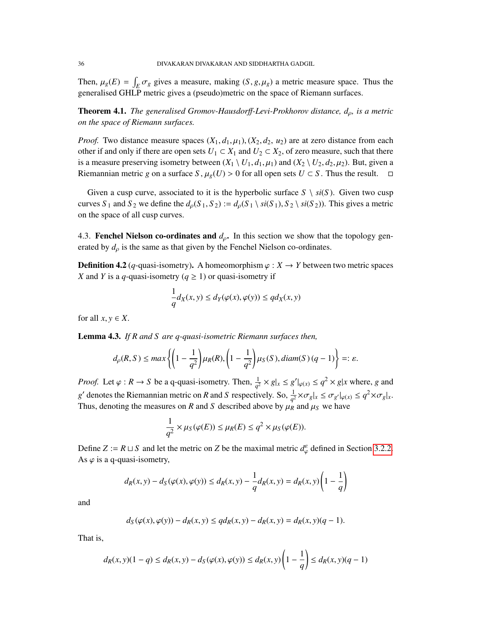Then,  $\mu_g(E) = \int_E \sigma_g$  gives a measure, making  $(S, g, \mu_g)$  a metric measure space. Thus the concretional GHI **P** metric gives a (peoudo) metric on the space of **Pierrann** surfaces generalised GHLP metric gives a (pseudo)metric on the space of Riemann surfaces.

Theorem 4.1. *The generalised Gromov-Hausdor*ff*-Levi-Prokhorov distance, d*ρ*, is a metric on the space of Riemann surfaces.*

*Proof.* Two distance measure spaces  $(X_1, d_1, \mu_1), (X_2, d_2, u_2)$  are at zero distance from each other if and only if there are open sets  $U_1 \subset X_1$  and  $U_2 \subset X_2$ , of zero measure, such that there is a measure preserving isometry between  $(X_1 \setminus U_1, d_1, \mu_1)$  and  $(X_2 \setminus U_2, d_2, \mu_2)$ . But, given a Riemannian metric g on a surface S,  $\mu_o(U) > 0$  for all open sets  $U \subset S$ . Thus the result.  $\Box$ Riemannian metric *g* on a surface *S*,  $\mu_g(U) > 0$  for all open sets  $U \subset S$ . Thus the result.

Given a cusp curve, associated to it is the hyperbolic surface  $S \setminus si(S)$ . Given two cusp curves *S*<sub>1</sub> and *S*<sub>2</sub> we define the  $d_{\rho}(S_1, S_2) := d_{\rho}(S_1 \setminus si(S_1), S_2 \setminus si(S_2))$ . This gives a metric on the space of all cusp curves.

4.3. Fenchel Nielson co-ordinates and  $d_{\rho}$ . In this section we show that the topology generated by  $d_{\rho}$  is the same as that given by the Fenchel Nielson co-ordinates.

**Definition 4.2** (*q*-quasi-isometry). A homeomorphism  $\varphi : X \to Y$  between two metric spaces *X* and *Y* is a *q*-quasi-isometry ( $q \ge 1$ ) or quasi-isometry if

$$
\frac{1}{q}d_X(x, y) \le d_Y(\varphi(x), \varphi(y)) \le qd_X(x, y)
$$

for all  $x, y \in X$ .

Lemma 4.3. *If R and S are q-quasi-isometric Riemann surfaces then,*

$$
d_{\rho}(R,S) \le \max\left\{\left(1-\frac{1}{q^2}\right)\mu_R(R), \left(1-\frac{1}{q^2}\right)\mu_S(S), diam(S)(q-1)\right\} =: \varepsilon.
$$

*Proof.* Let  $\varphi : R \to S$  be a q-quasi-isometry. Then,  $\frac{1}{q^2} \times g|_x \leq g'|_{\varphi(x)} \leq q^2 \times g|x$  where, *g* and *g*denotes the Riemannian metric on *R* and *S* respectively. So,  $\frac{1}{q^2} \times \sigma_g |_{x} \leq \sigma_{g'} |_{\varphi(x)} \leq q^2 \times \sigma_g |_{x}$ .<br>Thus denoting the measures on *P* and *S* described above by *y*, and *y*, we have Thus, denoting the measures on *R* and *S* described above by  $\mu_R$  and  $\mu_S$  we have

$$
\frac{1}{q^2} \times \mu_S(\varphi(E)) \le \mu_R(E) \le q^2 \times \mu_S(\varphi(E)).
$$

Define  $Z := R \sqcup S$  and let the metric on *Z* be the maximal metric  $d_{\varphi}^{\varepsilon}$  defined in Section [3.2.2.](#page-11-0) As  $\varphi$  is a q-quasi-isometry,

$$
d_R(x, y) - d_S(\varphi(x), \varphi(y)) \le d_R(x, y) - \frac{1}{q} d_R(x, y) = d_R(x, y) \left(1 - \frac{1}{q}\right)
$$

and

$$
d_S(\varphi(x), \varphi(y)) - d_R(x, y) \le q d_R(x, y) - d_R(x, y) = d_R(x, y)(q - 1).
$$

That is,

$$
d_R(x, y)(1 - q) \le d_R(x, y) - d_S(\varphi(x), \varphi(y)) \le d_R(x, y) \left(1 - \frac{1}{q}\right) \le d_R(x, y)(q - 1)
$$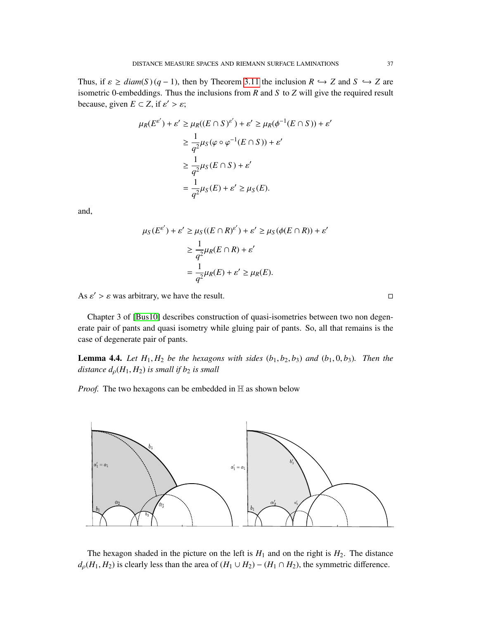Thus, if  $\varepsilon \geq diam(S) (q-1)$ , then by Theorem [3.11](#page-12-0) the inclusion  $R \hookrightarrow Z$  and  $S \hookrightarrow Z$  are isometric 0-embeddings. Thus the inclusions from *R* and *S* to *Z* will give the required result because, given  $E \subset Z$ , if  $\varepsilon' > \varepsilon$ ;

$$
\mu_R(E^{\varepsilon'}) + \varepsilon' \ge \mu_R((E \cap S)^{\varepsilon'}) + \varepsilon' \ge \mu_R(\phi^{-1}(E \cap S)) + \varepsilon'
$$
  
\n
$$
\ge \frac{1}{q^2} \mu_S(\varphi \circ \varphi^{-1}(E \cap S)) + \varepsilon'
$$
  
\n
$$
\ge \frac{1}{q^2} \mu_S(E \cap S) + \varepsilon'
$$
  
\n
$$
= \frac{1}{q^2} \mu_S(E) + \varepsilon' \ge \mu_S(E).
$$

and,

$$
\mu_S(E^{\epsilon'}) + \varepsilon' \ge \mu_S((E \cap R)^{\varepsilon'}) + \varepsilon' \ge \mu_S(\phi(E \cap R)) + \varepsilon'
$$
  

$$
\ge \frac{1}{q^2} \mu_R(E \cap R) + \varepsilon'
$$
  

$$
= \frac{1}{q^2} \mu_R(E) + \varepsilon' \ge \mu_R(E).
$$

As  $\varepsilon' > \varepsilon$  was arbitrary, we have the result.

Chapter 3 of [\[Bus10\]](#page-51-1) describes construction of quasi-isometries between two non degenerate pair of pants and quasi isometry while gluing pair of pants. So, all that remains is the case of degenerate pair of pants.

**Lemma 4.4.** Let  $H_1, H_2$  be the hexagons with sides  $(b_1, b_2, b_3)$  and  $(b_1, 0, b_3)$ . Then the *distance*  $d_p(H_1, H_2)$  *is small if b<sub>2</sub> <i>is small* 

*Proof.* The two hexagons can be embedded in  $\mathbb H$  as shown below



The hexagon shaded in the picture on the left is  $H_1$  and on the right is  $H_2$ . The distance  $d_p(H_1, H_2)$  is clearly less than the area of  $(H_1 \cup H_2) - (H_1 \cap H_2)$ , the symmetric difference.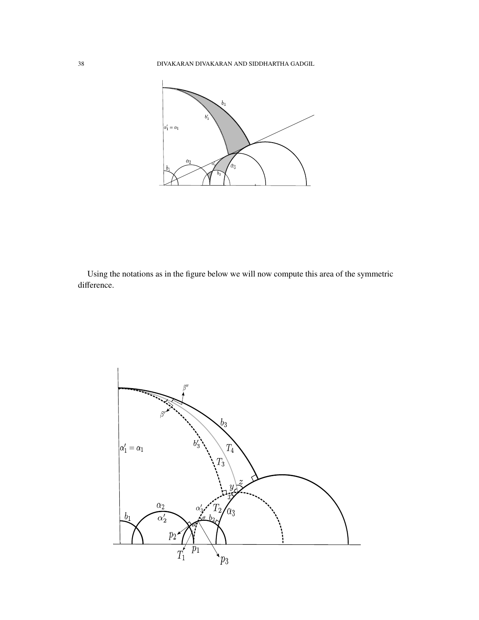

Using the notations as in the figure below we will now compute this area of the symmetric difference.

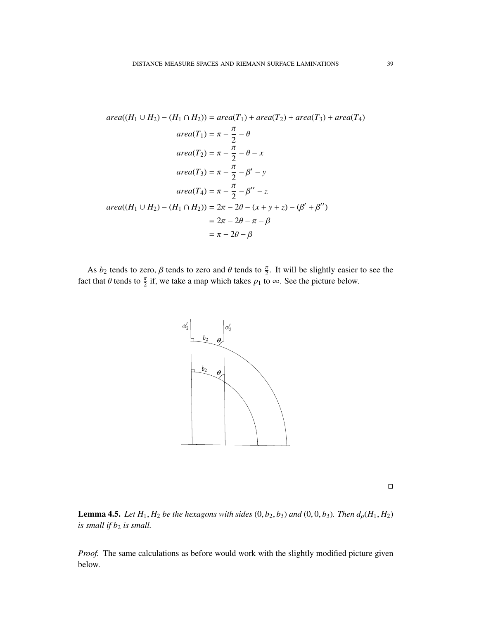$$
area((H_1 \cup H_2) - (H_1 \cap H_2)) = area(T_1) + area(T_2) + area(T_3) + area(T_4)
$$
  
\n
$$
area(T_1) = \pi - \frac{\pi}{2} - \theta
$$
  
\n
$$
area(T_2) = \pi - \frac{\pi}{2} - \theta - x
$$
  
\n
$$
area(T_3) = \pi - \frac{\pi}{2} - \beta' - y
$$
  
\n
$$
area(T_4) = \pi - \frac{\pi}{2} - \beta'' - z
$$
  
\n
$$
area((H_1 \cup H_2) - (H_1 \cap H_2)) = 2\pi - 2\theta - (x + y + z) - (\beta' + \beta'')
$$
  
\n
$$
= 2\pi - 2\theta - \pi - \beta
$$
  
\n
$$
= \pi - 2\theta - \beta
$$

As  $b_2$  tends to zero,  $\beta$  tends to zero and  $\theta$  tends to  $\frac{\pi}{2}$ . It will be slightly easier to see the fact that  $\theta$  tends to  $\frac{\pi}{2}$  if, we take a map which takes  $p_1$  to  $\infty$ . See the picture below.





**Lemma 4.5.** *Let*  $H_1$ ,  $H_2$  *be the hexagons with sides*  $(0, b_2, b_3)$  *and*  $(0, 0, b_3)$ *. Then*  $d_p(H_1, H_2)$ *is small if*  $b_2$  *is small.* 

*Proof.* The same calculations as before would work with the slightly modified picture given below.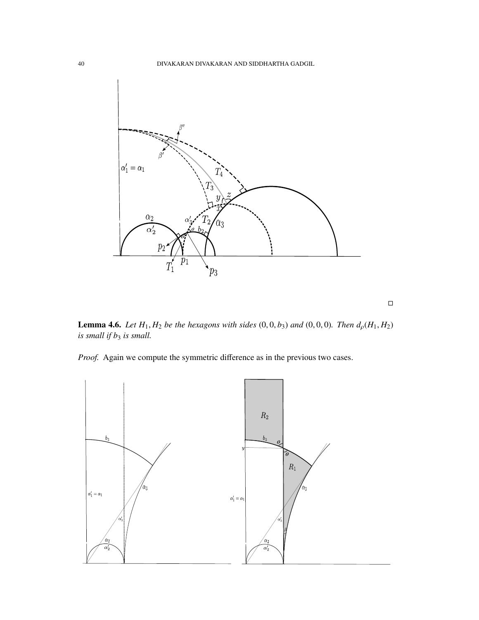

**Lemma 4.6.** *Let*  $H_1$ ,  $H_2$  *be the hexagons with sides* (0, 0, *b*<sub>3</sub>) *and* (0, 0, 0)*. Then*  $d_p(H_1, H_2)$ *is small if b*<sup>3</sup> *is small.*

 $\Box$ 

*Proof.* Again we compute the symmetric difference as in the previous two cases.

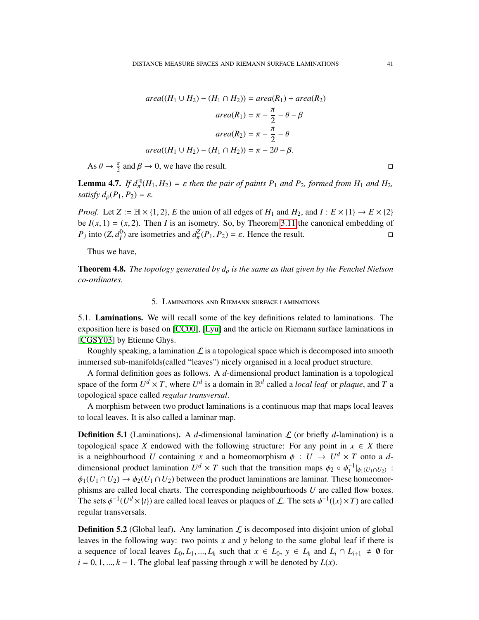$$
area((H_1 \cup H_2) - (H_1 \cap H_2)) = area(R_1) + area(R_2)
$$

$$
area(R_1) = \pi - \frac{\pi}{2} - \theta - \beta
$$

$$
area(R_2) = \pi - \frac{\pi}{2} - \theta
$$

$$
area((H_1 \cup H_2) - (H_1 \cap H_2)) = \pi - 2\theta - \beta.
$$

As  $\theta \to \frac{\pi}{2}$  and  $\beta \to 0$ , we have the result.

**Lemma 4.7.** *If*  $d_{\pi}^{\mathbb{H}}(H_1, H_2) = \varepsilon$  *then the pair of paints*  $P_1$  *and*  $P_2$ *, formed from*  $H_1$  *and*  $H_2$ *, existing*<sup>*l*</sup>  $d(P_1, P_2) = \varepsilon$ satisfy  $d_{\rho}(P_1, P_2) = \varepsilon$ .

*Proof.* Let  $Z := \mathbb{H} \times \{1, 2\}$ , *E* the union of all edges of  $H_1$  and  $H_2$ , and  $I : E \times \{1\} \rightarrow E \times \{2\}$ be  $I(x, 1) = (x, 2)$ . Then *I* is an isometry. So, by Theorem [3.11](#page-12-0) the canonical embedding of  $P_i$  into  $(Z, d_i^0)$  are isometries and  $d^Z(P_1, P_2) = \varepsilon$ . Hence the result. *P<sub>j</sub>* into  $(Z, d_I^0)$  are isometries and  $d_{\pi}^Z(P_1, P_2) = \varepsilon$ . Hence the result.

Thus we have,

Theorem 4.8. *The topology generated by d*ρ *is the same as that given by the Fenchel Nielson co-ordinates.*

# 5. Laminations and Riemann surface laminations

5.1. Laminations. We will recall some of the key definitions related to laminations. The exposition here is based on [\[CC00\]](#page-52-5), [\[Lyu\]](#page-52-6) and the article on Riemann surface laminations in [\[CGSY03\]](#page-52-7) by Etienne Ghys.

Roughly speaking, a lamination  $\mathcal L$  is a topological space which is decomposed into smooth immersed sub-manifolds(called "leaves") nicely organised in a local product structure.

A formal definition goes as follows. A *d*-dimensional product lamination is a topological space of the form  $U^d \times T$ , where  $U^d$  is a domain in  $\mathbb{R}^d$  called a *local leaf* or *plaque*, and *T* a topological space called *regular transversal*.

A morphism between two product laminations is a continuous map that maps local leaves to local leaves. It is also called a laminar map.

**Definition 5.1** (Laminations). A  $d$ -dimensional lamination  $\mathcal{L}$  (or briefly  $d$ -lamination) is a topological space *X* endowed with the following structure: For any point in  $x \in X$  there is a neighbourhood *U* containing *x* and a homeomorphism  $\phi : U \to U^d \times T$  onto a *d*-<br>dimensional product lamination  $U^d \times T$  such that the transition maps  $\phi$  a  $\phi^{-1}$  is used in dimensional product lamination  $U^d \times T$  such that the transition maps  $\phi_2 \circ \phi_1^{-1}|_{\phi_1(U_1 \cap U_2)}$ :<br>  $\phi_1(U_1 \cap U_2) \to \phi_2(U_2 \cap U_1)$  between the product leminations are laminar. These homeomores  $\phi_1(U_1 \cap U_2) \to \phi_2(U_1 \cap U_2)$  between the product laminations are laminar. These homeomorphisms are called local charts. The corresponding neighbourhoods *U* are called flow boxes. The sets  $\phi^{-1}(U^d \times \{t\})$  are called local leaves or plaques of  $\mathcal L$ . The sets  $\phi^{-1}(\{x\} \times T)$  are called requier transversels regular transversals.

**Definition 5.2** (Global leaf). Any lamination  $\mathcal{L}$  is decomposed into disjoint union of global leaves in the following way: two points *x* and *y* belong to the same global leaf if there is a sequence of local leaves  $L_0, L_1, ..., L_k$  such that  $x \in L_0, y \in L_k$  and  $L_i \cap L_{i+1} \neq \emptyset$  for  $i = 0, 1, \ldots, k - 1$ . The global leaf passing through *x* will be denoted by  $L(x)$ .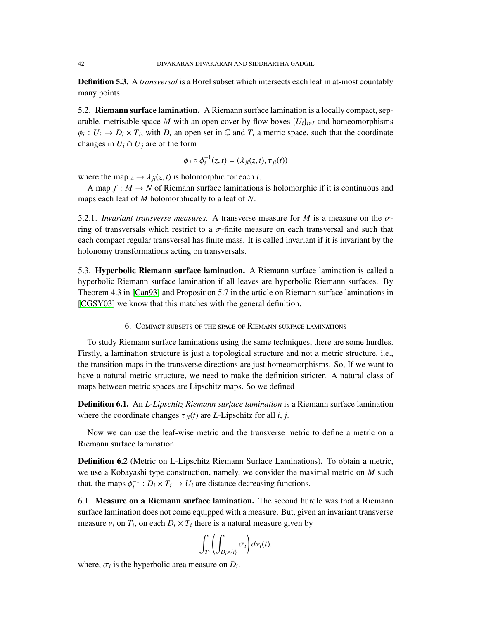Definition 5.3. A *transversal* is a Borel subset which intersects each leaf in at-most countably many points.

5.2. **Riemann surface lamination.** A Riemann surface lamination is a locally compact, separable, metrisable space *M* with an open cover by flow boxes  ${U_i}_{i \in I}$  and homeomorphisms  $\phi_i: U_i \to D_i \times T_i$ , with  $D_i$  an open set in  $\mathbb C$  and  $T_i$  a metric space, such that the coordinate changes in  $U_i \cap U_j$  are of the form

$$
\phi_j \circ \phi_i^{-1}(z,t) = (\lambda_{ji}(z,t), \tau_{ji}(t))
$$

where the map  $z \to \lambda_{ii}(z, t)$  is holomorphic for each *t*.

A map  $f : M \to N$  of Riemann surface laminations is holomorphic if it is continuous and maps each leaf of *M* holomorphically to a leaf of *N*.

5.2.1. *Invariant transverse measures.* A transverse measure for *<sup>M</sup>* is a measure on the σring of transversals which restrict to a  $\sigma$ -finite measure on each transversal and such that each compact regular transversal has finite mass. It is called invariant if it is invariant by the holonomy transformations acting on transversals.

5.3. Hyperbolic Riemann surface lamination. A Riemann surface lamination is called a hyperbolic Riemann surface lamination if all leaves are hyperbolic Riemann surfaces. By Theorem 4.3 in [\[Can93\]](#page-51-2) and Proposition 5.7 in the article on Riemann surface laminations in [\[CGSY03\]](#page-52-7) we know that this matches with the general definition.

6. Compact subsets of the space of Riemann surface laminations

To study Riemann surface laminations using the same techniques, there are some hurdles. Firstly, a lamination structure is just a topological structure and not a metric structure, i.e., the transition maps in the transverse directions are just homeomorphisms. So, If we want to have a natural metric structure, we need to make the definition stricter. A natural class of maps between metric spaces are Lipschitz maps. So we defined

Definition 6.1. An *L-Lipschitz Riemann surface lamination* is a Riemann surface lamination where the coordinate changes  $\tau_{ii}(t)$  are *L*-Lipschitz for all *i*, *j*.

Now we can use the leaf-wise metric and the transverse metric to define a metric on a Riemann surface lamination.

Definition 6.2 (Metric on L-Lipschitz Riemann Surface Laminations). To obtain a metric, we use a Kobayashi type construction, namely, we consider the maximal metric on *M* such that, the maps  $\phi_i^{-1}: D_i \times T_i \to U_i$  are distance decreasing functions.

6.1. Measure on a Riemann surface lamination. The second hurdle was that a Riemann surface lamination does not come equipped with a measure. But, given an invariant transverse measure  $v_i$  on  $T_i$ , on each  $D_i \times T_i$  there is a natural measure given by

$$
\int_{T_i} \left( \int_{D_i \times \{t\}} \sigma_i \right) d\nu_i(t).
$$

where,  $\sigma_i$  is the hyperbolic area measure on  $D_i$ .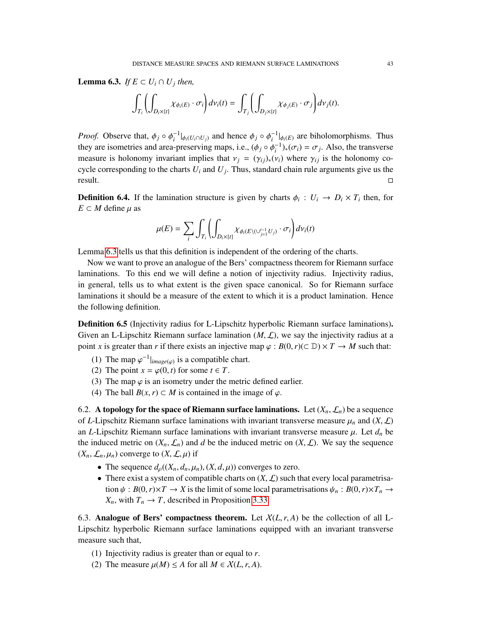<span id="page-42-0"></span>**Lemma 6.3.** *If*  $E \subset U_i \cap U_j$  *then,* 

$$
\int_{T_i}\left(\int_{D_i\times\{t\}}\chi_{\phi_i(E)}\cdot\sigma_i\right)dv_i(t)=\int_{T_j}\left(\int_{D_j\times\{t\}}\chi_{\phi_j(E)}\cdot\sigma_j\right)dv_j(t).
$$

*Proof.* Observe that,  $\phi_j \circ \phi_i^{-1}|_{\phi_i(U_i \cap U_j)}$  and hence  $\phi_j \circ \phi_i^{-1}|_{\phi_i(E)}$  are biholomorphisms. Thus the use isometries and area presenting maps i.e.  $(A \circ A^{-1})$   $(\pi) = \pi$ . Also the transvarse they are isometries and area-preserving maps, i.e.,  $(\phi_j \circ \phi_i^{-1})_*(\sigma_i) = \sigma_j$ . Also, the transverse measure is helenomy inversion implies that  $y_i = (x_i)$  (*y*) where  $\alpha_i$  is the helenomy  $\alpha_i$ measure is holonomy invariant implies that  $v_j = (\gamma_{ij})_*(v_i)$  where  $\gamma_{ij}$  is the holonomy cocycle corresponding to the charts *U<sup>i</sup>* and *U<sup>j</sup>* . Thus, standard chain rule arguments give us the  $\Box$  result.

**Definition 6.4.** If the lamination structure is given by charts  $\phi_i : U_i \to D_i \times T_i$  then, for  $F \subset M$  define  $u$  as  $E \subset M$  define  $\mu$  as

$$
\mu(E)=\sum_i\int_{T_i}\left(\int_{D_i\times\{t\}}\chi_{\phi_i(E\backslash (\cup_{j=1}^{i-1}U_j)}\cdot\sigma_i\right)d\nu_i(t)
$$

Lemma [6.3](#page-42-0) tells us that this definition is independent of the ordering of the charts.

Now we want to prove an analogue of the Bers' compactness theorem for Riemann surface laminations. To this end we will define a notion of injectivity radius. Injectivity radius, in general, tells us to what extent is the given space canonical. So for Riemann surface laminations it should be a measure of the extent to which it is a product lamination. Hence the following definition.

Definition 6.5 (Injectivity radius for L-Lipschitz hyperbolic Riemann surface laminations). Given an L-Lipschitz Riemann surface lamination  $(M, \mathcal{L})$ , we say the injectivity radius at a point *x* is greater than *r* if there exists an injective map  $\varphi : B(0, r) \subset \mathbb{D} \times T \to M$  such that:

- (1) The map  $\varphi^{-1}|_{image(\varphi)}$  is a compatible chart.<br>(2) The point  $x = \varphi(0, t)$  for some  $t \in T$
- (2) The point  $x = \varphi(0, t)$  for some  $t \in T$ .
- (3) The map  $\varphi$  is an isometry under the metric defined earlier.
- (4) The ball  $B(x, r) \subset M$  is contained in the image of  $\varphi$ .

<span id="page-42-2"></span>6.2. A topology for the space of Riemann surface laminations. Let  $(X_n, \mathcal{L}_n)$  be a sequence of *L*-Lipschitz Riemann surface laminations with invariant transverse measure  $\mu_n$  and  $(X, \mathcal{L})$ an *L*-Lipschitz Riemann surface laminations with invariant transverse measure  $\mu$ . Let  $d_n$  be the induced metric on  $(X_n, \mathcal{L}_n)$  and *d* be the induced metric on  $(X, \mathcal{L})$ . We say the sequence  $(X_n, \mathcal{L}_n, \mu_n)$  converge to  $(X, \mathcal{L}, \mu)$  if

- The sequence  $d_p((X_n, d_n, \mu_n), (X, d, \mu))$  converges to zero.
- There exist a system of compatible charts on  $(X, \mathcal{L})$  such that every local parametrisation  $\psi$  :  $B(0,r) \times T \to X$  is the limit of some local parametrisations  $\psi_n : B(0,r) \times T_n \to Y$ *X<sub>n</sub>*, with  $T_n \to T$ , described in Proposition [3.33.](#page-22-0)

6.3. **Analogue of Bers' compactness theorem.** Let  $\chi(L, r, A)$  be the collection of all L-Lipschitz hyperbolic Riemann surface laminations equipped with an invariant transverse measure such that,

- (1) Injectivity radius is greater than or equal to *r*.
- <span id="page-42-1"></span>(2) The measure  $\mu(M) \leq A$  for all  $M \in \mathcal{X}(L, r, A)$ .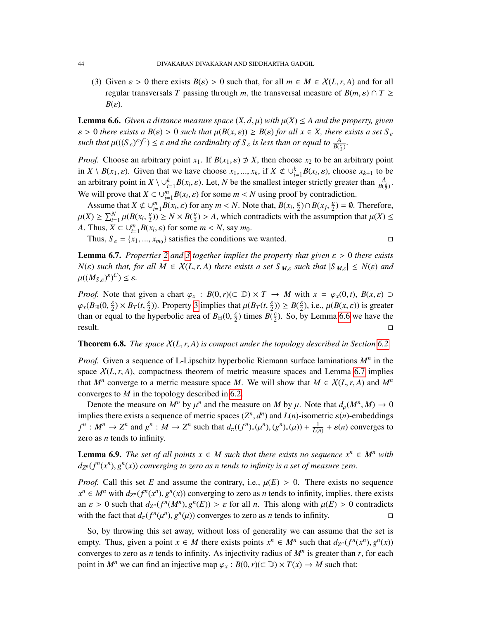<span id="page-43-0"></span>(3) Given  $\varepsilon > 0$  there exists  $B(\varepsilon) > 0$  such that, for all  $m \in M \in X(L, r, A)$  and for all regular transversals *T* passing through *m*, the transversal measure of  $B(m, \varepsilon) \cap T \geq$  $B(\varepsilon)$ .

<span id="page-43-1"></span>**Lemma 6.6.** *Given a distance measure space*  $(X, d, \mu)$  *with*  $\mu(X) \leq A$  *and the property, given*  $\varepsilon > 0$  *there exists a*  $B(\varepsilon) > 0$  *such that*  $\mu(B(x, \varepsilon)) \geq B(\varepsilon)$  *for all*  $x \in X$ *, there exists a set*  $S_{\varepsilon}$ such that  $\mu(((S_{\varepsilon})^{\varepsilon})^C) \leq \varepsilon$  and the cardinality of  $S_{\varepsilon}$  is less than or equal to  $\frac{A}{B(\frac{\varepsilon}{2})}$ .

*Proof.* Choose an arbitrary point  $x_1$ . If  $B(x_1, \varepsilon) \not\supset X$ , then choose  $x_2$  to be an arbitrary point in  $X \setminus B(x_1, \varepsilon)$ . Given that we have choose  $x_1, ..., x_k$ , if  $X \notin \bigcup_{i=1}^k B(x_i, \varepsilon)$ , choose  $x_{k+1}$  to be an arbitrary point in  $X \setminus \cup_{i=1}^k B(x_i, \varepsilon)$ . Let, *N* be the smallest integer strictly greater than  $\frac{A}{B(\frac{\varepsilon}{2})}$ . We will prove that  $X \subset \bigcup_{i=1}^{m} B(x_i, \varepsilon)$  for some  $m < N$  using proof by contradiction.

Assume that  $X \not\subset \bigcup_{i=1}^{m} B(x_i, \varepsilon)$  for any  $m < N$ . Note that,  $B(x_i, \frac{\varepsilon}{2}) \cap B(x_j, \frac{\varepsilon}{2}) = \emptyset$ . Therefore,<br> $X \subseteq \bigcup_{i=1}^{N} U(E(x_i, \frac{\varepsilon}{2})) \subseteq M \times B(\varepsilon) \subseteq A$ , which controllets with the assumption that  $U(X) \leq$  $\mu(X) \ge \sum_{i=1}^{N} \mu(B(x_i, \frac{\varepsilon}{2})) \ge N \times B(\frac{\varepsilon}{2}) > A$ , which contradicts with the assumption that  $\mu(X) \le$ *A*. Thus,  $X \subset \bigcup_{i=1}^{m} B(x_i, \varepsilon)$  for some  $m < N$ , say  $m_0$ .<br>
Thus,  $S = \{x_i, x_j\}$  sotisfies the conditions with

Thus,  $S_{\varepsilon} = \{x_1, ..., x_{m_0}\}\$  satisfies the conditions we wanted.

<span id="page-43-2"></span>**Lemma 6.7.** Properties [2](#page-42-1) and [3](#page-43-0) together implies the property that given  $\varepsilon > 0$  there exists  $N(\varepsilon)$  *such that, for all*  $M \in \mathcal{X}(L, r, A)$  *there exists a set*  $S_{M,\varepsilon}$  *such that*  $|S_{M,\varepsilon}| \leq N(\varepsilon)$  *and*  $\mu((M_{S,\varepsilon})^{\varepsilon})^C) \leq \varepsilon.$ 

*Proof.* Note that given a chart  $\varphi_x$  :  $B(0, r)$ ( $\subset \mathbb{D}$ )  $\times T \rightarrow M$  with  $x = \varphi_x(0, t)$ ,  $B(x, \varepsilon) \supset$  $\varphi_x(B_\mathbb{H}(0, \frac{\varepsilon}{2}) \times B_T(t, \frac{\varepsilon}{2}))$ . Property [3](#page-43-0) implies that  $\mu(B_T(t, \frac{\varepsilon}{2})) \geq B(\frac{\varepsilon}{2})$ , i.e.,  $\mu(B(x, \varepsilon))$  is greater than or equal to the hyperbolic greater  $B_{\text{ref}}(0, \frac{\varepsilon}{2})$  times  $B(\varepsilon)$ . So by I amma 6.6 than or equal to the hyperbolic area of  $B_{\mathbb{H}}(0, \frac{\varepsilon}{2})$  times  $B(\frac{\varepsilon}{2})$ . So, by Lemma [6.6](#page-43-1) we have the  $\Box$  result.

Theorem 6.8. *The space* <sup>X</sup>(*L*,*r*, *<sup>A</sup>*) *is compact under the topology described in Section [6.2.](#page-42-2)*

*Proof.* Given a sequence of L-Lipschitz hyperbolic Riemann surface laminations *M<sup>n</sup>* in the space  $\chi(L, r, A)$ , compactness theorem of metric measure spaces and Lemma [6.7](#page-43-2) implies that  $M^n$  converge to a metric measure space *M*. We will show that  $M \in X(L, r, A)$  and  $M^n$ <br>converges to *M* in the topology described in 6.2 converges to *M* in the topology described in [6.2.](#page-42-2)

Denote the measure on  $M^n$  by  $\mu^n$  and the measure on  $M$  by  $\mu$ . Note that  $d_{\rho}(M^n, M) \to 0$ <br>plies there exists a sequence of metric spaces  $(T^n, d^n)$  and  $I(n)$  isometric  $g(n)$  embeddings implies there exists a sequence of metric spaces  $(Z^n, d^n)$  and  $L(n)$ -isometric  $\varepsilon(n)$ -embeddings<br> $f^n \cdot M^n \to Z^n$  and  $g^n \cdot M \to Z^n$  and that  $d((f^n)_{(a)}(g^n)_{(a)})(q^n) + \frac{1}{2} + o(n)$  converges to  $f^n: M^n \to \mathbb{Z}^n$  and  $g^n: M \to \mathbb{Z}^n$  such that  $d_\pi((f^n)_*(\mu^n), (g^n)_*(\mu)) + \frac{1}{L(n)} + \varepsilon(n)$  converges to zero as *n* tends to infinity.

**Lemma 6.9.** *The set of all points*  $x \in M$  *such that there exists no sequence*  $x^n \in M^n$  *with*  $d_{Z^n}(f^n(x^n), g^n(x))$  converging to zero as n tends to infinity is a set of measure zero.

*Proof.* Call this set *E* and assume the contrary, i.e.,  $\mu(E) > 0$ . There exists no sequence  $x^n \in M^n$  with  $d_{Z^n}(f^n(x^n), g^n(x))$  converging to zero as *n* tends to infinity, implies, there exists an  $\varepsilon > 0$  such that  $d_{Z^n}(f^n(M^n), g^n(E)) > \varepsilon$  for all *n*. This along with  $\mu(E) > 0$  contradicts with the feet that  $d(f^n(\mu^n), g^n(\mu))$  converges to zero as *n* tonds to infinity with the fact that  $d_{\pi}(f^{n}(\mu^{n}), g^{n}(\mu))$  converges to zero as *n* tends to infinity.

So, by throwing this set away, without loss of generality we can assume that the set is empty. Thus, given a point  $x \in M$  there exists points  $x^n \in M^n$  such that  $d_{Z^n}(f^n(x^n), g^n(x))$ <br>converges to zero as *n* tonds to infinity. As injectivity redius of  $M^n$  is greater than *n* for each converges to zero as *n* tends to infinity. As injectivity radius of  $M<sup>n</sup>$  is greater than *r*, for each point in  $M^n$  we can find an injective map  $\varphi_x : B(0, r) (\subset \mathbb{D}) \times T(x) \to M$  such that: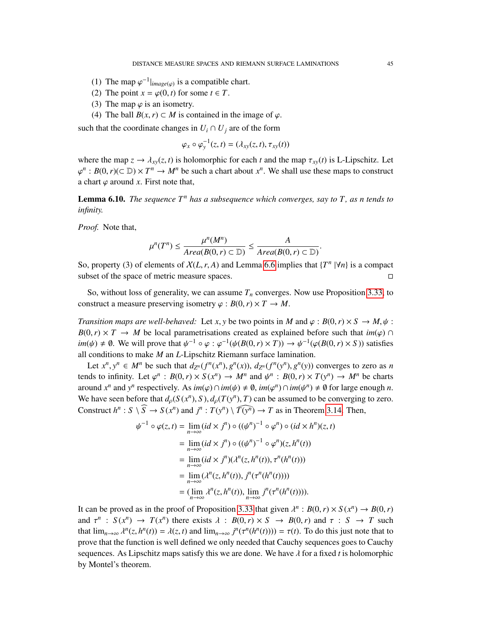- (1) The map  $\varphi^{-1}|_{image(\varphi)}$  is a compatible chart.<br>(2) The point  $x = \varphi(0, t)$  for some  $t \in T$
- (2) The point  $x = \varphi(0, t)$  for some  $t \in T$ .
- (3) The map  $\varphi$  is an isometry.
- (4) The ball  $B(x, r) \subset M$  is contained in the image of  $\varphi$ .

such that the coordinate changes in  $U_i \cap U_j$  are of the form

$$
\varphi_x \circ \varphi_y^{-1}(z,t) = (\lambda_{xy}(z,t), \tau_{xy}(t))
$$

where the map  $z \to \lambda_{xy}(z, t)$  is holomorphic for each *t* and the map  $\tau_{xy}(t)$  is L-Lipschitz. Let a chart  $\varphi$  around *x*. First note that, *n* : *B*(0,*r*)(⊂ D) × *T<sup>n</sup>* → *M<sup>n</sup>* be such a chart about *x<sup>n</sup>*. We shall use these maps to construct about *x* a ground *x*. First note that

Lemma 6.10. *The sequence T<sup>n</sup> has a subsequence which converges, say to T, as n tends to infinity.*

*Proof.* Note that,

$$
\mu^{n}(T^{n}) \leq \frac{\mu^{n}(M^{n})}{Area(B(0, r) \subset D)} \leq \frac{A}{Area(B(0, r) \subset D)}.
$$

So, property (3) of elements of  $X(L, r, A)$  and Lemma [6.6](#page-43-1) implies that  $\{T^n | \forall n\}$  is a compact subset of the space of metric measure spaces. subset of the space of metric measure spaces.

So, without loss of generality, we can assume  $T<sub>n</sub>$  converges. Now use Proposition [3.33,](#page-22-0) to construct a measure preserving isometry  $\varphi : B(0,r) \times T \to M$ .

*Transition maps are well-behaved:* Let *x*, *y* be two points in *M* and  $\varphi$ :  $B(0, r) \times S \to M, \psi$ :  $B(0, r) \times T \to M$  be local parametrisations created as explained before such that *im*( $\varphi$ ) ∩  $im(\psi) \neq \emptyset$ . We will prove that  $\psi^{-1} \circ \varphi : \varphi^{-1}(\psi(B(0, r) \times T)) \to \psi^{-1}(\varphi(B(0, r) \times S))$  satisfies all conditions to make *M* an *L* Lincoplitz Pierran surface lamination all conditions to make *M* an *L*-Lipschitz Riemann surface lamination.

Let  $x^n, y^n \in M^n$  be such that  $d_{Z^n}(f^n(x^n), g^n(x))$ ,  $d_{Z^n}(f^n(y^n), g^n(y))$  converges to zero as n<br>let to infinity. Let  $g^n$ ,  $P(0, n) \times S(\psi^n)$ ,  $M^n$  and  $\psi^n$ ,  $P(0, n) \times T(\psi^n)$ ,  $M^n$  be oberto tends to infinity. Let  $\varphi^n$ :  $B(0, r) \times S(x^n) \to M^n$  and  $\psi^n$ :  $B(0, r) \times T(y^n) \to M^n$  be charts around  $x^n$  and  $y^n$  respectively. As  $im(\varphi) \cap im(\psi) \neq \emptyset$ ,  $im(\varphi^n) \cap im(\psi^n) \neq \emptyset$  for large enough *n*.<br>We have seen before that  $d(G(x^n), S) \neq (T(x^n), T)$  can be assumed to be converging to zero. We have seen before that  $d_{\rho}(S(x^n), S), d_{\rho}(T(y^n), T)$  can be assumed to be converging to zero.<br>Construct  $h^n$ ,  $S \setminus \widehat{S}$  by  $S(\mathcal{A}^n)$  and  $\mathcal{B}$ ,  $T(\mathcal{A}^n) \setminus \widehat{T(\mathcal{A}^n)}$  or  $T$  as in Theorem 2.14. Then Construct  $h^n : S \setminus \widehat{S} \to S(x^n)$  and  $j^n : T(y^n) \setminus \widehat{T(y^n)} \to T$  as in Theorem [3.14.](#page-14-1) Then,

$$
\psi^{-1} \circ \varphi(z,t) = \lim_{n \to \infty} (id \times j^n) \circ ((\psi^n)^{-1} \circ \varphi^n) \circ (id \times h^n)(z,t)
$$
  
\n
$$
= \lim_{n \to \infty} (id \times j^n) \circ ((\psi^n)^{-1} \circ \varphi^n)(z, h^n(t))
$$
  
\n
$$
= \lim_{n \to \infty} (id \times j^n) (\lambda^n(z, h^n(t)), \tau^n(h^n(t)))
$$
  
\n
$$
= \lim_{n \to \infty} (\lambda^n(z, h^n(t)), j^n(\tau^n(h^n(t))))
$$
  
\n
$$
= (\lim_{n \to \infty} \lambda^n(z, h^n(t)), \lim_{n \to \infty} j^n(\tau^n(h^n(t))))
$$

It can be proved as in the proof of Proposition [3.33](#page-22-0) that given  $\lambda^n : B(0, r) \times S(x^n) \to B(0, r)$ <br>and  $\pi^n : S(x^n) \to T(x^n)$  there grists  $\lambda : B(0, r) \times S \to B(0, r)$  and  $\pi : S \to T$  such and  $\tau^n$  :  $S(x^n) \to T(x^n)$  there exists  $\lambda$  :  $B(0, r) \times S \to B(0, r)$  and  $\tau$  :  $S \to T$  such that  $\lim_{n \to \infty} \frac{n(\tau^n(h^n(x)))}{n(\tau^n(h^n(x)))} = \tau(t)$ . To do this just note that to that  $\lim_{n\to\infty} \lambda^n(z, h^n(t)) = \lambda(z, t)$  and  $\lim_{n\to\infty} j^n(\tau^n(h^n(t))) = \tau(t)$ . To do this just note that to prove that to prove that to prove that the function is well defined we only needed that Cauchy sequences goes to Cauchy prove that the function is well defined we only needed that Cauchy sequences goes to Cauchy sequences. As Lipschitz maps satisfy this we are done. We have  $\lambda$  for a fixed *t* is holomorphic by Montel's theorem.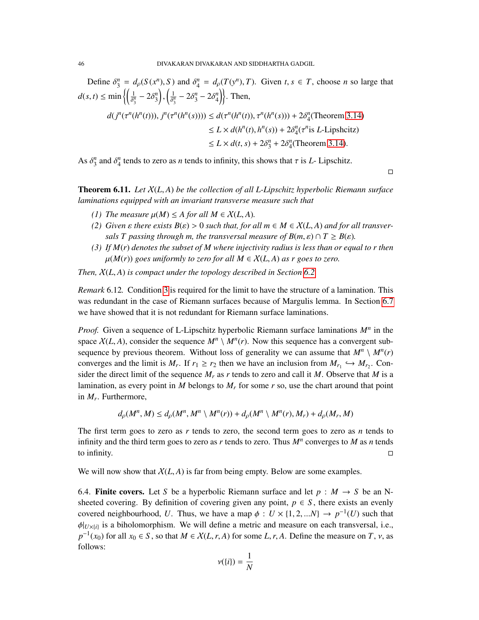Define  $\delta_3^n = d_\rho(S(x^n), S)$  and  $\delta_4^n = d_\rho(T(y^n), T)$ . Given  $t, s \in T$ , choose *n* so large that  $d(s, t) \le \min\left\{\left(\frac{1}{\delta_3^n} - 2\delta_3^n\right)\right\}$  $\lambda$ ,  $\sqrt{1}$  $\left\{\frac{1}{\delta_3^n} - 2\delta_3^n - 2\delta_4^n\right\}$ . Then,

$$
d(j^n(\tau^n(h^n(t))), j^n(\tau^n(h^n(s)))) \le d(\tau^n(h^n(t)), \tau^n(h^n(s))) + 2\delta_4^n(\text{Theorem 3.14})
$$
  
\n
$$
\le L \times d(h^n(t), h^n(s)) + 2\delta_4^n(\tau^n \text{ is } L\text{-Lipsheitz})
$$
  
\n
$$
\le L \times d(t, s) + 2\delta_3^n + 2\delta_4^n(\text{Theorem 3.14}).
$$

As  $\delta_3^n$  and  $\delta_4^n$  tends to zero as *n* tends to infinity, this shows that  $\tau$  is *L*- Lipschitz.

 $\Box$ 

Theorem 6.11. *Let* <sup>X</sup>(*L*, *<sup>A</sup>*) *be the collection of all L-Lipschitz hyperbolic Riemann surface laminations equipped with an invariant transverse measure such that*

- *(1)* The measure  $\mu(M) \leq A$  for all  $M \in \mathcal{X}(L, A)$ .
- *(2) Given ε there exists*  $B(\varepsilon) > 0$  *such that, for all m*  $\in M \in X(L, A)$  *and for all transversals T passing through m, the transversal measure of*  $B(m, \varepsilon) \cap T \geq B(\varepsilon)$ *.*
- <span id="page-45-0"></span>*(3) If M*(*r*) *denotes the subset of M where injectivity radius is less than or equal to r then*  $\mu(M(r))$  goes uniformly to zero for all  $M \in \mathcal{X}(L, A)$  as r goes to zero.

*Then,* <sup>X</sup>(*L*, *<sup>A</sup>*) *is compact under the topology described in Section [6.2.](#page-42-2)*

*Remark* 6.12*.* Condition [3](#page-45-0) is required for the limit to have the structure of a lamination. This was redundant in the case of Riemann surfaces because of Margulis lemma. In Section [6.7](#page-50-0) we have showed that it is not redundant for Riemann surface laminations.

*Proof.* Given a sequence of L-Lipschitz hyperbolic Riemann surface laminations *M<sup>n</sup>* in the space  $X(L, A)$ , consider the sequence  $M^n \setminus M^n(r)$ . Now this sequence has a convergent sub-<br>sequence by provious theorem. Without loss of generality we can assume that  $M^n \setminus M^n(r)$ . sequence by previous theorem. Without loss of generality we can assume that  $M^n \setminus M^n(r)$ converges and the limit is  $M_r$ . If  $r_1 \ge r_2$  then we have an inclusion from  $M_{r_1} \hookrightarrow M_{r_2}$ . Consider the direct limit of the sequence  $M$  as r tonds to zero and call it  $M$ . Observe that  $M$  is a sider the direct limit of the sequence  $M_r$  as  $r$  tends to zero and call it  $M$ . Observe that  $M$  is a lamination, as every point in *M* belongs to  $M_r$  for some  $r$  so, use the chart around that point in *M<sup>r</sup>* . Furthermore,

$$
d_{\rho}(M^n, M) \leq d_{\rho}(M^n, M^n \setminus M^n(r)) + d_{\rho}(M^n \setminus M^n(r), M_r) + d_{\rho}(M_r, M)
$$

The first term goes to zero as *r* tends to zero, the second term goes to zero as *n* tends to infinity and the third term goes to zero as *r* tends to zero. Thus *M<sup>n</sup>* converges to *M* as *n* tends to infinity.  $\Box$ 

We will now show that  $X(L, A)$  is far from being empty. Below are some examples.

<span id="page-45-1"></span>6.4. Finite covers. Let *S* be a hyperbolic Riemann surface and let  $p : M \to S$  be an Nsheeted covering. By definition of covering given any point,  $p \in S$ , there exists an evenly covered neighbourhood, *U*. Thus, we have a map  $\phi : U \times \{1, 2, ...N\} \rightarrow p^{-1}(U)$  such that  $\phi|_{U\times\{i\}}$  is a biholomorphism. We will define a metric and measure on each transversal, i.e.,  $n^{-1}(x_0)$  for all  $x \in S$ , so that  $M \in Y(I, x, A)$  for some  $I, x, A$ . Define the measure on  $T, y$  as  $p^{-1}(x_0)$  for all  $x_0 \in S$ , so that  $M \in \mathcal{X}(L, r, A)$  for some *L*, *r*, *A*. Define the measure on *T*, *v*, as follows: follows:

$$
\nu(\{i\})=\frac{1}{N}
$$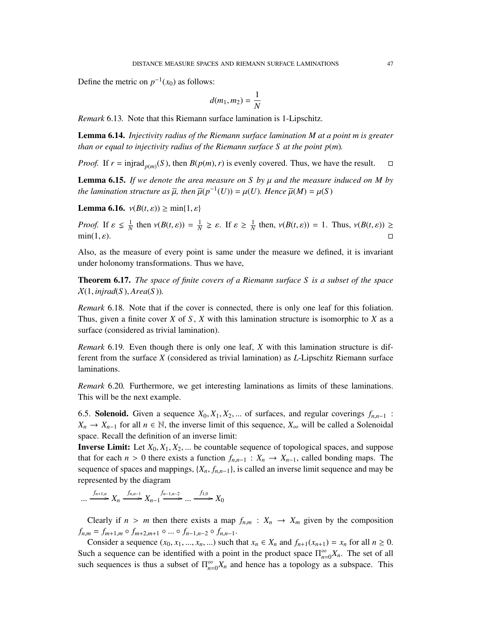Define the metric on  $p^{-1}(x_0)$  as follows:

$$
d(m_1,m_2)=\frac{1}{N}
$$

*Remark* 6.13*.* Note that this Riemann surface lamination is 1-Lipschitz.

<span id="page-46-1"></span>Lemma 6.14. *Injectivity radius of the Riemann surface lamination M at a point m is greater than or equal to injectivity radius of the Riemann surface S at the point*  $p(m)$ *.* 

*Proof.* If  $r = \text{injrad}_{p(m)}(S)$ , then  $B(p(m), r)$  is evenly covered. Thus, we have the result.  $\square$ 

<span id="page-46-0"></span>Lemma 6.15. *If we denote the area measure on S by* µ *and the measure induced on M by the lamination structure as*  $\overline{\mu}$ , then  $\overline{\mu}(p^{-1}(U)) = \mu(U)$ . Hence  $\overline{\mu}(M) = \mu(S)$ 

Lemma 6.16.  $v(B(t, \varepsilon)) \ge \min\{1, \varepsilon\}$ 

*Proof.* If  $\varepsilon \leq \frac{1}{N}$  then  $v(B(t, \varepsilon)) = \frac{1}{N} \geq \varepsilon$ . If  $\varepsilon \geq \frac{1}{N}$  then,  $v(B(t, \varepsilon)) = 1$ . Thus,  $v(B(t, \varepsilon)) \geq$  $\min(1, \varepsilon).$ 

Also, as the measure of every point is same under the measure we defined, it is invariant under holonomy transformations. Thus we have,

Theorem 6.17. *The space of finite covers of a Riemann surface S is a subset of the space*  $X(1, \text{injrad}(S), \text{Area}(S)).$ 

*Remark* 6.18*.* Note that if the cover is connected, there is only one leaf for this foliation. Thus, given a finite cover *X* of *S* , *X* with this lamination structure is isomorphic to *X* as a surface (considered as trivial lamination).

*Remark* 6.19*.* Even though there is only one leaf, *X* with this lamination structure is different from the surface *X* (considered as trivial lamination) as *L*-Lipschitz Riemann surface laminations.

*Remark* 6.20*.* Furthermore, we get interesting laminations as limits of these laminations. This will be the next example.

6.5. Solenoid. Given a sequence  $X_0, X_1, X_2, ...$  of surfaces, and regular coverings  $f_{n,n-1}$ : *X<sub>n</sub>* → *X<sub>n</sub>*-1 for all *n* ∈ N, the inverse limit of this sequence, *X*<sub>∞</sub> will be called a Solenoidal space. Recall the definition of an inverse limit:

**Inverse Limit:** Let  $X_0, X_1, X_2, ...$  be countable sequence of topological spaces, and suppose that for each  $n > 0$  there exists a function  $f_{n,n-1} : X_n \to X_{n-1}$ , called bonding maps. The sequence of spaces and mappings,  $\{X_n, f_{n,n-1}\}$ , is called an inverse limit sequence and may be represented by the diagram

 $f_{n+1,n}$   $X_n \xrightarrow{f_{n,n-1}} X_{n-1} \xrightarrow{f_{n-1,n-2}} ... \xrightarrow{f_{1,0}} X_0$ 

Clearly if  $n > m$  then there exists a map  $f_{n,m} : X_n \to X_m$  given by the composition  $f_{n,m} = f_{m+1,m} \circ f_{m+2,m+1} \circ \dots \circ f_{n-1,n-2} \circ f_{n,n-1}.$ 

Consider a sequence  $(x_0, x_1, ..., x_n, ...)$  such that  $x_n \in X_n$  and  $f_{n+1}(x_{n+1}) = x_n$  for all  $n \ge 0$ . Such a sequence can be identified with a point in the product space  $\Pi_{n}^{\infty}$  $\sum_{n=0}^{\infty} X_n$ . The set of all such sequences is thus a subset of  $\Pi_{n=0}^{\infty}$  $\sum_{n=0}^{\infty} X_n$  and hence has a topology as a subspace. This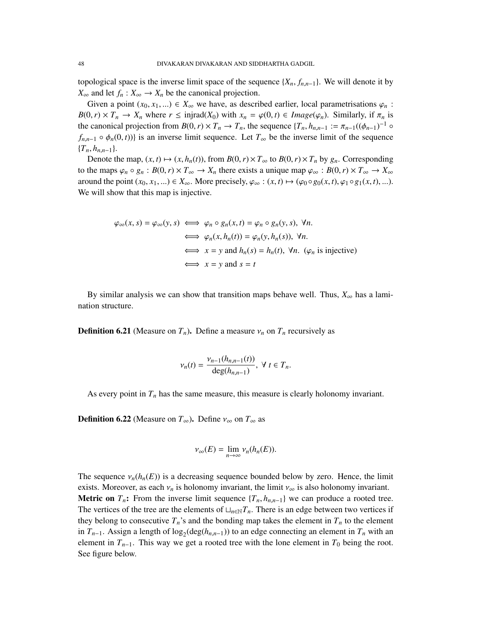topological space is the inverse limit space of the sequence  ${X_n, f_{n,n-1}}$ . We will denote it by *X*<sup>∞</sup> and let *f<sub>n</sub>* : *X*<sup>∞</sup> → *X<sub>n</sub>* be the canonical projection.

Given a point  $(x_0, x_1, ...) \in X_\infty$  we have, as described earlier, local parametrisations  $\varphi_n$ :  $B(0,r) \times T_n \to X_n$  where  $r \leq \text{injrad}(X_0)$  with  $x_n = \varphi(0,t) \in \text{Image}(\varphi_n)$ . Similarly, if  $\pi_n$  is the canonical projection from  $B(0, r) \times T_n \to T_n$ , the sequence  $\{T_n, h_{n,n-1} := \pi_{n-1}((\phi_{n-1})^{-1} \circ$ <br>  $f(x) \in A_n(0, t)$  is an inverse limit sequence. Let  $T_n$  be the inverse limit of the sequence  $f_{n,n-1} \circ \phi_n(0, t)$  is an inverse limit sequence. Let  $T_\infty$  be the inverse limit of the sequence  ${T_n, h_{n,n-1}}.$ 

Denote the map,  $(x, t) \mapsto (x, h_n(t))$ , from  $B(0, r) \times T_\infty$  to  $B(0, r) \times T_n$  by  $g_n$ . Corresponding to the maps  $\varphi_n \circ g_n : B(0, r) \times T_\infty \to X_n$  there exists a unique map  $\varphi_\infty : B(0, r) \times T_\infty \to X_\infty$ around the point  $(x_0, x_1, \ldots) \in X_\infty$ . More precisely,  $\varphi_\infty : (x, t) \mapsto (\varphi_0 \circ g_0(x, t), \varphi_1 \circ g_1(x, t), \ldots)$ . We will show that this map is injective.

$$
\varphi_{\infty}(x, s) = \varphi_{\infty}(y, s) \iff \varphi_n \circ g_n(x, t) = \varphi_n \circ g_n(y, s), \forall n.
$$
  
\n
$$
\iff \varphi_n(x, h_n(t)) = \varphi_n(y, h_n(s)), \forall n.
$$
  
\n
$$
\iff x = y \text{ and } h_n(s) = h_n(t), \forall n. (\varphi_n \text{ is injective})
$$
  
\n
$$
\iff x = y \text{ and } s = t
$$

By similar analysis we can show that transition maps behave well. Thus,  $X_{\infty}$  has a lamination structure.

**Definition 6.21** (Measure on  $T_n$ ). Define a measure  $\nu_n$  on  $T_n$  recursively as

$$
\nu_n(t) = \frac{\nu_{n-1}(h_{n,n-1}(t))}{\deg(h_{n,n-1})}, \ \forall \ t \in T_n.
$$

As every point in  $T<sub>n</sub>$  has the same measure, this measure is clearly holonomy invariant.

**Definition 6.22** (Measure on  $T_{\infty}$ ). Define  $v_{\infty}$  on  $T_{\infty}$  as

$$
\nu_{\infty}(E) = \lim_{n \to \infty} \nu_n(h_n(E)).
$$

The sequence  $v_n(h_n(E))$  is a decreasing sequence bounded below by zero. Hence, the limit exists. Moreover, as each  $v_n$  is holonomy invariant, the limit  $v_\infty$  is also holonomy invariant. **Metric on**  $T_n$ : From the inverse limit sequence  $\{T_n, h_{n,n-1}\}$  we can produce a rooted tree. The vertices of the tree are the elements of  $\Box_{n\in\mathbb{N}}T_n$ . There is an edge between two vertices if they belong to consecutive  $T_n$ 's and the bonding map takes the element in  $T_n$  to the element in  $T_{n-1}$ . Assign a length of  $\log_2(\deg(h_{n,n-1}))$  to an edge connecting an element in  $T_n$  with an element in  $T_{n-1}$ . This way we get a rooted tree with the lone element in  $T_0$  being the root. See figure below.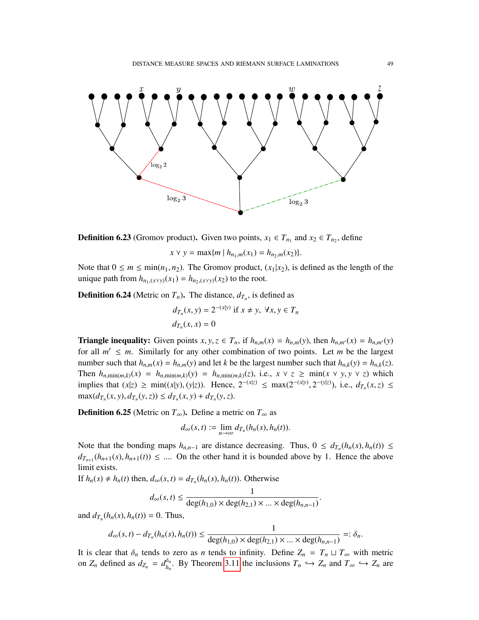

**Definition 6.23** (Gromov product). Given two points,  $x_1 \in T_{n_1}$  and  $x_2 \in T_{n_2}$ , define

$$
x \vee y = \max\{m \mid h_{n_1,m}(x_1) = h_{n_2,m}(x_2)\}.
$$

Note that  $0 \le m \le \min(n_1, n_2)$ . The Gromov product,  $(x_1|x_2)$ , is defined as the length of the unique path from  $h_{n_1,(x \vee y)}(x_1) = h_{n_2,(x \vee y)}(x_2)$  to the root.

**Definition 6.24** (Metric on  $T_n$ ). The distance,  $d_{T_n}$ , is defined as

$$
d_{T_n}(x, y) = 2^{-(x|y)} \text{ if } x \neq y, \forall x, y \in T_n
$$
  

$$
d_{T_n}(x, x) = 0
$$

**Triangle inequality:** Given points  $x, y, z \in T_n$ , if  $h_{n,m}(x) = h_{n,m}(y)$ , then  $h_{n,m'}(x) = h_{n,m'}(y)$ for all  $m' \leq m$ . Similarly for any other combination of two points. Let *m* be the largest number such that  $h_{n,m}(x) = h_{n,m}(y)$  and let *k* be the largest number such that  $h_{n,k}(y) = h_{n,k}(z)$ . Then  $h_{n,\min(m,k)}(x) = h_{n,\min(m,k)}(y) = h_{n,\min(m,k)}(z)$ , i.e.,  $x \vee z \geq \min(x \vee y, y \vee z)$  which implies that  $(x|z) \ge \min((x|y), (y|z))$ . Hence,  $2^{-(x|z)} \le \max(2^{-(x|y)}, 2^{-(y|z)})$ , i.e.,  $d_{T_n}(x, z) \le \max(d_{T_n}(x, y)) d_{T_n}(y, z) \le d_{T_n}(x, y) + d_{T_n}(y, z)$ .  $\max(d_{T_n}(x, y), d_{T_n}(y, z)) \le d_{T_n}(x, y) + d_{T_n}(y, z).$ 

**Definition 6.25** (Metric on  $T_{\infty}$ ). Define a metric on  $T_{\infty}$  as

$$
d_{\infty}(s,t):=\lim_{n\to\infty}d_{T_n}(h_n(s),h_n(t)).
$$

Note that the bonding maps  $h_{n,n-1}$  are distance decreasing. Thus,  $0 \le d_{T_n}(h_n(s), h_n(t)) \le$  $d_{T_{n+1}}(h_{n+1}(s), h_{n+1}(t)) \leq \dots$  On the other hand it is bounded above by 1. Hence the above limit oxists limit exists.

If  $h_n(s) \neq h_n(t)$  then,  $d_\infty(s,t) = d_{T_n}(h_n(s), h_n(t))$ . Otherwise

$$
d_{\infty}(s, t) \le \frac{1}{\deg(h_{1,0}) \times \deg(h_{2,1}) \times \dots \times \deg(h_{n,n-1})}
$$

and  $d_{T_n}(h_n(s), h_n(t)) = 0$ . Thus,

$$
d_{\infty}(s,t) - d_{T_n}(h_n(s), h_n(t)) \le \frac{1}{\deg(h_{1,0}) \times \deg(h_{2,1}) \times \dots \times \deg(h_{n,n-1})} =: \delta_n.
$$

It is clear that  $\delta_n$  tends to zero as *n* tends to infinity. Define  $Z_n = T_n \sqcup T_\infty$  with metric on *Z* defined as  $d = \sigma^{0n}$ . By Theorem 3.11 the inclusions *T* f and *Z* and *T* f and *Z* are on  $Z_n$  defined as  $d_{Z_n} = d_{h_n}^{\delta_n}$ . By Theorem [3.11](#page-12-0) the inclusions  $T_n \hookrightarrow Z_n$  and  $T_\infty \hookrightarrow Z_n$  are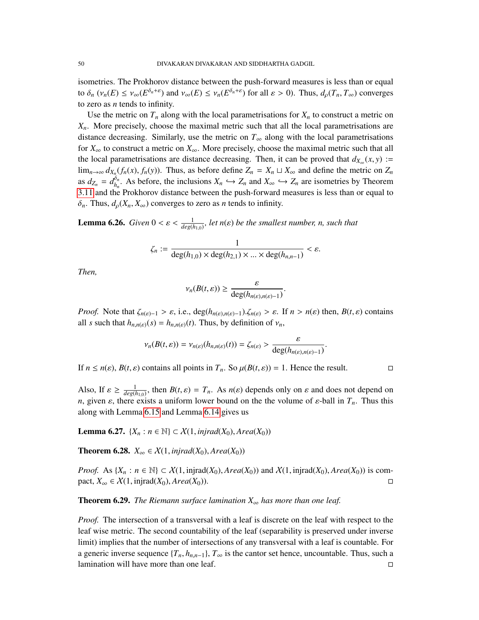isometries. The Prokhorov distance between the push-forward measures is less than or equal to  $\delta_n$  ( $v_n(E) \le v_\infty(E^{\delta_n + \varepsilon})$  and  $v_\infty(E) \le v_n(E^{\delta_n + \varepsilon})$  for all  $\varepsilon > 0$ ). Thus,  $d_\rho(T_n, T_\infty)$  converges to zero as *n* tends to infinity.

Use the metric on  $T_n$  along with the local parametrisations for  $X_n$  to construct a metric on *Xn*. More precisely, choose the maximal metric such that all the local parametrisations are distance decreasing. Similarly, use the metric on  $T_\infty$  along with the local parametrisations for *X*<sup>∞</sup> to construct a metric on *X*∞. More precisely, choose the maximal metric such that all the local parametrisations are distance decreasing. Then, it can be proved that  $d_{X_{\infty}}(x, y) :=$ <br>
limetric of  $f(x) - f(y)$ . Thus, as before define  $Z = X + Y$ , and define the metric on  $Z$ lim<sub>*n*→∞</sub>  $d_{X_n}(f_n(x), f_n(y))$ . Thus, as before define  $Z_n = X_n \sqcup X_\infty$  and define the metric on  $Z_n$ <br>as  $d_n = d^{\delta_n}$ . As before, the inclusions  $X_n \in \Sigma$  and  $X_n \in \Sigma$  are isometries by Theorem as  $d_{Z_n} = d_{h_n}^{\delta_n}$ . As before, the inclusions  $X_n \hookrightarrow Z_n$  and  $X_\infty \hookrightarrow Z_n$  are isometries by Theorem [3.11](#page-12-0) and the Prokhorov distance between the push-forward measures is less than or equal to  $\delta_n$ . Thus,  $d_o(X_n, X_\infty)$  converges to zero as *n* tends to infinity.

**Lemma 6.26.** *Given*  $0 < \varepsilon < \frac{1}{deg(h_{1,0})}$ , let  $n(\varepsilon)$  be the smallest number, n, such that

$$
\zeta_n := \frac{1}{\deg(h_{1,0}) \times \deg(h_{2,1}) \times \ldots \times \deg(h_{n,n-1})} < \varepsilon.
$$

*Then,*

$$
\nu_n(B(t,\varepsilon)) \geq \frac{\varepsilon}{\deg(h_{n(\varepsilon),n(\varepsilon)-1})}.
$$

*Proof.* Note that  $\zeta_{n(\varepsilon)-1} > \varepsilon$ , i.e.,  $\deg(h_{n(\varepsilon),n(\varepsilon)-1})$ . $\zeta_{n(\varepsilon)} > \varepsilon$ . If  $n > n(\varepsilon)$  then,  $B(t,\varepsilon)$  contains all *s* such that  $h_{n,n(\varepsilon)}(s) = h_{n,n(\varepsilon)}(t)$ . Thus, by definition of  $v_n$ ,

$$
\nu_n(B(t,\varepsilon)) = \nu_{n(\varepsilon)}(h_{n,n(\varepsilon)}(t)) = \zeta_{n(\varepsilon)} > \frac{\varepsilon}{\deg(h_{n(\varepsilon),n(\varepsilon)-1})}.
$$

If  $n \le n(\varepsilon)$ ,  $B(t, \varepsilon)$  contains all points in  $T_n$ . So  $\mu(B(t, \varepsilon)) = 1$ . Hence the result.

Also, If  $\varepsilon \ge \frac{1}{deg(h_{1,0})}$ , then  $B(t,\varepsilon) = T_n$ . As  $n(\varepsilon)$  depends only on  $\varepsilon$  and does not depend on  $n$  diverse only on  $\varepsilon$  the property of  $\varepsilon$  bell in  $T$ . Thus this *n*, given  $\varepsilon$ , there exists a uniform lower bound on the the volume of  $\varepsilon$ -ball in  $T_n$ . Thus this along with Lemma [6.15](#page-46-0) and Lemma [6.14](#page-46-1) gives us

**Lemma 6.27.** {*X<sub>n</sub>* : *n* ∈ ℕ} ⊂ *X*(1, *injrad*(*X*<sub>0</sub>), *Area*(*X*<sub>0</sub>))

**Theorem 6.28.**  $X_{\infty} \in \mathcal{X}(1, \text{injrad}(X_0), \text{Area}(X_0))$ 

*Proof.* As {*X<sub>n</sub>* : *n* ∈ N} ⊂ X(1, injrad(*X*<sub>0</sub>), *Area*(*X*<sub>0</sub>)) and *X*(1, injrad(*X*<sub>0</sub>), *Area*(*X*<sub>0</sub>)) is compact, *X*<sub>∞</sub> ∈ X(1, injrad(*X*<sub>0</sub>), *Area*(*X*<sub>0</sub>)). pact,  $X_{\infty}$  ∈  $X(1, \text{injrad}(X_0), \text{Area}(X_0)).$ 

**Theorem 6.29.** *The Riemann surface lamination*  $X_{\infty}$  *has more than one leaf.* 

*Proof.* The intersection of a transversal with a leaf is discrete on the leaf with respect to the leaf wise metric. The second countability of the leaf (separability is preserved under inverse limit) implies that the number of intersections of any transversal with a leaf is countable. For a generic inverse sequence  $\{T_n, h_{n,n-1}\}\$ ,  $T_\infty$  is the cantor set hence, uncountable. Thus, such a lamination will have more than one leaf. lamination will have more than one leaf.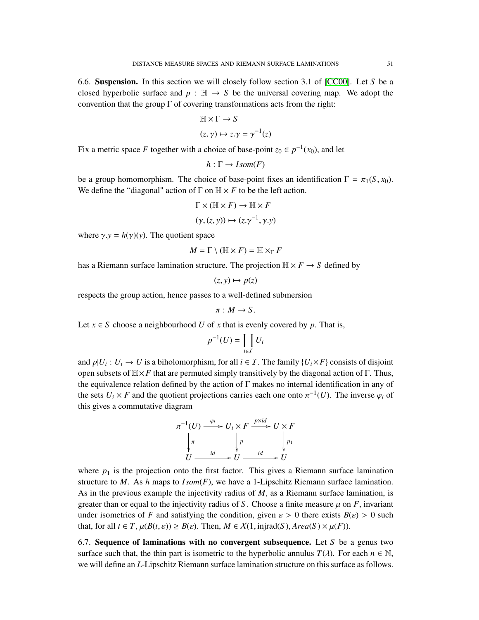6.6. Suspension. In this section we will closely follow section 3.1 of [\[CC00\]](#page-52-5). Let *S* be a closed hyperbolic surface and  $p : \mathbb{H} \to S$  be the universal covering map. We adopt the convention that the group  $\Gamma$  of covering transformations acts from the right:

$$
\mathbb{H} \times \Gamma \to S
$$

$$
(z, \gamma) \mapsto z \cdot \gamma = \gamma^{-1}(z)
$$

Fix a metric space *F* together with a choice of base-point  $z_0 \in p^{-1}(x_0)$ , and let

$$
h : \Gamma \to \mathit{Isom}(F)
$$

be a group homomorphism. The choice of base-point fixes an identification  $\Gamma = \pi_1(S, x_0)$ . We define the "diagonal" action of  $\Gamma$  on  $\mathbb{H} \times F$  to be the left action.

$$
\Gamma \times (\mathbb{H} \times F) \to \mathbb{H} \times F
$$

$$
(\gamma, (z, y)) \mapsto (z \cdot \gamma^{-1}, \gamma \cdot y)
$$

where  $\gamma$ *.y* =  $h(\gamma)(y)$ . The quotient space

$$
M = \Gamma \setminus (\mathbb{H} \times F) = \mathbb{H} \times_{\Gamma} F
$$

has a Riemann surface lamination structure. The projection  $H \times F \to S$  defined by

 $(z, y) \mapsto p(z)$ 

respects the group action, hence passes to a well-defined submersion

$$
\pi: M \to S.
$$

Let  $x \in S$  choose a neighbourhood U of x that is evenly covered by p. That is,

$$
p^{-1}(U) = \coprod_{i \in I} U_i
$$

and  $p|U_i: U_i \to U$  is a biholomorphism, for all  $i \in I$ . The family  $\{U_i \times F\}$  consists of disjoint open subsets of  $\mathbb{H} \times F$  that are permuted simply transitively by the diagonal action of Γ. Thus, the equivalence relation defined by the action of Γ makes no internal identification in any of the sets  $U_i \times F$  and the quotient projections carries each one onto  $\pi^{-1}(U)$ . The inverse  $\varphi_i$  of this gives a commutative diagram this gives a commutative diagram

$$
\pi^{-1}(U) \xrightarrow{\varphi_i} U_i \times F \xrightarrow{p \times id} U \times F
$$
\n
$$
\downarrow \pi
$$
\n
$$
U \xrightarrow{id} U \xrightarrow{id} U \xrightarrow{id} U
$$

where  $p_1$  is the projection onto the first factor. This gives a Riemann surface lamination structure to *M*. As *h* maps to *I som*(*F*), we have a 1-Lipschitz Riemann surface lamination. As in the previous example the injectivity radius of *M*, as a Riemann surface lamination, is greater than or equal to the injectivity radius of *S*. Choose a finite measure  $\mu$  on *F*, invariant under isometries of *F* and satisfying the condition, given  $\varepsilon > 0$  there exists  $B(\varepsilon) > 0$  such that, for all  $t \in T$ ,  $\mu(B(t, \varepsilon)) \ge B(\varepsilon)$ . Then,  $M \in \mathcal{X}(1, \text{injrad}(S), \text{Area}(S) \times \mu(F))$ .

<span id="page-50-0"></span>6.7. Sequence of laminations with no convergent subsequence. Let *S* be a genus two surface such that, the thin part is isometric to the hyperbolic annulus  $T(\lambda)$ . For each  $n \in \mathbb{N}$ , we will define an *L*-Lipschitz Riemann surface lamination structure on this surface as follows.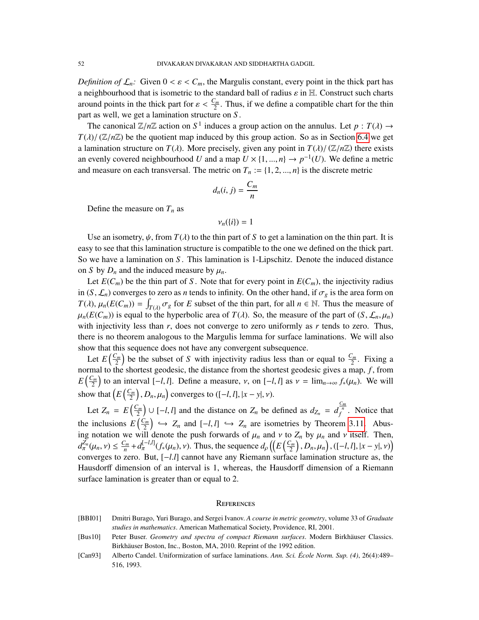*Definition of*  $\mathcal{L}_n$ : Given  $0 < \varepsilon < C_m$ , the Margulis constant, every point in the thick part has a neighbourhood that is isometric to the standard ball of radius  $\varepsilon$  in H. Construct such charts around points in the thick part for  $\varepsilon < \frac{C_m}{2}$ . Thus, if we define a compatible chart for the thin part as well, we get a lamination structure on *S* .

The canonical  $\mathbb{Z}/n\mathbb{Z}$  action on  $S^1$  induces a group action on the annulus. Let  $p : T(\lambda) \to$ <br> $\mathbb{Z}/(\mathbb{Z}/n\mathbb{Z})$  be the quotient map induced by this group action. So as in Section 6.4 we get  $T(\lambda)/(\mathbb{Z}/n\mathbb{Z})$  be the quotient map induced by this group action. So as in Section [6.4](#page-45-1) we get a lamination structure on  $T(\lambda)$ . More precisely, given any point in  $T(\lambda)/(\mathbb{Z}/n\mathbb{Z})$  there exists an evenly covered neighbourhood *U* and a map  $U \times \{1, ..., n\} \to p^{-1}(U)$ . We define a metric and measure on each transversal. The metric on  $T \div (1, 2, ..., n)$  is the discrete metric. and measure on each transversal. The metric on  $T_n := \{1, 2, ..., n\}$  is the discrete metric

$$
d_n(i,j) = \frac{C_m}{n}
$$

Define the measure on  $T_n$  as

$$
\nu_n(\{i\})=1
$$

Use an isometry,  $\psi$ , from  $T(\lambda)$  to the thin part of S to get a lamination on the thin part. It is easy to see that this lamination structure is compatible to the one we defined on the thick part. So we have a lamination on *S* . This lamination is 1-Lipschitz. Denote the induced distance on *S* by  $D_n$  and the induced measure by  $\mu_n$ .

Let  $E(C_m)$  be the thin part of *S*. Note that for every point in  $E(C_m)$ , the injectivity radius in  $(S, \mathcal{L}_n)$  converges to zero as *n* tends to infinity. On the other hand, if  $\sigma_g$  is the area form on  $T(\lambda)$ ,  $\mu_n(E(C_m)) = \int_{T(\lambda)} \sigma_g$  for *E* subset of the thin part, for all  $n \in \mathbb{N}$ . Thus the measure of  $\mu(E(C_m))$  is equal to the hyperholic area of  $T(\lambda)$ . So, the measure of the part of  $(S_n, C_{n+1})$  $\mu_n(E(C_m))$  is equal to the hyperbolic area of  $T(\lambda)$ . So, the measure of the part of  $(S, \mathcal{L}_n, \mu_n)$  with injectivity loss than  $r$  does not converge to zero uniformly as  $r$  tonds to zero. Thus with injectivity less than *r*, does not converge to zero uniformly as *r* tends to zero. Thus, there is no theorem analogous to the Margulis lemma for surface laminations. We will also show that this sequence does not have any convergent subsequence.

Let  $E\left(\frac{C_m}{2}\right)$  $\left(\frac{\sum_{m}}{2}\right)$  be the subset of *S* with injectivity radius less than or equal to  $\frac{C_m}{2}$ . Fixing a normal to the shortest geodesic, the distance from the shortest geodesic gives a map, *f*, from  $E\left(\frac{C_m}{2}\right)$  $\left(\frac{\sum_{n}}{2}\right)$  to an interval  $[-l, l]$ . Define a measure, *v*, on  $[-l, l]$  as  $\nu = \lim_{n \to \infty} f_*(\mu_n)$ . We will show that  $\left(E\left(\frac{C_m}{2}\right)\right]$  $\left(\frac{\sum_{m}}{2}\right), D_n, \mu_n\right)$  converges to  $([-l, l], |x - y|, \nu)$ .

Let  $Z_n = E\left(\frac{C_m}{2}\right)$  $\left(\frac{C_m}{2}\right) \cup [-l, l]$  and the distance on  $Z_n$  be defined as  $d_{Z_n} = d_f^{\frac{C_m}{n}}$ . Notice that the inclusions  $E\left(\frac{C_m}{2}\right)$  $\left(\frac{Z_m}{2}\right) \hookrightarrow Z_n$  and  $[-l, l] \hookrightarrow Z_n$  are isometries by Theorem [3.11.](#page-12-0) Abus-<br><sup>11</sup> denote the puch forwards of *u*, and *u* to *Z*, by *u*, and *u* itself. Then ing notation we will denote the push forwards of  $\mu_n$  and  $\nu$  to  $Z_n$  by  $\mu_n$  and  $\nu$  itself. Then,  $d^{Z_n}(\mu_n, \nu) \leq C_m + d^{-1}(\mu_n, \mu_n)$ . Thus, the sequence  $d^{(E(\mu_n), E(\mu_n))}$  $d_{\pi}^{\overline{Z}_n}(\mu_n, \nu) \leq \frac{C_m}{n} + d_{\pi}^{[-l,l]}(f_*(\mu_n), \nu)$ . Thus, the sequence  $d_{\rho}((E(\frac{C_m}{2}))$ converges to zero. But, [*−l.l*] cannot have any Riemann surface lamination structure as, the<br>Hausdorff dimension of an interval is 1, whereas, the Hausdorff dimension of a Biomann  $\left[\frac{m}{2}\right], D_n, \mu_n\right), \left([-l, l], |x - y|, \nu\right)$ Hausdorff dimension of an interval is 1, whereas, the Hausdorff dimension of a Riemann surface lamination is greater than or equal to 2.

#### **REFERENCES**

- <span id="page-51-0"></span>[BBI01] Dmitri Burago, Yuri Burago, and Sergei Ivanov. *A course in metric geometry*, volume 33 of *Graduate studies in mathematics*. American Mathematical Society, Providence, RI, 2001.
- <span id="page-51-1"></span>[Bus10] Peter Buser. *Geometry and spectra of compact Riemann surfaces*. Modern Birkhäuser Classics. Birkhäuser Boston, Inc., Boston, MA, 2010. Reprint of the 1992 edition.
- <span id="page-51-2"></span>[Can93] Alberto Candel. Uniformization of surface laminations. *Ann. Sci. École Norm. Sup. (4)*, 26(4):489– 516, 1993.